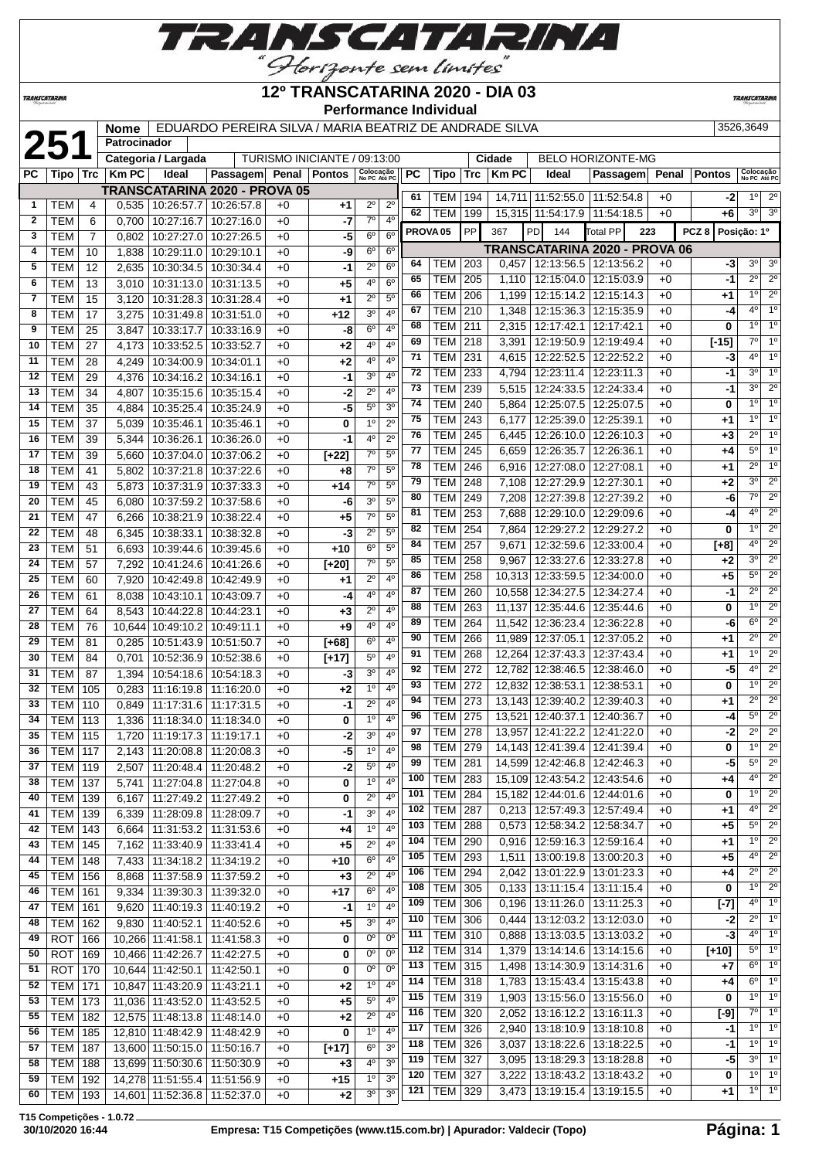

**TRANSCATARINA** 

## **12º TRANSCATARINA 2020 - DIA 03 Performance Individual**

**TRANSCATARIN** 

## **251326,3649 Nome** EDUARDO PEREIRA SILVA / MARIA BEATRIZ DE ANDRADE SILVA 3526,3649

| Z5 |                |                | Patrocinador |                                 |                               |       |                              |                           |                |     |                     |            |              |                                   |                                      |       |                                 |                           |                            |
|----|----------------|----------------|--------------|---------------------------------|-------------------------------|-------|------------------------------|---------------------------|----------------|-----|---------------------|------------|--------------|-----------------------------------|--------------------------------------|-------|---------------------------------|---------------------------|----------------------------|
|    |                |                |              | Categoria / Largada             |                               |       | TURISMO INICIANTE / 09:13:00 |                           |                |     |                     |            | Cidade       |                                   | <b>BELO HORIZONTE-MG</b>             |       |                                 |                           |                            |
| PC | Tipo           | Trc            | <b>Km PC</b> | Ideal                           | Passagem                      | Penal | <b>Pontos</b>                | Colocação<br>No PC Até PC |                | РC  | <b>Tipo</b>         | Trc        | <b>Km PC</b> | Ideal                             | Passagem                             | Penal | <b>Pontos</b>                   | Colocação<br>No PC Até PC |                            |
|    |                |                |              |                                 | TRANSCATARINA 2020 - PROVA 05 |       |                              |                           |                | 61  | TEM                 | 194        |              | 14,711 11:52:55.0 11:52:54.8      |                                      | $+0$  | -2                              |                           | $2^{\circ}$                |
| -1 | TEM            | 4              | 0,535        | 10:26:57.7   10:26:57.8         |                               | $+0$  | $+1$                         | $2^{\circ}$               | $2^{\circ}$    | 62  | TEM                 | 199        |              | 15,315 11:54:17.9 11:54:18.5      |                                      | $+0$  | $+6$                            | $3^{\circ}$               | 3 <sup>o</sup>             |
| 2  | <b>TEM</b>     | 6              | 0,700        | 10:27:16.7                      | 10:27:16.0                    | $+0$  | -7                           | $7^\circ$                 | 4 <sup>0</sup> |     |                     | PP         |              |                                   |                                      |       |                                 |                           |                            |
| 3  | <b>TEM</b>     | $\overline{7}$ | 0,802        | 10:27:27.0                      | 10:27:26.5                    | $+0$  | -5                           | $6^{\circ}$               | 6 <sup>o</sup> |     | PROVA <sub>05</sub> |            | 367          | <b>PD</b><br>144                  | <b>Total PP</b><br>223               |       | PCZ <sub>8</sub><br>Posição: 1º |                           |                            |
| 4  | <b>TEM</b>     | 10             | 1,838        | 10:29:11.0                      | 10:29:10.1                    | $+0$  | -9                           | $6^{\circ}$               | $6^{\circ}$    |     |                     |            |              |                                   | <b>TRANSCATARINA 2020 - PROVA 06</b> |       |                                 |                           |                            |
| 5  | <b>TEM</b>     | 12             | 2,635        | 10:30:34.5                      | 10:30:34.4                    | $+0$  | $-1$                         | $2^{\circ}$               | 6 <sup>o</sup> | 64  | TEM                 | 203        | 0,457        | 12:13:56.5   12:13:56.2           |                                      | +0    | -3                              | $3^{\circ}$               | 3 <sup>o</sup>             |
| 6  | <b>TEM</b>     | 13             | 3,010        | 10:31:13.0                      | 10:31:13.5                    | $+0$  | $+5$                         | 4 <sup>0</sup>            | 6 <sup>o</sup> | 65  | TEM                 | 205        | 1,110        | 12:15:04.0   12:15:03.9           |                                      | $+0$  | -1                              | $2^{\circ}$               | $2^{\circ}$                |
| 7  | <b>TEM</b>     | 15             | 3,120        | 10:31:28.3                      | 10:31:28.4                    | $+0$  | $+1$                         | $2^{\circ}$               | $5^{\circ}$    | 66  | <b>TEM</b>          | 206        | 1,199        | 12:15:14.2   12:15:14.3           |                                      | $+0$  | +1                              | 10                        | $2^{\circ}$                |
| 8  | <b>TEM</b>     | 17             | 3,275        | 10:31:49.8                      | 10:31:51.0                    | $+0$  | $+12$                        | 3 <sup>o</sup>            | 4 <sup>0</sup> | 67  | <b>TEM</b>          | 210        | 1,348        |                                   | 12:15:36.3   12:15:35.9              | $+0$  | -4                              | $4^{\circ}$               | 1 <sup>o</sup>             |
| 9  | <b>TEM</b>     | 25             | 3,847        | 10:33:17.7                      | 10:33:16.9                    | $+0$  | -8                           | 6 <sup>o</sup>            | 4 <sup>0</sup> | 68  | <b>TEM</b>          | 211        | 2,315        | 12:17:42.1                        | 12:17:42.1                           | $+0$  | $\bf{0}$                        | 10                        | 1 <sup>0</sup>             |
| 10 | <b>TEM</b>     | 27             | 4,173        | 10:33:52.5                      | 10:33:52.7                    | $+0$  | $+2$                         | 4°                        | 4 <sup>0</sup> | 69  | <b>TEM</b>          | 218        | 3,391        |                                   | 12:19:50.9   12:19:49.4              | $+0$  | $[-15]$                         | 7°                        | 1 <sup>o</sup>             |
| 11 | <b>TEM</b>     | 28             | 4,249        | 10:34:00.9                      | 10:34:01.1                    | $+0$  | $+2$                         | 4°                        | 4 <sup>0</sup> | 71  | TEM                 | 231        | 4,615        | 12:22:52.5                        | 12:22:52.2                           | $+0$  | -3                              | $4^{\circ}$               | 1 <sup>0</sup>             |
| 12 | <b>TEM</b>     | 29             | 4,376        | 10:34:16.2                      | 10:34:16.1                    | $+0$  | $-1$                         | $3^{\circ}$               | $4^{\circ}$    | 72  | <b>TEM</b>          | 233        | 4,794        | 12:23:11.4                        | 12:23:11.3                           | $+0$  | -1                              | $3^{\circ}$               | 1 <sup>o</sup>             |
| 13 | <b>TEM</b>     | 34             | 4,807        | 10:35:15.6                      | 10:35:15.4                    | $+0$  | -2                           | $2^{\circ}$               | 4 <sup>0</sup> | 73  | <b>TEM</b>          | 239        | 5,515        |                                   | 12:24:33.5   12:24:33.4              | $+0$  | -1                              | $3^{\circ}$               | $2^{\circ}$                |
| 14 | <b>TEM</b>     | 35             | 4,884        | 10:35:25.4                      | 10:35:24.9                    | $+0$  | -5                           | 5 <sup>0</sup>            | 3 <sup>o</sup> | 74  | <b>TEM</b>          | 240        | 5,864        | 12:25:07.5                        | 12:25:07.5                           | $+0$  | 0                               | $1^{\circ}$               | 1 <sup>0</sup>             |
| 15 | TEM            | 37             | 5,039        | 10:35:46.1                      | 10:35:46.1                    | $+0$  | 0                            | 1 <sup>0</sup>            | $2^{\circ}$    | 75  | <b>TEM</b>          | 243        | 6.177        | 12:25:39.0   12:25:39.1           |                                      | $+0$  | $+1$                            | 10                        | 1 <sup>o</sup>             |
| 16 | <b>TEM</b>     | 39             | 5,344        | 10:36:26.1                      | 10:36:26.0                    | $+0$  | -1                           | 4°                        | $2^{\circ}$    | 76  | <b>TEM</b>          | 245        | 6,445        | 12:26:10.0   12:26:10.3           |                                      | $+0$  | $+3$                            | $2^{\circ}$               | 1 <sup>0</sup>             |
| 17 | <b>TEM</b>     | 39             | 5,660        | 10:37:04.0                      | 10:37:06.2                    | $+0$  | $[+22]$                      | $\overline{7}^{\circ}$    | 5 <sup>0</sup> | 77  | <b>TEM</b>          | 245        | 6,659        | 12:26:35.7                        | 12:26:36.1                           | $+0$  | +4                              | $5^{\circ}$               | 1 <sup>o</sup>             |
| 18 | <b>TEM</b>     | 41             | 5,802        | 10:37:21.8                      | 10:37:22.6                    | $+0$  | $+8$                         | $7^\circ$                 | 5 <sup>o</sup> | 78  | <b>TEM</b>          | 246        | 6,916        | 12:27:08.0                        | 12:27:08.1                           | $+0$  | $+1$                            | $2^{\circ}$               | 1 <sup>0</sup>             |
| 19 | <b>TEM</b>     | 43             | 5,873        | 10:37:31.9                      | 10:37:33.3                    | $+0$  | $+14$                        | $\overline{7}^{\circ}$    | 5 <sup>o</sup> | 79  | TEM                 | 248        | 7,108        | 12:27:29.9                        | 12:27:30.1                           | $+0$  | $+2$                            | $3^{\circ}$               | $\overline{2^0}$           |
| 20 | <b>TEM</b>     | 45             | 6,080        | 10:37:59.2                      | 10:37:58.6                    | $+0$  | -6                           | 3 <sup>0</sup>            | 5 <sup>0</sup> | 80  | <b>TEM</b>          | 249        | 7,208        | 12:27:39.8   12:27:39.2           |                                      | $+0$  | -6                              | $7^\circ$                 | $\overline{2^{\circ}}$     |
| 21 | <b>TEM</b>     | 47             | 6,266        | 10:38:21.9                      | 10:38:22.4                    | $+0$  | $+5$                         | $7^\circ$                 | 5 <sup>0</sup> | 81  | <b>TEM</b>          | 253        | 7,688        |                                   | 12:29:10.0   12:29:09.6              | $+0$  | -4                              | $4^{\circ}$               | $\overline{2^0}$           |
| 22 | <b>TEM</b>     | 48             | 6,345        | 10:38:33.1                      | 10:38:32.8                    | $+0$  | -3                           | $2^{\circ}$               | $5^{\circ}$    | 82  | <b>TEM</b>          | 254        | 7,864        | 12:29:27.2                        | 12:29:27.2                           | $+0$  | 0                               | 10                        | $2^{\circ}$                |
| 23 | <b>TEM</b>     | 51             | 6,693        | 10:39:44.6                      | 10:39:45.6                    | $+0$  | $+10$                        | 6 <sup>o</sup>            | $5^{\circ}$    | 84  | <b>TEM</b>          | 257        | 9,671        | 12:32:59.6   12:33:00.4           |                                      | $+0$  | $[+8]$                          | $4^{\circ}$               | $2^{\circ}$                |
| 24 | <b>TEM</b>     | 57             |              | 10:41:24.6                      | 10:41:26.6                    |       | $[+20]$                      | $\overline{7}^{\circ}$    | $5^{\circ}$    | 85  | <b>TEM</b>          | 258        | 9,967        | 12:33:27.6   12:33:27.8           |                                      | $+0$  | +2                              | $3^{\circ}$               | $\overline{2^0}$           |
| 25 | <b>TEM</b>     |                | 7,292        |                                 |                               | $+0$  |                              | $2^{\circ}$               | $4^{\circ}$    | 86  | <b>TEM</b>          | 258        |              | 10,313 12:33:59.5 12:34:00.0      |                                      | $+0$  | $+5$                            | $5^{\circ}$               | $\overline{2^{\circ}}$     |
|    |                | 60             | 7,920        | 10:42:49.8                      | 10:42:49.9                    | $+0$  | $^{+1}$                      |                           |                | 87  | <b>TEM</b>          | 260        |              | 10,558 12:34:27.5 12:34:27.4      |                                      | $+0$  | -1                              | $2^{\circ}$               | $2^{\circ}$                |
| 26 | <b>TEM</b>     | 61             | 8,038        | 10:43:10.1                      | 10:43:09.7                    | $+0$  | -4                           | 4°                        | 4 <sup>0</sup> | 88  | <b>TEM</b>          | 263        | 11,137       | 12:35:44.6   12:35:44.6           |                                      | $+0$  | 0                               | 10                        | $\overline{2^0}$           |
| 27 | <b>TEM</b>     | 64             | 8,543        | 10:44:22.8                      | 10:44:23.1                    | $+0$  | $+3$                         | $2^{\circ}$               | $4^{\circ}$    | 89  | <b>TEM</b>          | 264        | 11,542       | 12:36:23.4                        | 12:36:22.8                           | $+0$  | -6                              | $6^{\circ}$               | $2^{\circ}$                |
| 28 | <b>TEM</b>     | 76             |              | 10,644 10:49:10.2               | 10:49:11.1                    | $+0$  | $+9$                         | 4 <sup>0</sup>            | 4 <sup>0</sup> | 90  | TEM                 | 266        |              | 11,989 12:37:05.1                 | 12:37:05.2                           | $+0$  | +1                              | $2^{\circ}$               | $\overline{2^{\circ}}$     |
| 29 | <b>TEM</b>     | 81             | 0,285        | 10:51:43.9                      | 10:51:50.7                    | $+0$  | $[+68]$                      | $6^{\circ}$               | 4 <sup>0</sup> | 91  | <b>TEM</b>          | 268        |              | 12,264 12:37:43.3 12:37:43.4      |                                      | $+0$  | $+1$                            | $1^{\circ}$               | $2^{\circ}$                |
| 30 | <b>TEM</b>     | 84             | 0,701        | 10:52:36.9                      | 10:52:38.6                    | $+0$  | $[+17]$                      | $5^{\circ}$               | $4^{\circ}$    | 92  | <b>TEM</b>          |            |              |                                   |                                      | $+0$  | -5                              | $4^{\circ}$               | $2^{\circ}$                |
| 31 | <b>TEM</b>     | 87             | 1,394        | 10:54:18.6                      | 10:54:18.3                    | $+0$  | -3                           | 3 <sup>0</sup>            | $4^{\circ}$    | 93  | <b>TEM</b>          | 272<br>272 |              | 12,782 12:38:46.5 12:38:46.0      |                                      |       |                                 | $1^{\circ}$               | $\overline{2^{\circ}}$     |
| 32 | <b>TEM</b>     | 105            | 0,283        | 11:16:19.8                      | 11:16:20.0                    | $+0$  | $+2$                         | $1^{\circ}$               | $4^{\circ}$    | 94  |                     |            |              | 12,832 12:38:53.1                 | 12:38:53.1                           | $+0$  | 0                               | $\overline{2^{\circ}}$    | $\overline{2^0}$           |
| 33 | <b>TEM</b>     | 110            | 0,849        | 11:17:31.6                      | 11:17:31.5                    | $+0$  | -1                           | $2^{\circ}$               | 4 <sup>0</sup> |     | TEM                 | 273        |              | 13.143 12:39:40.2 12:39:40.3      |                                      | $+0$  | +1                              |                           |                            |
| 34 | <b>TEM</b>     | 113            | 1,336        | 11:18:34.0                      | 11:18:34.0                    | $+0$  | 0                            | 1 <sup>0</sup>            | $4^{\circ}$    | 96  | TEM                 | 275        | 13,521       | 12:40:37.1                        | 12:40:36.7                           | $+0$  | -4                              | $5^{\circ}$               | $2^{\circ}$                |
| 35 | TEM            | 115            | 1,720        | 11:19:17.3                      | 11:19:17.1                    | $+0$  | -2                           | 3 <sup>o</sup>            | $4^{\circ}$    | 97  | <b>TEM</b>          | 278        | 13.957       | 12:41:22.2                        | 12:41:22.0                           | $+0$  | -2                              | $2^{\circ}$               | $\overline{2^{\circ}}$     |
| 36 | <b>TEM</b>     | 117            |              | 2,143   11:20:08.8   11:20:08.3 |                               | $+0$  | -5                           | 1 <sup>0</sup>            | 4 <sup>0</sup> | 98  | TEM                 | 279        |              | 14,143 12:41:39.4 12:41:39.4      |                                      | $+0$  | 0                               | 1 <sup>°</sup>            | $\overline{2^0}$           |
| 37 | <b>TEM 119</b> |                | 2,507        | 11:20:48.4   11:20:48.2         |                               | +0    | $-2$                         | 5 <sup>o</sup>            | 4 <sup>0</sup> | 99  | <b>TEM 281</b>      |            |              | 14,599 12:42:46.8 12:42:46.3      |                                      | $+0$  | -5                              | $5^{\circ}$               | $\overline{2^0}$           |
| 38 | <b>TEM 137</b> |                | 5,741        | 11:27:04.8   11:27:04.8         |                               | $+0$  | 0                            | 1 <sup>0</sup>            | 4 <sup>0</sup> | 100 | <b>TEM 283</b>      |            |              | 15,109 12:43:54.2 12:43:54.6      |                                      | $+0$  | +4                              | $4^{\circ}$               | $2^{\circ}$                |
| 40 | <b>TEM</b> 139 |                |              | 6,167   11:27:49.2   11:27:49.2 |                               | $+0$  | 0                            | $2^{\circ}$               | $4^{\circ}$    | 101 | <b>TEM 284</b>      |            |              | 15,182 12:44:01.6 12:44:01.6      |                                      | $+0$  | 0                               | $1^{\circ}$               | $2^{\circ}$                |
| 41 | <b>TEM</b>     | 139            |              | 6,339   11:28:09.8   11:28:09.7 |                               | $+0$  | -1                           | 30                        | $4^{\circ}$    | 102 | <b>TEM 287</b>      |            |              | $0,213$   12:57:49.3   12:57:49.4 |                                      | $+0$  | +1                              | 4°                        | $2^{\circ}$                |
| 42 | <b>TEM</b>     | 143            |              | 6,664 11:31:53.2 11:31:53.6     |                               | $+0$  | $+4$                         | 1 <sup>0</sup>            | 4 <sup>0</sup> | 103 | <b>TEM 288</b>      |            |              | $0,573$   12:58:34.2   12:58:34.7 |                                      | $+0$  | +5                              | $5^{\circ}$               | $2^{\circ}$                |
| 43 | <b>TEM</b>     | 145            | 7,162        | 11:33:40.9   11:33:41.4         |                               | $+0$  | $+5$                         | $2^{\circ}$               | 4 <sup>0</sup> | 104 | <b>TEM 290</b>      |            | 0,916        | 12:59:16.3   12:59:16.4           |                                      | $+0$  | +1                              | $1^{\circ}$               | $2^{\circ}$                |
| 44 | <b>TEM</b>     | 148            | 7,433        | 11:34:18.2                      | 11:34:19.2                    | $+0$  | $+10$                        | 6 <sup>o</sup>            | 4 <sup>0</sup> | 105 | <b>TEM 293</b>      |            | 1,511        |                                   | 13:00:19.8   13:00:20.3              | $+0$  | +5                              | $4^{\circ}$               | $2^{\circ}$                |
| 45 | <b>TEM</b>     | 156            | 8,868        | 11:37:58.9   11:37:59.2         |                               | $+0$  | $+3$                         | $2^{\circ}$               | $4^{\circ}$    | 106 | <b>TEM 294</b>      |            |              | 2,042   13:01:22.9   13:01:23.3   |                                      | $+0$  | $+4$                            | $2^{\circ}$               | $2^{\circ}$                |
| 46 | <b>TEM</b>     | 161            | 9,334        | 11:39:30.3                      | 11:39:32.0                    | $+0$  | $+17$                        | 6 <sup>o</sup>            | 4 <sup>0</sup> | 108 | <b>TEM 305</b>      |            | 0,133        |                                   | 13:11:15.4   13:11:15.4              | $+0$  | 0                               | $1^{\circ}$               | $2^{\circ}$                |
| 47 | <b>TEM</b>     | 161            | 9,620        | 11:40:19.3 11:40:19.2           |                               | $+0$  | -1                           | 10                        | 4 <sup>0</sup> | 109 | <b>TEM</b> 306      |            | 0,196        |                                   | 13:11:26.0   13:11:25.3              | +0    | $[-7]$                          | $4^{\circ}$               | $1^\circ$                  |
| 48 | <b>TEM 162</b> |                | 9,830        | 11:40:52.1                      | 11:40:52.6                    | $+0$  | $+5$                         | 3 <sup>o</sup>            | $4^{\circ}$    | 110 | <b>TEM 306</b>      |            | 0,444        |                                   | 13:12:03.2 13:12:03.0                | $+0$  | -2                              | $2^{\circ}$               | 1 <sup>°</sup>             |
| 49 | $ROT$ 166      |                |              | 10,266 11:41:58.1 11:41:58.3    |                               | $+0$  | 0                            | $0^{\circ}$               | $0^{\circ}$    | 111 | <b>TEM</b> 310      |            | 0,888        | $13:13:03.5$ 13:13:03.2           |                                      | $+0$  | $-3$                            | 4º                        | 1 <sup>°</sup>             |
| 50 | <b>ROT</b>     | 169            |              | 10,466 11:42:26.7               | 11:42:27.5                    | $+0$  | 0                            | $0^{\circ}$               | $0^{\circ}$    | 112 | <b>TEM 314</b>      |            | 1,379        | 13:14:14.6   13:14:15.6           |                                      | $+0$  | $[+10]$                         |                           | $5^{\circ}$ 1 <sup>o</sup> |
| 51 | <b>ROT</b>     | 170            |              | 10,644 11:42:50.1               | 11:42:50.1                    | $+0$  | 0                            | 0 <sup>o</sup>            | 0 <sup>o</sup> | 113 | <b>TEM 315</b>      |            | 1,498        | 13:14:30.9   13:14:31.6           |                                      | $+0$  | +7                              | 6°                        | 1 <sup>°</sup>             |
| 52 | <b>TEM 171</b> |                |              | 10,847 11:43:20.9 11:43:21.1    |                               | $+0$  | $+2$                         | 1 <sup>0</sup>            | $4^{\circ}$    | 114 | TEM 318             |            | 1,783        | 13:15:43.4   13:15:43.8           |                                      | $+0$  | +4                              |                           | 6° 1°                      |
| 53 | <b>TEM 173</b> |                |              | 11,036 11:43:52.0               | 11:43:52.5                    | $+0$  | $+5$                         | $5^{\circ}$               | $4^{\circ}$    | 115 | <b>TEM 319</b>      |            | 1,903        | 13:15:56.0 13:15:56.0             |                                      | $+0$  | 0                               |                           | $10$ 1 <sup>o</sup>        |
| 55 | <b>TEM</b>     | 182            |              | 12,575 11:48:13.8               | 11:48:14.0                    | $+0$  | $+2$                         | $2^{\circ}$               | $4^{\circ}$    | 116 | <b>TEM 320</b>      |            |              | 2,052   13:16:12.2   13:16:11.3   |                                      | $+0$  | $[-9]$                          |                           | $7°$ 1°                    |
| 56 | <b>TEM</b>     | 185            |              |                                 |                               |       | 0                            | 1 <sup>0</sup>            | $4^{\circ}$    | 117 | <b>TEM 326</b>      |            | 2,940        | 13:18:10.9   13:18:10.8           |                                      | $+0$  | -1                              |                           | $10$ 1 <sup>0</sup>        |
|    |                |                |              | 12,810 11:48:42.9 11:48:42.9    |                               | $+0$  |                              | 6 <sup>o</sup>            | 3 <sup>o</sup> | 118 | <b>TEM 326</b>      |            | 3,037        | 13:18:22.6 13:18:22.5             |                                      | $+0$  | -1                              | $1^{\circ}$               | 1 <sup>°</sup>             |
| 57 | <b>TEM</b>     | 187            |              | 13,600 11:50:15.0 11:50:16.7    |                               | $+0$  | $[+17]$                      | $4^{\circ}$               | 3 <sup>0</sup> | 119 | <b>TEM 327</b>      |            | 3,095        |                                   | 13:18:29.3   13:18:28.8              | +0    | -5                              | $3^{\circ}$               | 1 <sup>°</sup>             |
| 58 | <b>TEM</b>     | 188            |              | 13,699 11:50:30.6 11:50:30.9    |                               | $+0$  | $+3$                         |                           |                | 120 | <b>TEM 327</b>      |            | 3,222        | 13:18:43.2 13:18:43.2             |                                      | $+0$  | 0                               | $1^{\circ}$               | 1 <sup>°</sup>             |
| 59 | <b>TEM 192</b> |                |              | 14,278 11:51:55.4 11:51:56.9    |                               | $+0$  | $+15$                        | 1 <sup>0</sup>            | 3 <sup>o</sup> | 121 | TEM 329             |            | 3,473        | 13:19:15.4   13:19:15.5           |                                      | +0    | +1                              |                           | $10$ $10$                  |
| 60 | TEM   193      |                |              | 14,601 11:52:36.8               | 11:52:37.0                    | $+0$  | $+2$                         | 30                        | 3 <sup>o</sup> |     |                     |            |              |                                   |                                      |       |                                 |                           |                            |

**T15 Competições - 1.0.72**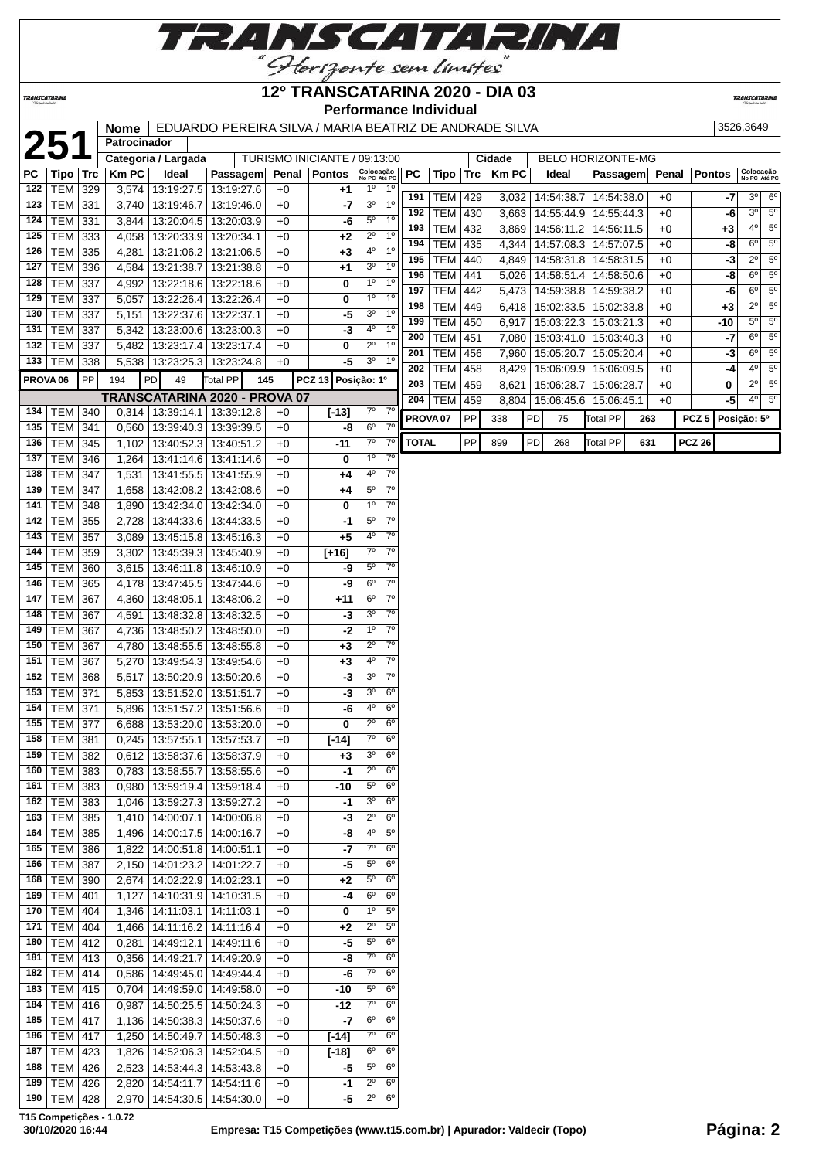

## **12º TRANSCATARINA 2020 - DIA 03**

**TRANSCATARIN** 

# **Performance Individual**<br>I Nome | EDUARDO PEREIRA SILVA / MARIA REATRIZ DE ANDRADE SILVA

|                     |                 |     | <b>Nome</b>  |                                 | EDUARDO PEREIRA SILVA / MARIA BEATRIZ DE ANDRADE SILVA |       |                              |                           |                        |                     |            |     |              |    |                          |                 |     |       |                  | 3526,3649                       |
|---------------------|-----------------|-----|--------------|---------------------------------|--------------------------------------------------------|-------|------------------------------|---------------------------|------------------------|---------------------|------------|-----|--------------|----|--------------------------|-----------------|-----|-------|------------------|---------------------------------|
|                     | 251             |     | Patrocinador |                                 |                                                        |       |                              |                           |                        |                     |            |     |              |    |                          |                 |     |       |                  |                                 |
|                     |                 |     |              | Categoria / Largada             |                                                        |       | TURISMO INICIANTE / 09:13:00 |                           |                        |                     |            |     | Cidade       |    | <b>BELO HORIZONTE-MG</b> |                 |     |       |                  |                                 |
| PC                  | Tipo   Trc      |     | <b>Km PC</b> | Ideal                           | Passagem                                               | Penal | <b>Pontos</b>                | Colocação<br>No PC Até PC |                        | PC                  | Tipo       | Trc | <b>Km PC</b> |    | Ideal                    | Passagem        |     | Penal | <b>Pontos</b>    | Colocação<br>No PC Até PC       |
| 122                 | <b>TEM 329</b>  |     |              | 3,574   13:19:27.5   13:19:27.6 |                                                        | $+0$  | +1                           | $1^{\circ}$               | $1^{\circ}$            | 191                 | <b>TEM</b> | 429 | 3.032        |    | 14:54:38.7               | 14:54:38.0      |     | $+0$  | -7               | $3^0$ 6 <sup>0</sup>            |
| 123                 | TEM 331         |     | 3,740        | 13:19:46.7                      | 13:19:46.0                                             | $+0$  | $-7$                         | 3 <sup>0</sup>            | 1 <sup>0</sup>         | 192                 |            |     |              |    |                          |                 |     | $+0$  |                  | $3^{\circ}$<br>$5^{\circ}$      |
| 124                 | TEM             | 331 | 3,844        | 13:20:04.5                      | 13:20:03.9                                             | $+0$  | -6                           | $5^{\circ}$               | 1 <sup>0</sup>         |                     | <b>TEM</b> | 430 | 3,663        |    | 14:55:44.9               | 14:55:44.3      |     |       | -6               | $5^{\circ}$<br>$4^{\circ}$      |
| 125                 | TEM             | 333 | 4,058        | 13:20:33.9 13:20:34.1           |                                                        | $+0$  | +2                           | $2^{\circ}$               | 1 <sup>0</sup>         | 193                 | <b>TEM</b> | 432 | 3,869        |    | 14:56:11.2               | 14:56:11.5      |     | $+0$  | $+3$             |                                 |
| 126                 | TEM             | 335 | 4,281        |                                 | 13:21:06.2   13:21:06.5                                | $+0$  | +3                           | 4 <sup>0</sup>            | $1^{\circ}$            | 194                 | <b>TEM</b> | 435 | 4,344        |    | 14:57:08.3               | 14:57:07.5      |     | $+0$  | -8               | $6^{\circ}$<br>$5^{\circ}$      |
| 127                 | TEM             | 336 | 4,584        | 13:21:38.7                      | 13:21:38.8                                             | $+0$  | +1                           | 3 <sup>o</sup>            | 1 <sup>0</sup>         | 195                 | <b>TEM</b> | 440 | 4,849        |    | 14:58:31.8               | 14:58:31.5      |     | $+0$  | $-3$             | $2^{\circ}$<br>$5^{\circ}$      |
| 128                 | TEM             | 337 | 4,992        |                                 | 13:22:18.6   13:22:18.6                                | $+0$  | 0                            | 1 <sup>0</sup>            | $1^{\circ}$            | 196                 | <b>TEM</b> | 441 | 5.026        |    | 14:58:51.4               | 14:58:50.6      |     | $+0$  | -8               | $6^{\circ}$<br>$5^{\circ}$      |
| 129                 | <b>TEM</b>      | 337 | 5,057        | 13:22:26.4                      | 13:22:26.4                                             | $+0$  | 0                            | 1 <sup>°</sup>            | $1^{\circ}$            | 197                 | <b>TEM</b> | 442 |              |    | 5,473   14:59:38.8       | 14:59:38.2      |     | $+0$  | -6               | $\overline{5^0}$<br>$6^{\circ}$ |
| 130                 | TEM             | 337 | 5,151        | 13:22:37.6   13:22:37.1         |                                                        | $+0$  | -5                           | 3 <sup>o</sup>            | $1^{\circ}$            | 198                 | <b>TEM</b> | 449 | 6,418        |    | 15:02:33.5               | 15:02:33.8      |     | $+0$  | $+3$             | $2^{\circ}$<br>$5^{\circ}$      |
| 131                 | <b>TEM 337</b>  |     | 5,342        |                                 | 13:23:00.6   13:23:00.3                                | $+0$  | $-3$                         | 4 <sup>0</sup>            | 1 <sup>0</sup>         | 199                 | <b>TEM</b> | 450 | 6,917        |    | 15:03:22.3               | 15:03:21.3      |     | $+0$  | $-10$            | $5^\circ$<br>$5^{\circ}$        |
| 132                 | TEM             | 337 | 5,482        | 13:23:17.4   13:23:17.4         |                                                        | $+0$  | 0                            | $2^{\circ}$               | 1 <sup>0</sup>         | 200                 | <b>TEM</b> | 451 | 7,080        |    | 15:03:41.0               | 15:03:40.3      |     | $+0$  | $-7$             | $\overline{5^0}$<br>$6^{\circ}$ |
| 133                 | TEM             | 338 | 5,538        | 13:23:25.3 13:23:24.8           |                                                        | $+0$  | $-5$                         | 3 <sup>o</sup>            | 1 <sup>0</sup>         | 201                 | <b>TEM</b> | 456 | 7,960        |    | 15:05:20.7               | 15:05:20.4      |     | $+0$  | $-3$             | $6^{\circ}$<br>50               |
|                     |                 |     |              |                                 |                                                        |       |                              |                           |                        | 202                 | <b>TEM</b> | 458 | 8,429        |    | 15:06:09.9               | 15:06:09.5      |     | $+0$  | $-4$             | $5^{\circ}$<br>$4^{\circ}$      |
| PROVA <sub>06</sub> |                 | PP  | 194          | PD<br>49                        | <b>Total PP</b><br>145                                 |       | <b>PCZ 13</b>                | Posição: 1º               |                        | 203                 | <b>TEM</b> | 459 | 8,621        |    | 15:06:28.7               | 15:06:28.7      |     | $+0$  | 0                | $5^{\circ}$<br>$2^{\circ}$      |
|                     |                 |     |              |                                 | TRANSCATARINA 2020 - PROVA 07                          |       |                              |                           |                        | 204                 | <b>TEM</b> | 459 | 8,804        |    | 15:06:45.6               | 15:06:45.1      |     | $+0$  | -5               | $4^{\circ}$ 5°                  |
| 134                 | TEM             | 340 |              | $0,314$   13:39:14.1            | 13:39:12.8                                             | $+0$  | $[-13]$                      | $7^\circ$                 | $7^\circ$              | PROVA <sub>07</sub> |            | PP  | 338          | PD | 75                       | <b>Total PP</b> | 263 |       | PCZ <sub>5</sub> | Posição: 5º                     |
| 135                 | <b>TEM 341</b>  |     |              | 0,560   13:39:40.3   13:39:39.5 |                                                        | $+0$  | -8                           | $6^{\circ}$               | $\overline{7}^{\circ}$ |                     |            |     |              |    |                          |                 |     |       |                  |                                 |
| 136                 | TEM             | 345 | 1,102        |                                 | 13:40:52.3 13:40:51.2                                  | $+0$  | -11                          | $\overline{7^{\circ}}$    | $7^\circ$              | <b>TOTAL</b>        |            | PP  | 899          | PD | 268                      | Total PP        | 631 |       | <b>PCZ 26</b>    |                                 |
| 137                 | TEM             | 346 | 1,264        |                                 | 13:41:14.6   13:41:14.6                                | $+0$  | 0                            | 1 <sup>0</sup>            | $7^\circ$              |                     |            |     |              |    |                          |                 |     |       |                  |                                 |
| 138                 | TEM             | 347 | 1,531        |                                 | 13:41:55.5   13:41:55.9                                | $+0$  | +4                           | 4 <sup>0</sup>            | $7^{\circ}$            |                     |            |     |              |    |                          |                 |     |       |                  |                                 |
| 139                 | TEM             | 347 | 1,658        | 13:42:08.2                      | 13:42:08.6                                             | $+0$  | +4                           | $5^{\circ}$               | $\overline{7^0}$       |                     |            |     |              |    |                          |                 |     |       |                  |                                 |
| 141                 | TEM             | 348 | 1,890        |                                 | 13:42:34.0   13:42:34.0                                | $+0$  | 0                            | 1 <sup>o</sup>            | $7^\circ$              |                     |            |     |              |    |                          |                 |     |       |                  |                                 |
| 142                 | <b>TEM</b>      | 355 | 2,728        | 13:44:33.6                      | 13:44:33.5                                             | $+0$  | -1                           | $5^{\circ}$               | $7^\circ$              |                     |            |     |              |    |                          |                 |     |       |                  |                                 |
| 143                 | TEM             | 357 | 3,089        |                                 | 13:45:15.8   13:45:16.3                                | $+0$  | +5                           | 40                        | $7^{\circ}$            |                     |            |     |              |    |                          |                 |     |       |                  |                                 |
| 144                 | TEM             | 359 | 3,302        |                                 | 13:45:39.3 13:45:40.9                                  | $+0$  | $[+16]$                      | $\overline{7^{\circ}}$    | $7^\circ$              |                     |            |     |              |    |                          |                 |     |       |                  |                                 |
| 145                 | TEM             | 360 |              | 3,615   13:46:11.8              | 13:46:10.9                                             | $+0$  | -9                           | $5^{\circ}$               | $7^\circ$              |                     |            |     |              |    |                          |                 |     |       |                  |                                 |
| 146                 | TEM             | 365 | 4,178        |                                 | 13:47:45.5   13:47:44.6                                | $+0$  | -9                           | $6^{\circ}$               | $7^\circ$              |                     |            |     |              |    |                          |                 |     |       |                  |                                 |
| 147                 | TEM             | 367 | 4,360        | 13:48:05.1                      | 13:48:06.2                                             | $+0$  | $+11$                        | 6 <sup>o</sup>            | $7^{\circ}$            |                     |            |     |              |    |                          |                 |     |       |                  |                                 |
| 148                 | TEM             | 367 | 4,591        |                                 | 13:48:32.8   13:48:32.5                                | $+0$  | $-3$                         | 3 <sup>o</sup>            | $7^\circ$              |                     |            |     |              |    |                          |                 |     |       |                  |                                 |
| 149                 | TEM             | 367 | 4,736        |                                 | 13:48:50.2   13:48:50.0                                | $+0$  | $-2$                         | 1 <sup>0</sup>            | $7^\circ$              |                     |            |     |              |    |                          |                 |     |       |                  |                                 |
| 150                 | <b>TEM</b>      | 367 | 4,780        |                                 | 13:48:55.5   13:48:55.8                                | $+0$  | +3                           | $2^{\circ}$               | $7^\circ$              |                     |            |     |              |    |                          |                 |     |       |                  |                                 |
| 151                 | <b>TEM</b>      | 367 | 5,270        |                                 | 13:49:54.3 13:49:54.6                                  | $+0$  | +3                           | 40                        | $7^\circ$              |                     |            |     |              |    |                          |                 |     |       |                  |                                 |
| 152                 | TEM             | 368 | 5,517        |                                 | 13:50:20.9   13:50:20.6                                | $+0$  | -3                           | 3 <sup>0</sup>            | $7^{\circ}$            |                     |            |     |              |    |                          |                 |     |       |                  |                                 |
| 153                 | <b>TEM 371</b>  |     | 5,853        |                                 | 13:51:52.0   13:51:51.7                                | $+0$  | -3                           | 3 <sup>o</sup>            | $6^{\circ}$            |                     |            |     |              |    |                          |                 |     |       |                  |                                 |
| 154                 | TEM             | 371 | 5,896        | 13:51:57.2                      | 13:51:56.6                                             | $+0$  | -6                           | 40                        | $6^{\circ}$            |                     |            |     |              |    |                          |                 |     |       |                  |                                 |
| 155                 | <b>TEM 377</b>  |     |              | 6,688   13:53:20.0   13:53:20.0 |                                                        | $+0$  | 0                            | $2^{\circ}$               | $6^{\circ}$            |                     |            |     |              |    |                          |                 |     |       |                  |                                 |
|                     | 158 TEM 381     |     |              |                                 | 0,245 13:57:55.1 13:57:53.7                            | $+0$  | $[-14]$                      | $7^\circ$                 | $6^{\circ}$            |                     |            |     |              |    |                          |                 |     |       |                  |                                 |
| 159                 | <b>TEM 382</b>  |     | 0,612        |                                 | 13:58:37.6   13:58:37.9                                | $+0$  | +3                           | 3 <sup>o</sup>            | $6^{\circ}$            |                     |            |     |              |    |                          |                 |     |       |                  |                                 |
| 160                 | TEM             | 383 | 0,783        | 13:58:55.7                      | 13:58:55.6                                             | $+0$  | -1                           | $2^{\circ}$               | $6^{\circ}$            |                     |            |     |              |    |                          |                 |     |       |                  |                                 |
| 161                 | TEM             | 383 |              | 0,980   13:59:19.4   13:59:18.4 |                                                        | $+0$  | -10                          | $5^{\rm o}$               | $6^{\circ}$            |                     |            |     |              |    |                          |                 |     |       |                  |                                 |
| 162                 | TEM             | 383 | 1,046        |                                 | 13:59:27.3   13:59:27.2                                | $+0$  | -1                           | 3 <sup>o</sup>            | $6^{\circ}$            |                     |            |     |              |    |                          |                 |     |       |                  |                                 |
| 163                 | <b>TEM 385</b>  |     | 1,410        | 14:00:07.1                      | 14:00:06.8                                             | $+0$  | -3                           | $2^{\circ}$               | $6^{\circ}$            |                     |            |     |              |    |                          |                 |     |       |                  |                                 |
|                     | 164   TEM   385 |     | 1,496        | 14:00:17.5   14:00:16.7         |                                                        | $+0$  | -8                           | $4^{\circ}$               | $5^{\circ}$            |                     |            |     |              |    |                          |                 |     |       |                  |                                 |
|                     | 165   TEM   386 |     |              | 1,822   14:00:51.8   14:00:51.1 |                                                        | $+0$  | -7                           | $7^\circ$                 | $6^{\circ}$            |                     |            |     |              |    |                          |                 |     |       |                  |                                 |
| 166                 | <b>TEM 387</b>  |     |              | 2,150   14:01:23.2   14:01:22.7 |                                                        | $+0$  | -5                           | $5^{\circ}$               | $6^{\circ}$            |                     |            |     |              |    |                          |                 |     |       |                  |                                 |
| 168                 | <b>TEM 390</b>  |     |              | 2,674 14:02:22.9                | 14:02:23.1                                             | $+0$  | +2                           | $5^{\circ}$               | $6^{\circ}$            |                     |            |     |              |    |                          |                 |     |       |                  |                                 |
| 169                 | TEM             | 401 | 1,127        |                                 | 14:10:31.9 14:10:31.5                                  | $+0$  | -4                           | $6^{\rm o}$               | $6^{\circ}$            |                     |            |     |              |    |                          |                 |     |       |                  |                                 |
| 170                 | TEM             | 404 | 1,346        | 14:11:03.1                      | 14:11:03.1                                             | $+0$  | 0                            | 1 <sup>0</sup>            | $5^{\circ}$            |                     |            |     |              |    |                          |                 |     |       |                  |                                 |
| 171                 | TEM             | 404 | 1,466        | 14:11:16.2                      | 14:11:16.4                                             | $+0$  | +2                           | $2^{\circ}$               | 5°                     |                     |            |     |              |    |                          |                 |     |       |                  |                                 |
|                     | 180   TEM $ $   | 412 | 0,281        | 14:49:12.1                      | 14:49:11.6                                             | $+0$  | -5                           | $5^{\circ}$               | $6^{\circ}$            |                     |            |     |              |    |                          |                 |     |       |                  |                                 |
| 181                 | TEM 413         |     | 0,356        | 14:49:21.7                      | 14:49:20.9                                             | $+0$  |                              | $7^\circ$                 | $6^{\circ}$            |                     |            |     |              |    |                          |                 |     |       |                  |                                 |
|                     | 182   TEM   414 |     | 0,586        |                                 | 14:49:45.0   14:49:44.4                                | $+0$  | -8<br>-6                     | $7^\circ$                 | $6^{\circ}$            |                     |            |     |              |    |                          |                 |     |       |                  |                                 |
| 183                 |                 |     |              |                                 |                                                        |       |                              | $5^{\circ}$               | $6^{\circ}$            |                     |            |     |              |    |                          |                 |     |       |                  |                                 |
|                     | TEM 415         |     |              | $0,704$   14:49:59.0            | 14:49:58.0                                             | $+0$  | -10                          |                           |                        |                     |            |     |              |    |                          |                 |     |       |                  |                                 |
| 184                 | $TEM$ 416       |     | 0,987        | 14:50:25.5                      | 14:50:24.3                                             | $+0$  | -12                          | $7^\circ$                 | $6^{\circ}$            |                     |            |     |              |    |                          |                 |     |       |                  |                                 |
| 185                 | <b>TEM 417</b>  |     | 1,136        | 14:50:38.3                      | 14:50:37.6                                             | $+0$  | $-7$                         | $6^{\circ}$               | $6^{\circ}$            |                     |            |     |              |    |                          |                 |     |       |                  |                                 |
| 186                 | <b>TEM 417</b>  |     | 1,250        | 14:50:49.7                      | 14:50:48.3                                             | $+0$  | $[-14]$                      | $7^\circ$                 | $6^{\circ}$            |                     |            |     |              |    |                          |                 |     |       |                  |                                 |
| 187                 | TEM             | 423 | 1,826        | 14:52:06.3                      | 14:52:04.5                                             | $+0$  | $[-18]$                      | 6 <sup>o</sup>            | $6^{\circ}$            |                     |            |     |              |    |                          |                 |     |       |                  |                                 |
| 188                 | TEM             | 426 | 2,523        |                                 | 14:53:44.3 14:53:43.8                                  | $+0$  | -5                           | $5^{\circ}$               | $6^{\circ}$            |                     |            |     |              |    |                          |                 |     |       |                  |                                 |
| 189                 | <b>TEM</b>      | 426 | 2,820        | 14:54:11.7                      | 14:54:11.6                                             | $+0$  | -1                           | $2^{\circ}$               | $6^{\circ}$            |                     |            |     |              |    |                          |                 |     |       |                  |                                 |
| $190 \mid$          | <b>TEM 428</b>  |     |              | 2,970   14:54:30.5   14:54:30.0 |                                                        | $+0$  | -5                           | $2^{\circ}$               | $6^{\circ}$            |                     |            |     |              |    |                          |                 |     |       |                  |                                 |

**T15 Competições - 1.0.72**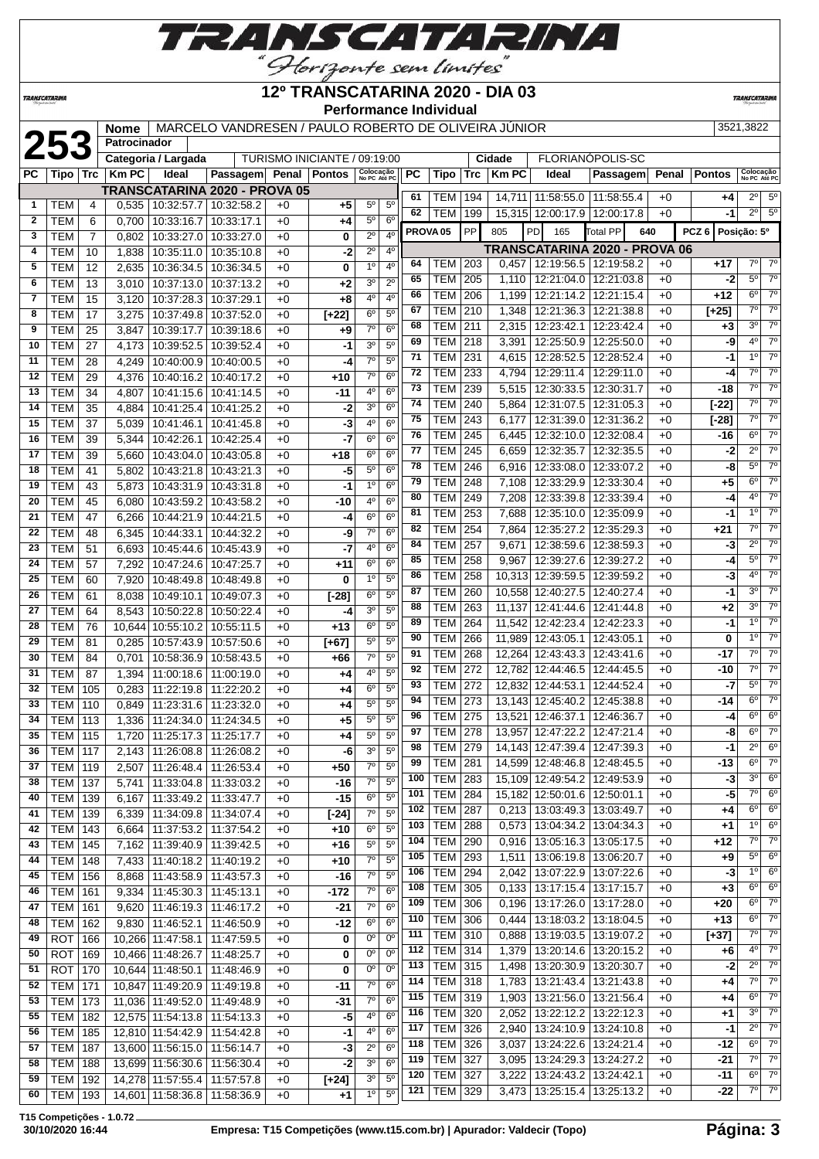|                      |                          |                     |                                    |                              |                                                      |              | 12º TRANSCATARINA 2020 - DIA 03 |                             |                                  |                     |                                  |            |              |                                                                    |                          |              |                  |                            |                          |
|----------------------|--------------------------|---------------------|------------------------------------|------------------------------|------------------------------------------------------|--------------|---------------------------------|-----------------------------|----------------------------------|---------------------|----------------------------------|------------|--------------|--------------------------------------------------------------------|--------------------------|--------------|------------------|----------------------------|--------------------------|
| <b>TRANSCATARINA</b> |                          |                     |                                    |                              |                                                      |              | <b>Performance Individual</b>   |                             |                                  |                     |                                  |            |              |                                                                    |                          |              |                  | <b>TRANSCATARINA</b>       |                          |
|                      | 253                      |                     | <b>Nome</b><br><b>Patrocinador</b> |                              | MARCELO VANDRESEN / PAULO ROBERTO DE OLIVEIRA JUNIOR |              |                                 |                             |                                  |                     |                                  |            |              |                                                                    |                          |              |                  | 3521,3822                  |                          |
|                      |                          |                     |                                    | Categoria / Largada          |                                                      |              | TURISMO INICIANTE / 09:19:00    |                             |                                  |                     |                                  |            | Cidade       |                                                                    | FLORIANÓPOLIS-SC         |              |                  |                            |                          |
| РC                   | Tipo ∣                   | <b>Trc</b>          | <b>KmPC</b>                        | Ideal                        | Passagem Penal Pontos                                |              |                                 |                             | Colocação<br>No PC Até PC        | РC                  | Tipo                             | Trc        | <b>Km PC</b> | Ideal                                                              | Passagem                 | Penal        | <b>Pontos</b>    | Colocação<br>No PC Até PC  |                          |
|                      |                          |                     |                                    |                              | <b>TRANSCATARINA 2020 - PROVA 05</b>                 |              |                                 |                             |                                  | 61                  | TEM                              | 194        |              | 14,711 11:58:55.0                                                  | 11:58:55.4               | $+0$         | +4               | $2^{\circ}$                | $5^{\circ}$              |
| 1                    | TEM                      | 4                   | 0,535                              | 10:32:57.7                   | 10:32:58.2                                           | $+0$         | +5                              | 5°                          | 5 <sup>0</sup>                   | 62                  | TEM                              | 199        |              | 15,315 12:00:17.9                                                  | 12:00:17.8               | $+0$         | -1               | $2^{\circ}$                | 50                       |
| $\mathbf{2}$<br>3    | <b>TEM</b><br><b>TEM</b> | 6<br>$\overline{7}$ | 0,700<br>0,802                     | 10:33:16.7<br>10:33:27.0     | 10:33:17.1<br>10:33:27.0                             | $+0$<br>$+0$ | $+4$<br>0                       | $5^{\circ}$<br>$2^{\circ}$  | 6 <sup>o</sup><br>4 <sup>0</sup> | PROVA <sub>05</sub> |                                  | PP         | 805          | PD<br>165                                                          | Total PP                 | 640          | PCZ <sub>6</sub> | Posição: 5º                |                          |
| 4                    | TEM                      | 10                  | 1,838                              | 10:35:11.0                   | 10:35:10.8                                           | $+0$         | $-2$                            | $2^{\circ}$                 | $4^{\circ}$                      |                     |                                  |            |              | TRANSCATARINA 2020 - PROVA 06                                      |                          |              |                  |                            |                          |
| 5                    | TEM                      | 12                  | 2,635                              | 10:36:34.5                   | 10:36:34.5                                           | $+0$         | 0                               | $1^{\circ}$                 | $4^{\circ}$                      | 64                  | TEM                              | 203        |              | $0,457$   12:19:56.5   12:19:58.2                                  |                          | $+0$         | +17              | 7°                         | $7^\circ$                |
| 6                    | <b>TEM</b>               | 13                  | 3,010                              | 10:37:13.0                   | 10:37:13.2                                           | $+0$         | +2                              | $3^{\circ}$                 | $2^{\circ}$                      | 65                  | TEM                              | 205        | 1,110        | 12:21:04.0                                                         | 12:21:03.8               | $+0$         | -2               | $5^{\circ}$                | $7^\circ$                |
| 7                    | TEM                      | 15                  | 3,120                              | 10:37:28.3                   | 10:37:29.1                                           | $+0$         | +8                              | 4°                          | $4^{\circ}$                      | 66                  | TEM                              | 206        |              | 1.199 12:21:14.2                                                   | 12:21:15.4               | $+0$         | +12              | $6^{\circ}$                | $7^\circ$                |
| 8                    | TEM                      | 17                  | 3,275                              | 10:37:49.8                   | 10:37:52.0                                           | $+0$         | $[+22]$                         | $6^{\circ}$                 | 5 <sup>o</sup>                   | 67                  | TEM                              | 210        |              | $1.348$   12:21:36.3                                               | 12:21:38.8               | $+0$         | $[+25]$          | $7^\circ$                  | $7^\circ$                |
| 9                    | TEM                      | 25                  | 3,847                              | 10:39:17.7                   | 10:39:18.6                                           | $+0$         | +9                              | $7^\circ$                   | $6^{\circ}$                      | 68                  | TEM                              | 211        |              | 2,315 12:23:42.1                                                   | 12:23:42.4               | $+0$         | $+3$             | 3 <sup>o</sup>             | $7^\circ$                |
| 10                   | TEM                      | 27                  | 4,173                              | 10:39:52.5                   | 10:39:52.4                                           | $+0$         | -1                              | $3^{\circ}$                 | $5^{\circ}$                      | 69<br>71            | TEM                              | 218        |              | 3,391   12:25:50.9                                                 | 12:25:50.0               | $+0$         | -9               | 4°<br>1 <sup>0</sup>       | $7^\circ$<br>$7^\circ$   |
| 11                   | <b>TEM</b>               | 28                  | 4,249                              | 10:40:00.9                   | 10:40:00.5                                           | $+0$         | -4                              | $7^\circ$                   | 5 <sup>0</sup>                   | 72                  | TEM<br>TEM                       | 231<br>233 |              | 4,615   12:28:52.5<br>4,794 12:29:11.4                             | 12:28:52.4<br>12:29:11.0 | $+0$<br>$+0$ | -1<br>-4         | $7^\circ$                  | $7^\circ$                |
| 12                   | <b>TEM</b>               | 29                  | 4,376                              | 10:40:16.2                   | 10:40:17.2                                           | $+0$         | $+10$                           | $7^\circ$                   | $6^{\circ}$<br>6 <sup>o</sup>    | 73                  | TEM                              | 239        |              | 5,515   12:30:33.5                                                 | 12:30:31.7               | $+0$         | -18              | $7^{\circ}$                | 7 <sup>0</sup>           |
| 13<br>14             | TEM                      | 34                  | 4,807                              | 10:41:15.6                   | 10:41:14.5                                           | $+0$<br>$+0$ | -11                             | 4°<br>$3^{\circ}$           | 6 <sup>o</sup>                   | 74                  | TEM                              | 240        | 5,864        | 12:31:07.5                                                         | 12:31:05.3               | $+0$         | $[-22]$          | $7^\circ$                  | $7^\circ$                |
| 15                   | TEM<br><b>TEM</b>        | 35<br>37            | 4,884<br>5,039                     | 10:41:25.4<br>10:41:46.1     | 10:41:25.2<br>10:41:45.8                             | $+0$         | -2<br>-3                        | 4°                          | 6 <sup>o</sup>                   | 75                  | TEM                              | 243        | 6,177        | 12:31:39.0                                                         | 12:31:36.2               | $+0$         | [-28]            | $7^{\circ}$                | $7^\circ$                |
| 16                   | TEM                      | 39                  | 5,344                              | 10:42:26.1                   | 10:42:25.4                                           | $+0$         | $-7$                            | 6 <sup>o</sup>              | 6 <sup>o</sup>                   | 76                  | TEM                              | 245        | 6,445        | 12:32:10.0                                                         | 12:32:08.4               | $+0$         | -16              | 6 <sup>o</sup>             | $7^\circ$                |
| 17                   | TEM                      | 39                  | 5,660                              | 10:43:04.0                   | 10:43:05.8                                           | $+0$         | +18                             | 6 <sup>o</sup>              | 6 <sup>o</sup>                   | 77                  | TEM                              | 245        | 6,659        | 12:32:35.7                                                         | 12:32:35.5               | $+0$         | -2               | $2^{\circ}$                | $\overline{70}$          |
| 18                   | <b>TEM</b>               | 41                  | 5,802                              | 10:43:21.8                   | 10:43:21.3                                           | $+0$         | -5                              | $5^{\circ}$                 | $6^{\circ}$                      | 78                  | TEM                              | 246        |              | 6,916   12:33:08.0                                                 | 12:33:07.2               | $+0$         | -8               | $5^{\circ}$                | $7^\circ$                |
| 19                   | TEM                      | 43                  | 5,873                              | 10:43:31.9                   | 10:43:31.8                                           | $+0$         | -1                              | $1^{\circ}$                 | 6 <sup>o</sup>                   | 79                  | TEM                              | 248        | 7,108        | 12:33:29.9                                                         | 12:33:30.4               | $+0$         | $+5$             | $6^{\circ}$                | $7^\circ$                |
| 20                   | <b>TEM</b>               | 45                  | 6,080                              | 10:43:59.2                   | 10:43:58.2                                           | $+0$         | -10                             | 4°                          | 6 <sup>o</sup>                   | 80                  | TEM                              | 249        | 7,208        | 12:33:39.8                                                         | 12:33:39.4               | $+0$         | -4               | 4°                         | $7^\circ$                |
| 21                   | <b>TEM</b>               | 47                  | 6,266                              | 10:44:21.9                   | 10:44:21.5                                           | $+0$         | -4                              | 6 <sup>o</sup>              | 6 <sup>o</sup>                   | 81                  | TEM                              | 253        | 7,688        | 12:35:10.0                                                         | 12:35:09.9               | $+0$         | -1               | $1^{\circ}$                | $7^\circ$                |
| 22                   | TEM                      | 48                  | 6,345                              | 10:44:33.1                   | 10:44:32.2                                           | $+0$         | -9                              | $7^\circ$                   | 6 <sup>o</sup>                   | 82                  | TEM                              | 254        |              | 7,864   12:35:27.2                                                 | 12:35:29.3               | $+0$         | +21              | $7^\circ$                  | 7 <sup>0</sup>           |
| 23                   | TEM                      | 51                  | 6,693                              | 10:45:44.6                   | 10:45:43.9                                           | $+0$         | -7                              | 4°                          | $6^{\circ}$                      | 84<br>85            | <b>TEM</b><br><b>TEM</b>         | 257<br>258 | 9,671        | 12:38:59.6<br>12:39:27.6                                           | 12:38:59.3               | $+0$<br>$+0$ | -3               | $2^{\circ}$<br>$5^{\circ}$ | $7^\circ$<br>$7^\circ$   |
| 24                   | <b>TEM</b>               | 57                  | 7,292                              | 10:47:24.6                   | 10:47:25.7                                           | $+0$         | $+11$                           | 6 <sup>o</sup>              | $6^{\circ}$                      | 86                  | TEM                              | 258        | 9,967        | 10.313 12:39:59.5                                                  | 12:39:27.2<br>12:39:59.2 | $+0$         | -4<br>-3         | 40                         | $7^\circ$                |
| 25                   | TEM                      | 60                  | 7.920                              | 10:48:49.8                   | 10:48:49.8                                           | $+0$         | 0                               | 1 <sup>0</sup>              | $5^{\circ}$                      | 87                  | TEM                              | 260        |              | 10,558 12:40:27.5                                                  | 12:40:27.4               | $+0$         | -1               | 3 <sup>o</sup>             | 7 <sup>0</sup>           |
| 26                   | TEM                      | 61                  | 8.038                              | 10:49:10.1                   | 10:49:07.3                                           | $+0$         | <b>I-281</b>                    | 6 <sup>o</sup><br>30        | 5 <sup>0</sup><br>$5^{\circ}$    | 88                  | <b>TEM</b> 263                   |            |              | 11, 137 12: 41: 44. 6 12: 41: 44. 8                                |                          | $+0$         | $+2$             | $3^{\circ}$                | $7^\circ$                |
| 27<br>28             | TEM  <br><b>TEM</b>      | 64<br>76            | 8,543  <br>10,644                  |                              | 10:50:22.8   10:50:22.4<br>10:55:10.2 10:55:11.5     | $+0$<br>$+0$ | -4<br>+13                       | $6^{\circ}$                 | 5 <sup>0</sup>                   | 89                  | TEM   264                        |            |              | 11,542 12:42:23.4 12:42:23.3                                       |                          | $+0$         | -1               | $1^{\circ}$                | $7^\circ$                |
| 29                   | <b>TEM</b>               | 81                  | 0,285                              |                              | 10:57:43.9   10:57:50.6                              | $+0$         | $[+67]$                         | $5^{\circ}$                 | $5^{\circ}$                      | 90                  | TEM                              | 266        |              | 11,989   12:43:05.1                                                | 12:43:05.1               | +0           | 0                | $1^{\circ}$                | $7^\circ$                |
| 30                   | <b>TEM</b>               | 84                  | 0,701                              |                              | 10:58:36.9 10:58:43.5                                | $+0$         | +66                             | $7^{\circ}$                 | $5^{\rm o}$                      | 91                  | TEM                              | 268        |              | 12,264 12:43:43.3 12:43:41.6                                       |                          | $+0$         | $-17$            | $7^\circ$                  | $7^\circ$                |
| 31                   | <b>TEM</b>               | 87                  | 1,394                              | 11:00:18.6                   | 11:00:19.0                                           | $+0$         | +4                              | 40                          | $5^{\circ}$                      | 92                  | <b>TEM 272</b>                   |            |              | 12,782 12:44:46.5                                                  | 12:44:45.5               | $+0$         | $-10$            | $7^\circ$                  | $7^\circ$                |
| 32                   | TEM                      | 105                 | 0,283                              |                              | 11:22:19.8   11:22:20.2                              | $+0$         | +4                              | $6^{\circ}$                 | $5^{\circ}$                      | 93                  | <b>TEM 272</b>                   |            |              | 12,832 12:44:53.1 12:44:52.4                                       |                          | $+0$         | $-7$             | $5^{\circ}$                | $7^\circ$                |
| 33                   | <b>TEM</b>               | 110                 | 0,849                              | 11:23:31.6                   | 11:23:32.0                                           | $+0$         | +4                              | $5^{\circ}$                 | 5 <sup>o</sup>                   | 94                  | TEM                              | 273        |              | 13,143 12:45:40.2 12:45:38.8                                       |                          | +0           | -14              | $6^{\circ}$                | $7^\circ$                |
| 34                   | TEM                      | 113                 | 1,336                              | 11:24:34.0                   | 11:24:34.5                                           | $+0$         | $+5$                            | $5^{\circ}$                 | $5^{\circ}$                      | 96                  | <b>TEM 275</b>                   |            |              | 13,521   12:46:37.1                                                | 12:46:36.7               | $+0$         | -4               | $6^{\circ}$                | $6^{\circ}$              |
| 35                   | TEM                      | 115                 | 1,720                              | 11:25:17.3                   | 11:25:17.7                                           | $+0$         | +4                              | $5^{\circ}$                 | $5^{\circ}$                      | 97                  | <b>TEM 278</b>                   |            |              | 13,957 12:47:22.2                                                  | 12:47:21.4               | $+0$         | -8               | $6^{\circ}$<br>$2^{\circ}$ | $7^\circ$<br>$6^{\circ}$ |
| 36                   | <b>TEM</b>               | 117                 | 2,143                              | 11:26:08.8                   | 11:26:08.2                                           | $+0$         | -6                              | 3 <sup>o</sup>              | 5 <sup>0</sup>                   | 98<br>99            | <b>TEM 279</b><br><b>TEM 281</b> |            |              | 14,143 12:47:39.4 12:47:39.3<br>14,599 12:48:46.8 12:48:45.5       |                          | $+0$<br>$+0$ | $-1$<br>$-13$    | $6^{\circ}$                | $7^\circ$                |
| 37                   | <b>TEM</b>               | 119                 | 2,507                              | 11:26:48.4                   | 11:26:53.4                                           | $+0$         | +50                             | 70                          | $5^{\circ}$                      | 100                 | <b>TEM 283</b>                   |            |              | 15,109 12:49:54.2 12:49:53.9                                       |                          | $+0$         | $-3$             | $3^{\circ}$                | $6^{\circ}$              |
| 38                   | TEM                      | 137                 | 5,741                              | 11:33:04.8                   | 11:33:03.2                                           | $+0$         | -16                             | $7^\circ$<br>6 <sup>o</sup> | 5 <sup>o</sup><br>$5^{\rm o}$    | 101                 | <b>TEM 284</b>                   |            |              | 15,182 12:50:01.6 12:50:01.1                                       |                          | $+0$         | -5               | $7^\circ$                  | $6^{\circ}$              |
| 40<br>41             | <b>TEM</b><br><b>TEM</b> | 139<br>139          | 6,167<br>6,339                     | 11:33:49.2<br>11:34:09.8     | 11:33:47.7<br>11:34:07.4                             | $+0$<br>$+0$ | $-15$<br>$[-24]$                | 7 <sup>o</sup>              | 5 <sup>0</sup>                   | 102                 | <b>TEM 287</b>                   |            |              | $0,213$   13:03:49.3   13:03:49.7                                  |                          | $+0$         | +4               | $6^{\circ}$                | 6 <sup>o</sup>           |
| 42                   | TEM                      | 143                 | 6,664                              | 11:37:53.2                   | 11:37:54.2                                           | $+0$         | +10                             | $6^{\circ}$                 | 5 <sup>o</sup>                   | 103                 | <b>TEM 288</b>                   |            |              | 0,573   13:04:34.2   13:04:34.3                                    |                          | $+0$         | $+1$             | $1^{\circ}$                | $6^{\circ}$              |
| 43                   | <b>TEM</b>               | 145                 | 7,162                              | 11:39:40.9                   | 11:39:42.5                                           | $+0$         | +16                             | $5^{\circ}$                 | $5^{\circ}$                      | 104                 | TEM                              | 290        |              | $0,916$   13:05:16.3   13:05:17.5                                  |                          | $+0$         | +12              | $7^\circ$                  | $7^\circ$                |
| 44                   | TEM                      | 148                 | 7,433                              | 11:40:18.2                   | 11:40:19.2                                           | $+0$         | +10                             | $7^\circ$                   | 5 <sup>0</sup>                   | 105                 | <b>TEM</b>                       | 293        |              | 1,511   13:06:19.8                                                 | 13:06:20.7               | $+0$         | +9               | $5^{\circ}$                | 6 <sup>o</sup>           |
| 45                   | TEM                      | 156                 | 8,868                              | 11:43:58.9                   | 11:43:57.3                                           | $+0$         | -16                             | 7 <sup>o</sup>              | 5 <sup>0</sup>                   | 106                 | <b>TEM</b>                       | 294        |              | 2,042   13:07:22.9   13:07:22.6                                    |                          | $+0$         | -3               | 10                         | $6^{\circ}$              |
| 46                   | TEM                      | 161                 | 9,334                              | 11:45:30.3                   | 11:45:13.1                                           | $+0$         | $-172$                          | $7^\circ$                   | 6 <sup>o</sup>                   | 108                 | <b>TEM</b>                       | 305        |              | $0,133$   13:17:15.4   13:17:15.7                                  |                          | $+0$         | $+3$             | $6^{\circ}$                | $6^{\circ}$              |
| 47                   | TEM                      | 161                 | 9,620                              | 11:46:19.3                   | 11:46:17.2                                           | $+0$         | -21                             | $7^\circ$                   | 6 <sup>o</sup>                   | 109                 | <b>TEM</b>                       | 306        |              | $0,196$   13:17:26.0   13:17:28.0                                  |                          | $+0$         | $+20$            | $6^{\circ}$                | $7^\circ$                |
| 48                   | TEM                      | 162                 | 9,830                              | 11:46:52.1                   | $\overline{11}$ :46:50.9                             | $+0$         | -12                             | $6^{\circ}$                 | 6 <sup>o</sup>                   | 110                 | TEM                              | 306        |              | $0,444$   13:18:03.2   13:18:04.5                                  |                          | $+0$         | +13              | $6^{\circ}$                | $7^\circ$                |
| 49                   | ROT                      | 166                 |                                    | 10,266 11:47:58.1            | 11:47:59.5                                           | $+0$         | 0                               | $0^{\rm o}$                 | $0^{\circ}$                      | 111                 | <b>TEM 310</b>                   |            |              | 0,888   13:19:03.5   13:19:07.2                                    |                          | $+0$         | $[+37]$          | $7^{\circ}$                | $7^\circ$                |
| 50                   | ROT                      | 169                 |                                    | 10,466 11:48:26.7            | 11:48:25.7                                           | $+0$         | 0                               | $0^{\circ}$                 | $0^{\circ}$                      | 112                 | $TEM$ 314                        |            |              | 1,379   13:20:14.6   13:20:15.2                                    |                          | $+0$         | +6               | $4^{\circ}$<br>$2^{\circ}$ | $7^\circ$<br>$7^\circ$   |
| 51                   | $ROT$ 170                |                     |                                    | 10,644 11:48:50.1            | 11:48:46.9                                           | $+0$         | 0                               | 0°                          | $0^{\circ}$                      | 113<br>114          | <b>TEM 315</b><br><b>TEM 318</b> |            |              | 1,498   13:20:30.9   13:20:30.7<br>1,783   13:21:43.4   13:21:43.8 |                          | $+0$<br>$+0$ | $-2$<br>$+4$     | $7^{\circ}$                | $7^\circ$                |
| 52                   | <b>TEM 171</b>           |                     |                                    | 10,847 11:49:20.9 11:49:19.8 |                                                      | $+0$         | $-11$                           | 70                          | 6 <sup>o</sup>                   |                     |                                  |            |              |                                                                    |                          |              |                  |                            |                          |

 TEM 173 11,036 11:49:52.0 11:49:48.9 +0 **-31** 7º 6º TEM 182 12,575 11:54:13.8 11:54:13.3 +0 **-5** 4º 6º TEM 185 12,810 11:54:42.9 11:54:42.8 +0 **-1** 4º 6º TEM 187 13,600 11:56:15.0 11:56:14.7 +0 **-3** 2º 6º TEM 188 13,699 11:56:30.6 11:56:30.4 +0 **-2** 3º 6º TEM 192 14,278 11:57:55.4 11:57:57.8 +0 **[+24]** 3º 5º TEM 193 14,601 11:58:36.8 11:58:36.9 +0 **+1** 1º 5º

 TEM 319 1,903 13:21:56.0 13:21:56.4 +0 **+4** 6º 7º TEM 320 2,052 13:22:12.2 13:22:12.3 +0 **+1** 3º 7º TEM 326 2,940 13:24:10.9 13:24:10.8 +0 **-1** 2º 7º TEM 326 3,037 13:24:22.6 13:24:21.4 +0 **-12** 6º 7º TEM 327 3,095 13:24:29.3 13:24:27.2 +0 **-21** 7º 7º TEM 327 3,222 13:24:43.2 13:24:42.1 +0 **-11** 6º 7º TEM 329 3,473 13:25:15.4 13:25:13.2 +0 **-22** 7º 7º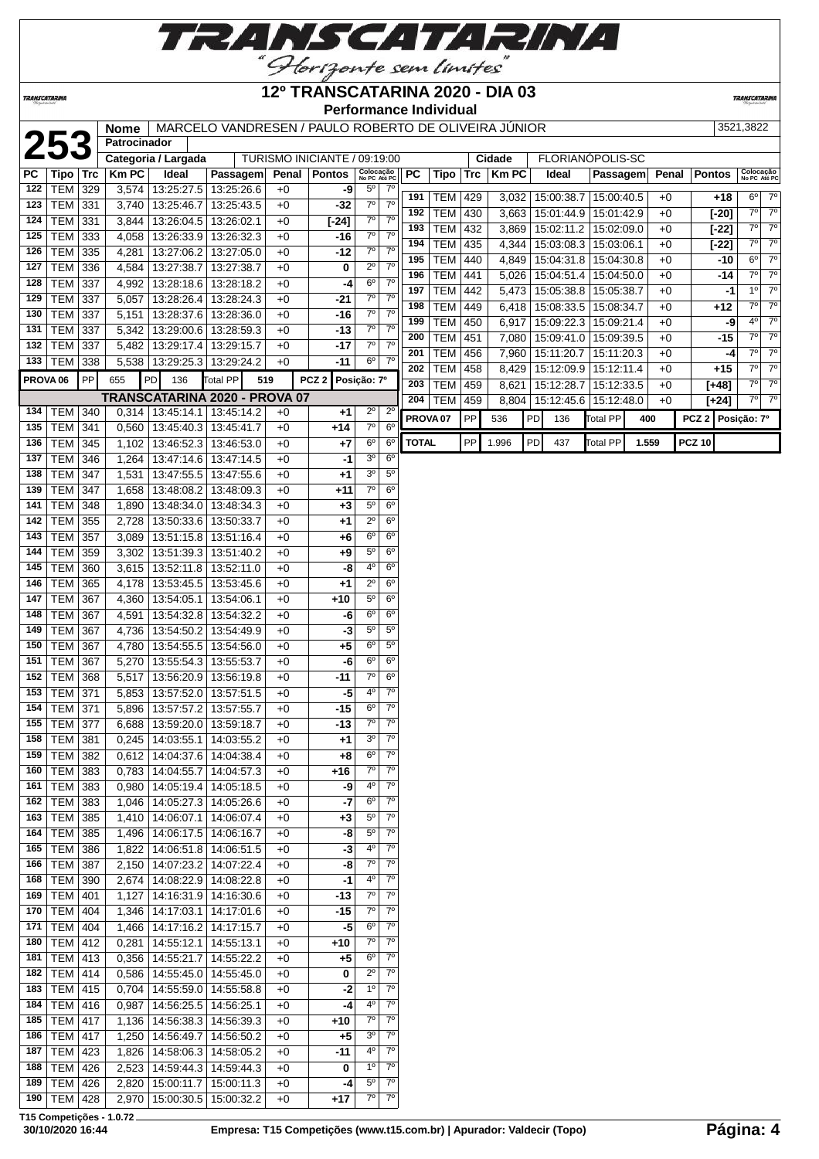

**TRANSCATARINA** 

## **12º TRANSCATARINA 2020 - DIA 03 Performance Individual**

**TRANSCATARIN** 

|                     |                |     | <b>Nome</b>  |                                    | MARCELO VANDRESEN / PAULO ROBERTO DE OLIVEIRA JUNIOR |       |                              |                           |                        |                     |            |     |        |    |                                 |                 |       |       |                   | 3521,3822                 |                |
|---------------------|----------------|-----|--------------|------------------------------------|------------------------------------------------------|-------|------------------------------|---------------------------|------------------------|---------------------|------------|-----|--------|----|---------------------------------|-----------------|-------|-------|-------------------|---------------------------|----------------|
|                     | 253            |     | Patrocinador |                                    |                                                      |       |                              |                           |                        |                     |            |     |        |    |                                 |                 |       |       |                   |                           |                |
|                     |                |     |              | Categoria / Largada                |                                                      |       | TURISMO INICIANTE / 09:19:00 |                           |                        |                     |            |     | Cidade |    | FLORIANÓPOLIS-SC                |                 |       |       |                   |                           |                |
| PC.                 | Tipo   Trc     |     | <b>Km PC</b> | Ideal                              | Passagem                                             | Penal | <b>Pontos</b>                | Colocação<br>No PC Até PC |                        | PC                  | Tipo       | Trc | KmPC   |    | Ideal                           | Passagem        |       | Penal | <b>Pontos</b>     | Colocação<br>No PC Até PC |                |
| 122                 | <b>TEM 329</b> |     | 3,574        | 13:25:27.5                         | 13:25:26.6                                           | +0    | -9                           | $5^{\circ}$               | $7^\circ$              | 191                 | TEM        | 429 | 3,032  |    | 15:00:38.7   15:00:40.5         |                 |       | $+0$  | +18               |                           | $6^{\circ}$ 7° |
| 123                 | <b>TEM 331</b> |     | 3,740        | 13:25:46.7                         | 13:25:43.5                                           | $+0$  | -32                          | $7^\circ$                 | $7^\circ$              | 192                 | <b>TEM</b> | 430 | 3,663  |    | 15:01:44.9 15:01:42.9           |                 |       | $+0$  | $[-20]$           | 7º                        | $7^\circ$      |
| 124                 | TEM 331        |     | 3,844        | 13:26:04.5   13:26:02.1            |                                                      | $+0$  | $[-24]$                      | $7^\circ$                 | $7^\circ$              | 193                 | <b>TEM</b> | 432 | 3,869  |    | 15:02:11.2   15:02:09.0         |                 |       | $+0$  | [-22]             | $7^{\circ}$               | $7^\circ$      |
| 125                 | <b>TEM</b>     | 333 | 4,058        | 13:26:33.9 13:26:32.3              |                                                      | $+0$  | -16                          | $\overline{6}$            | $7^{\circ}$            | 194                 | <b>TEM</b> | 435 | 4,344  |    | 15:03:08.3   15:03:06.1         |                 |       | $+0$  | [-22]             | 7°                        | $7^\circ$      |
| 126                 | TEM 335        |     | 4,281        | 13:27:06.2   13:27:05.0            |                                                      | $+0$  | $-12$                        | 7 <sup>o</sup>            | $7^\circ$              | 195                 | <b>TEM</b> | 440 | 4,849  |    | 15:04:31.8 15:04:30.8           |                 |       | $+0$  | -10               | $6^{\circ}$               | $7^\circ$      |
| 127                 | TEM 336        |     | 4,584        | 13:27:38.7                         | 13:27:38.7                                           | $+0$  | 0                            | $2^{\circ}$               | $7^\circ$              | 196                 | TEM        | 441 | 5,026  |    | 15:04:51.4   15:04:50.0         |                 |       | $+0$  | -14               | $7^\circ$                 | $7^\circ$      |
| 128                 | <b>TEM</b>     | 337 | 4,992        | 13:28:18.6   13:28:18.2            |                                                      | $+0$  | -4                           | 6 <sup>o</sup>            | $7^{\circ}$            | 197                 | <b>TEM</b> | 442 |        |    | 5,473   15:05:38.8   15:05:38.7 |                 |       | $+0$  | -1                | $1^{\circ}$               | $7^\circ$      |
| 129                 | <b>TEM</b>     | 337 | 5,057        | 13:28:26.4                         | 13:28:24.3                                           | $+0$  | -21                          | $7^\circ$                 | $7^\circ$              | 198                 | <b>TEM</b> | 449 | 6,418  |    | 15:08:33.5   15:08:34.7         |                 |       | $+0$  | +12               | $7^{\circ}$               | $7^\circ$      |
| 130                 | <b>TEM</b>     | 337 | 5,151        | 13:28:37.6   13:28:36.0            |                                                      | +0    | -16                          | 7 <sup>o</sup>            | $7^\circ$              | 199                 | <b>TEM</b> | 450 | 6,917  |    | 15:09:22.3   15:09:21.4         |                 |       | $+0$  | -9                | 4º                        | $7^\circ$      |
| 131                 | <b>TEM 337</b> |     | 5,342        | 13:29:00.6                         | 13:28:59.3                                           | +0    | $-13$                        | $7^\circ$                 | 7 <sup>0</sup>         | 200                 | <b>TEM</b> | 451 | 7,080  |    | 15:09:41.0   15:09:39.5         |                 |       | $+0$  | -15               | $7^\circ$                 | $7^\circ$      |
| 132                 | <b>TEM 337</b> |     | 5,482        | 13:29:17.4   13:29:15.7            |                                                      | $+0$  | $-17$                        | $7^\circ$                 | $7^{\circ}$            | 201                 | <b>TEM</b> | 456 | 7,960  |    | 15:11:20.7   15:11:20.3         |                 |       | $+0$  | -4                | $7^\circ$                 | $7^\circ$      |
| 133                 | TEM 338        |     | 5,538        | 13:29:25.3 13:29:24.2              |                                                      | $+0$  | $-11$                        | $6^{\circ}$               | $7^\circ$              | 202                 | <b>TEM</b> | 458 | 8,429  |    | 15:12:09.9   15:12:11.4         |                 |       | $+0$  | $+15$             | $7^{\circ}$               | $7^\circ$      |
| PROVA <sub>06</sub> |                | PP  | 655          | PD<br>136                          | Total PP<br>519                                      |       | PCZ <sub>2</sub>             | Posição: 7º               |                        | 203                 | <b>TEM</b> | 459 | 8,621  |    | 15:12:28.7   15:12:33.5         |                 |       | $+0$  | [+48]             | $7^\circ$                 | $7^\circ$      |
|                     |                |     |              |                                    | TRANSCATARINA 2020 - PROVA 07                        |       |                              |                           |                        | 204                 | <b>TEM</b> | 459 | 8,804  |    | 15:12:45.6 15:12:48.0           |                 |       | $+0$  | [+24]             |                           | $7^\circ$ 7°   |
| 134                 | <b>TEM 340</b> |     |              | $0,314$   13:45:14.1   13:45:14.2  |                                                      | $+0$  | +1                           | $2^{\circ}$               | $\overline{2^0}$       |                     |            |     |        |    |                                 |                 |       |       |                   |                           |                |
| 135                 | <b>TEM 341</b> |     | 0,560        | 13:45:40.3 13:45:41.7              |                                                      | $+0$  | $+14$                        | $7^\circ$                 | $6^{\circ}$            | PROVA <sub>07</sub> |            | PP  | 536    | PD | 136                             | <b>Total PP</b> | 400   |       | PCZ 2 Posição: 7º |                           |                |
| 136                 | <b>TEM 345</b> |     | 1,102        | 13:46:52.3 13:46:53.0              |                                                      | $+0$  | $+7$                         | $6^{\circ}$               | $6^{\circ}$            | <b>TOTAL</b>        |            | PP  | 1.996  | PD | 437                             | Total PP        | 1.559 |       | <b>PCZ 10</b>     |                           |                |
| 137                 | TEM 346        |     | 1,264        | 13:47:14.6   13:47:14.5            |                                                      | $+0$  | $-1$                         | 3 <sup>o</sup>            | 6 <sup>o</sup>         |                     |            |     |        |    |                                 |                 |       |       |                   |                           |                |
| 138                 | <b>TEM 347</b> |     | 1,531        | 13:47:55.5   13:47:55.6            |                                                      | $+0$  | $+1$                         | 3 <sup>0</sup>            | $5^{\circ}$            |                     |            |     |        |    |                                 |                 |       |       |                   |                           |                |
| 139                 | $TEM$ 347      |     | 1,658        | 13:48:08.2                         | 13:48:09.3                                           | $+0$  | $+11$                        | $\overline{7^{\circ}}$    | 6 <sup>o</sup>         |                     |            |     |        |    |                                 |                 |       |       |                   |                           |                |
| 141                 | <b>TEM</b>     | 348 | 1,890        | 13:48:34.0 13:48:34.3              |                                                      | $+0$  | $+3$                         | $5^{\circ}$               | 6 <sup>o</sup>         |                     |            |     |        |    |                                 |                 |       |       |                   |                           |                |
| 142                 | <b>TEM</b>     | 355 | 2,728        | 13:50:33.6   13:50:33.7            |                                                      | $+0$  | $+1$                         | $2^{\circ}$               | 6 <sup>o</sup>         |                     |            |     |        |    |                                 |                 |       |       |                   |                           |                |
| 143                 | <b>TEM</b>     | 357 | 3,089        | 13:51:15.8   13:51:16.4            |                                                      | $+0$  | $+6$                         | $6^{\circ}$               | 6 <sup>o</sup>         |                     |            |     |        |    |                                 |                 |       |       |                   |                           |                |
| 144                 | TEM 359        |     | 3,302        | 13:51:39.3                         | 13:51:40.2                                           | +0    | $+9$                         | $\overline{5^0}$          | $6^{\circ}$            |                     |            |     |        |    |                                 |                 |       |       |                   |                           |                |
| 145                 | <b>TEM</b>     | 360 | 3,615        | 13:52:11.8   13:52:11.0            |                                                      | $+0$  | -8                           | 40                        | $6^{\circ}$            |                     |            |     |        |    |                                 |                 |       |       |                   |                           |                |
| 146                 | <b>TEM</b>     | 365 | 4,178        | 13:53:45.5   13:53:45.6            |                                                      | $+0$  | $+1$                         | $2^{\circ}$               | 6 <sup>o</sup>         |                     |            |     |        |    |                                 |                 |       |       |                   |                           |                |
| 147                 | <b>TEM 367</b> |     | 4,360        | 13:54:05.1                         | 13:54:06.1                                           | $+0$  | $+10$                        | $5^{\circ}$               | 6 <sup>o</sup>         |                     |            |     |        |    |                                 |                 |       |       |                   |                           |                |
| 148                 | <b>TEM 367</b> |     | 4,591        | 13:54:32.8                         | 13:54:32.2                                           | $+0$  | -6                           | $6^{\circ}$               | $6^{\circ}$            |                     |            |     |        |    |                                 |                 |       |       |                   |                           |                |
| 149                 | <b>TEM 367</b> |     | 4,736        | 13:54:50.2                         | 13:54:49.9                                           | $+0$  | -3                           | $\overline{5^0}$          | $5^{\circ}$            |                     |            |     |        |    |                                 |                 |       |       |                   |                           |                |
| 150                 | <b>TEM</b>     | 367 | 4,780        | 13:54:55.5   13:54:56.0            |                                                      | $+0$  | $+5$                         | $6^{\circ}$               | 5 <sup>0</sup>         |                     |            |     |        |    |                                 |                 |       |       |                   |                           |                |
| 151                 | <b>TEM</b>     | 367 | 5,270        | 13:55:54.3   13:55:53.7            |                                                      | $+0$  | -6                           | $6^{\circ}$               | 6 <sup>o</sup>         |                     |            |     |        |    |                                 |                 |       |       |                   |                           |                |
| 152                 | <b>TEM</b>     | 368 | 5,517        | 13:56:20.9   13:56:19.8            |                                                      | +0    | -11                          | 7 <sup>o</sup>            | 6 <sup>o</sup>         |                     |            |     |        |    |                                 |                 |       |       |                   |                           |                |
| 153                 | <b>TEM 371</b> |     | 5,853        | 13:57:52.0                         | 13:57:51.5                                           | +0    | -5                           | 4 <sup>0</sup>            | $7^\circ$              |                     |            |     |        |    |                                 |                 |       |       |                   |                           |                |
| 154                 | <b>TEM</b>     | 371 | 5,896        | 13:57:57.2                         | 13:57:55.7                                           | $+0$  | $-15$                        | $6^{\circ}$               | $7^\circ$              |                     |            |     |        |    |                                 |                 |       |       |                   |                           |                |
| 155                 | <b>TEM 377</b> |     | 6,688        | 13:59:20.0 13:59:18.7              |                                                      | $+0$  | $-13$                        | $7^\circ$                 | $7^\circ$              |                     |            |     |        |    |                                 |                 |       |       |                   |                           |                |
|                     | 158 TEM 381    |     |              | 0,245 14:03:55.1 14:03:55.2        |                                                      | $+0$  | $+1$                         | $3^{\circ}$               | 7 <sup>o</sup>         |                     |            |     |        |    |                                 |                 |       |       |                   |                           |                |
| 159                 | <b>TEM 382</b> |     | 0,612        | 14:04:37.6   14:04:38.4            |                                                      | $+0$  | $+8$                         | $6^{\circ}$               | $\overline{7^{\circ}}$ |                     |            |     |        |    |                                 |                 |       |       |                   |                           |                |
| 160                 | TEM 383        |     | 0,783        | 14:04:55.7                         | 14:04:57.3                                           | $+0$  | $+16$                        | $7^\circ$                 | $7^\circ$              |                     |            |     |        |    |                                 |                 |       |       |                   |                           |                |
| 161                 | TEM 383        |     | 0,980        | 14:05:19.4   14:05:18.5            |                                                      | $+0$  | -9                           | $4^{\circ}$               | $7^\circ$              |                     |            |     |        |    |                                 |                 |       |       |                   |                           |                |
| 162                 | TEM 383        |     | 1,046        | 14:05:27.3                         | 14:05:26.6                                           | +0    | -7                           | $6^{\circ}$               | $7^\circ$              |                     |            |     |        |    |                                 |                 |       |       |                   |                           |                |
| 163                 | <b>TEM</b>     | 385 | 1,410        | 14:06:07.1                         | 14:06:07.4                                           | +0    | $+3$                         | 5°                        | $7^\circ$              |                     |            |     |        |    |                                 |                 |       |       |                   |                           |                |
| 164                 | <b>TEM 385</b> |     | 1,496        | 14:06:17.5                         | 14:06:16.7                                           | $+0$  | -8                           | $5^{\circ}$               | $7^{\circ}$            |                     |            |     |        |    |                                 |                 |       |       |                   |                           |                |
| 165                 | TEM 386        |     | 1,822        | $\overline{14:06:51.8}$ 14:06:51.5 |                                                      | $+0$  | -3                           | $4^{\circ}$               | $7^\circ$              |                     |            |     |        |    |                                 |                 |       |       |                   |                           |                |
| 166                 | <b>TEM 387</b> |     | 2,150        | 14:07:23.2 14:07:22.4              |                                                      | $+0$  | -8                           | $7^\circ$                 | $7^\circ$              |                     |            |     |        |    |                                 |                 |       |       |                   |                           |                |
| 168                 | TEM 390        |     | 2,674        | 14:08:22.9 14:08:22.8              |                                                      | $+0$  | -1                           | $4^{\circ}$               | $7^\circ$              |                     |            |     |        |    |                                 |                 |       |       |                   |                           |                |
| 169                 | TEM 401        |     | 1,127        | 14:16:31.9 14:16:30.6              |                                                      | $+0$  | $-13$                        | $7^\circ$                 | $7^\circ$              |                     |            |     |        |    |                                 |                 |       |       |                   |                           |                |
| 170                 | TEM   404      |     | 1,346        |                                    | 14:17:03.1   14:17:01.6                              | $+0$  | $-15$                        | $7^\circ$                 | $7^\circ$              |                     |            |     |        |    |                                 |                 |       |       |                   |                           |                |
| 171                 | <b>TEM 404</b> |     | 1,466        | 14:17:16.2   14:17:15.7            |                                                      | $+0$  | -5                           | $6^{\circ}$               | $7^{\circ}$            |                     |            |     |        |    |                                 |                 |       |       |                   |                           |                |
| 180                 | <b>TEM 412</b> |     | 0,281        | 14:55:12.1                         | 14:55:13.1                                           | $+0$  | +10                          | $7^\circ$                 | $7^\circ$              |                     |            |     |        |    |                                 |                 |       |       |                   |                           |                |
| 181                 | <b>TEM 413</b> |     | 0,356        | 14:55:21.7                         | 14:55:22.2                                           | +0    | $+5$                         | $6^{\circ}$               | $7^\circ$              |                     |            |     |        |    |                                 |                 |       |       |                   |                           |                |
| 182                 | <b>TEM 414</b> |     | 0,586        | 14:55:45.0                         | 14:55:45.0                                           | +0    | 0                            | $2^{\circ}$               | $7^{\circ}$            |                     |            |     |        |    |                                 |                 |       |       |                   |                           |                |
| 183                 | TEM 415        |     | 0,704        | 14:55:59.0   14:55:58.8            |                                                      | $+0$  | -2                           | $1^{\circ}$               | $7^\circ$              |                     |            |     |        |    |                                 |                 |       |       |                   |                           |                |
| 184                 | $TEM$ 416      |     | 0,987        | 14:56:25.5   14:56:25.1            |                                                      | $+0$  | -4                           | $4^{\circ}$               | $7^\circ$              |                     |            |     |        |    |                                 |                 |       |       |                   |                           |                |
| 185                 | <b>TEM 417</b> |     | 1,136        | 14:56:38.3   14:56:39.3            |                                                      | $+0$  | +10                          | 7°                        | $7^{\circ}$            |                     |            |     |        |    |                                 |                 |       |       |                   |                           |                |
| 186                 | $TEM$ 417      |     | 1,250        | 14:56:49.7                         | 14:56:50.2                                           | $+0$  | $+5$                         | 3 <sup>o</sup>            | $7^\circ$              |                     |            |     |        |    |                                 |                 |       |       |                   |                           |                |
| 187                 | <b>TEM 423</b> |     | 1,826        | 14:58:06.3                         | 14:58:05.2                                           | $+0$  | $-11$                        | 4°                        | $7^{\circ}$            |                     |            |     |        |    |                                 |                 |       |       |                   |                           |                |
| 188                 | <b>TEM</b>     | 426 | 2,523        | 14:59:44.3   14:59:44.3            |                                                      | $+0$  | 0                            | 1 <sup>0</sup>            | $7^\circ$              |                     |            |     |        |    |                                 |                 |       |       |                   |                           |                |
| 189                 | $TEM$ 426      |     | 2,820        | 15:00:11.7                         | 15:00:11.3                                           | +0    | -4                           | $5^{\circ}$               | $7^\circ$              |                     |            |     |        |    |                                 |                 |       |       |                   |                           |                |
| 190                 | $TEM$ 428      |     | 2,970        | 15:00:30.5 15:00:32.2              |                                                      | +0    | $+17$                        | $7^\circ$                 | $7^{\circ}$            |                     |            |     |        |    |                                 |                 |       |       |                   |                           |                |
|                     |                |     |              |                                    |                                                      |       |                              |                           |                        |                     |            |     |        |    |                                 |                 |       |       |                   |                           |                |

**T15 Competições - 1.0.72**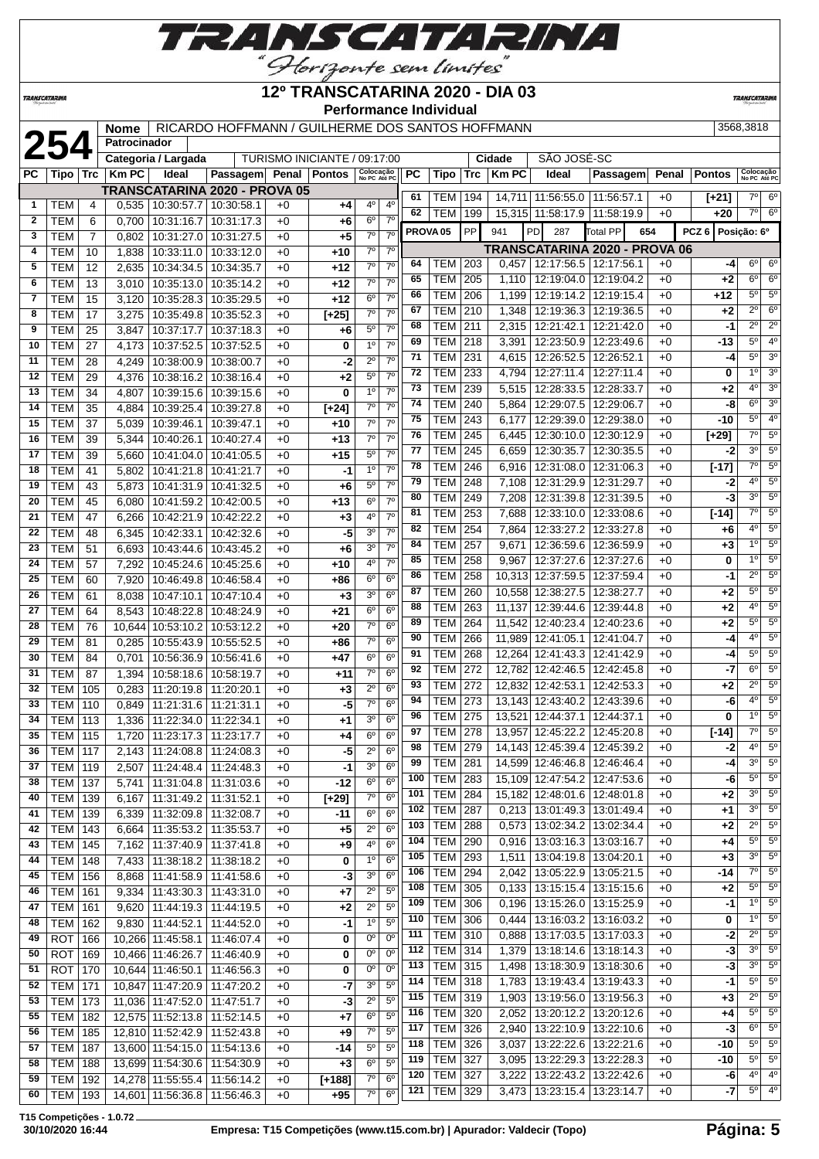

# **12º TRANSCATARINA 2020 - DIA 03**

|                      |            |            |              |                     |                                                  |      | Horizonte sem limites                                            |                           |                  |                          |                     |            |              |           |                                      |            |     |              |                  |                           |                  |
|----------------------|------------|------------|--------------|---------------------|--------------------------------------------------|------|------------------------------------------------------------------|---------------------------|------------------|--------------------------|---------------------|------------|--------------|-----------|--------------------------------------|------------|-----|--------------|------------------|---------------------------|------------------|
| <b>TRANSCATARINA</b> |            |            |              |                     |                                                  |      | 12º TRANSCATARINA 2020 - DIA 03<br><b>Performance Individual</b> |                           |                  |                          |                     |            |              |           |                                      |            |     |              |                  | <b>TRANSCATARINA</b>      |                  |
|                      |            |            | <b>Nome</b>  |                     | RICARDO HOFFMANN / GUILHERME DOS SANTOS HOFFMANN |      |                                                                  |                           |                  |                          |                     |            |              |           |                                      |            |     |              |                  | 3568.3818                 |                  |
|                      | 25         |            | Patrocinador |                     |                                                  |      |                                                                  |                           |                  |                          |                     |            |              |           |                                      |            |     |              |                  |                           |                  |
|                      |            |            |              | Categoria / Largada |                                                  |      | TURISMO INICIANTE / 09:17:00                                     |                           |                  |                          |                     |            | Cidade       |           | SÃO JOSÉ-SC                          |            |     |              |                  |                           |                  |
| <b>PC</b>            | Tipo       | <b>Trc</b> | <b>Km PC</b> | Ideal               | Passagem Penal                                   |      | Pontos                                                           | Colocação<br>No PC Até PC |                  | <b>PC</b>                | Tipo                | <b>Trc</b> | <b>Km PC</b> |           | Ideal                                | Passagem   |     | Penal        | <b>Pontos</b>    | Colocação<br>No PC Até PC |                  |
|                      |            |            |              |                     | TRANSCATARINA 2020 - PROVA 05                    |      |                                                                  |                           |                  | 61                       | <b>TEM</b>          | 194        | 14.711       |           | 11:56:55.0                           | 11:56:57.1 |     |              |                  | $7^\circ$                 | $6^{\circ}$      |
|                      | <b>TEM</b> | 4          | 0.535        | 10:30:57.7          | 10:30:58.1                                       | $+0$ | $+4$                                                             | $4^{\circ}$               | 4 <sup>0</sup>   | 62                       |                     |            |              |           |                                      |            |     | $+0$<br>$+0$ | $[+21]$          | $7^\circ$                 | $6^{\circ}$      |
| $\mathbf{2}$         | <b>TEM</b> | 6          | 0.700        | 10:31:16.7          | 10:31:17.3                                       | $+0$ | $+6$                                                             | 6 <sup>o</sup>            | $7^\circ$        |                          | <b>TEM 199</b>      |            |              |           | 15,315 11:58:17.9                    | 11:58:19.9 |     |              | $+20$            |                           |                  |
| 3                    | <b>TEM</b> | 7          | 0.802        | 10:31:27.0          | 10:31:27.5                                       | $+0$ | $+5$                                                             | $7^\circ$                 | 70               |                          | PROVA <sub>05</sub> | <b>PP</b>  | 941          | <b>PD</b> | 287                                  | Total PP   | 654 |              | PCZ <sub>6</sub> | Posição: 6º               |                  |
| 4                    | <b>TEM</b> | 10         | 1.838        | 10:33:11.0          | 10:33:12.0                                       | $+0$ | $+10$                                                            | $7^\circ$                 | $7^\circ$        |                          |                     |            |              |           | <b>TRANSCATARINA 2020 - PROVA 06</b> |            |     |              |                  |                           |                  |
| 5                    | <b>TEM</b> | 12         | 2.635        | 10:34:34.5          | 10:34:35.7                                       | $+0$ | $+12$                                                            | $7^\circ$                 | 70               | 64                       | TEM   203           |            | 0.457        |           | 12:17:56.5                           | 12:17:56.1 |     | $+0$         | -4               | $6^{\circ}$               | $6^{\circ}$      |
| 6                    | <b>TEM</b> | 13         | 3.010        | 10:35:13.0          | 10:35:14.2                                       | $+0$ | $+12$                                                            | 7 <sup>0</sup>            | 7 <sup>0</sup>   | 65                       | <b>TEM</b>          | 205        | 1.110        |           | 12:19:04.0                           | 12:19:04.2 |     | $+0$         | $+2$             | $6^{\circ}$               | $6^{\circ}$      |
| 7                    | <b>TEM</b> | 15         | 3,120        | 10:35:28.3          | 10:35:29.5                                       | $+0$ | $+12$                                                            | 6 <sup>o</sup>            | $7^\circ$        | 66                       | <b>TEM</b>          | 206        | 1.199        |           | 12:19:14.2                           | 12:19:15.4 |     | $+0$         | $+12$            | $5^{\circ}$               | 5 <sup>0</sup>   |
| 8                    | <b>TEM</b> | 17         | 3.275        | 10:35:49.8          | 10:35:52.3                                       | $+0$ | $[+25]$                                                          | $7^\circ$                 | $7^\circ$        | 67                       | TEM 210             |            | 1,348        |           | 12:19:36.3                           | 12:19:36.5 |     | $+0$         | $+2$             | $2^{\circ}$               | $6^{\circ}$      |
| 9                    | TEM        | 25         | 3.847        | 10:37:17.7          | 10:37:18.3                                       | $+0$ | $+6$                                                             | 5 <sup>o</sup>            | 70               | 68                       | <b>TEM 211</b>      |            | 2,315        |           | 12:21:42.1                           | 12:21:42.0 |     | $+0$         | -1               | $2^{\circ}$               | $2^{\circ}$      |
| 10                   | <b>TEM</b> | 27         | 4.173        | 10:37:52.5          | 10:37:52.5                                       | $+0$ | $\bf{0}$                                                         | 10                        | $\overline{7^0}$ | 69                       | <b>TEM 218</b>      |            | 3.391        |           | 12:23:50.9                           | 12:23:49.6 |     | $+0$         | $-13$            | 5 <sup>0</sup>            | 4 <sup>0</sup>   |
| 11                   | <b>TEM</b> | 28         | 4.249        | 10:38:00.9          | 10:38:00.7                                       | $+0$ | -2                                                               | $2^{\circ}$               | $7^\circ$        | 71                       | <b>TEM</b>          | 231        | 4.615        |           | 12:26:52.5                           | 12:26:52.1 |     | $+0$         | $-4$             | $\overline{5^0}$          | $\overline{3^0}$ |
| 12                   | <b>TEM</b> | 29         | 4,376        | 10:38:16.2          | 10:38:16.4                                       | $+0$ | $+2$                                                             | $5^{\circ}$               | $7^\circ$        | 72                       | <b>TEM</b>          | 233        | 4.794        |           | 12:27:11.4                           | 12:27:11.4 |     | $+0$         | 0                | 1 <sup>°</sup>            | 3 <sup>0</sup>   |
| 13                   | <b>TEM</b> | 34         | 4,807        | 10:39:15.6          | 10:39:15.6                                       | $+0$ | $\bf{0}$                                                         | 10                        | 70               | 73                       | TEM                 | 239        | 5,515        |           | 12:28:33.5                           | 12:28:33.7 |     | $+0$         | $+2$             | $4^{\circ}$               | 3 <sup>0</sup>   |
| 14                   | <b>TEM</b> | 35         | 4.884        | 10:39:25.4          | 10:39:27.8                                       | $+0$ | $[+24]$                                                          | 70                        | 70               | 74                       | TEM I               | 240        | 5.864        |           | 12:29:07.5                           | 12:29:06.7 |     | $+0$         | -8               | 6 <sup>o</sup>            | 3 <sup>0</sup>   |
| 15                   | <b>TEM</b> | 37         | 5.039        | 10:39:46.1          | 10:39:47.1                                       | $+0$ | $+10$                                                            | $7^\circ$                 | 7 <sup>0</sup>   | 75                       | TEM I               | 243        | 6.177        |           | 12:29:39.0                           | 12:29:38.0 |     | $+0$         | $-10$            | 5 <sup>0</sup>            | 4 <sup>0</sup>   |
| 16                   | <b>TEM</b> | 39         | 5,344        | 10:40:26.1          | 10:40:27.4                                       | $+0$ | $+13$                                                            | 7 <sup>0</sup>            | $7^\circ$        | 76                       | TEM                 | 245        | 6.445        |           | 12:30:10.0                           | 12:30:12.9 |     | $+0$         | $[+29]$          | $7^\circ$                 | $\overline{5^0}$ |
| 17                   | <b>TEM</b> | 39         | 5.660        | 10:41:04.0          | 10:41:05.5                                       | $+0$ | $+15$                                                            | 5 <sup>o</sup>            | $7^\circ$        | 77                       | <b>TEM 245</b>      |            | 6,659        |           | 12:30:35.7                           | 12:30:35.5 |     | $+0$         | -2               | 3 <sup>0</sup>            | $\overline{5^0}$ |
| 18                   | <b>TEM</b> | 41         | 5.802        | 10:41:21.8          | 10:41:21.7                                       | $+0$ | $-1$                                                             | 10                        | 70               | 78                       | TEM 246             |            | 6.916        |           | 12:31:08.0                           | 12:31:06.3 |     | $+0$         | $[-17]$          | $7^\circ$                 | 5 <sup>0</sup>   |
|                      |            |            |              |                     |                                                  |      |                                                                  |                           |                  | $\overline{\phantom{a}}$ | $- - - - - - - -$   |            | $ -$         |           | .                                    |            |     |              |                  |                           | $\sqrt{2}$       |

| 6  | TEM            | 13  | 10:35:13.0   10:35:14.2<br>3.010  |                         | $+0$ | $+12$    | $7^\circ$        | $7^\circ$        | 65  | TEM   205        |     |       | 1,110   12:19:04.0   12:19:04.2          |            | +0   | +2          | $6^{\circ}$                  | 6°               |
|----|----------------|-----|-----------------------------------|-------------------------|------|----------|------------------|------------------|-----|------------------|-----|-------|------------------------------------------|------------|------|-------------|------------------------------|------------------|
| 7  | <b>TEM</b>     | 15  | 10:35:28.3<br>3,120               | 10:35:29.5              | $+0$ | $+12$    | $6^{\circ}$      | $7^\circ$        | 66  | TEM              | 206 |       | 1,199   12:19:14.2   12:19:15.4          |            | $+0$ | +12         | $5^{\circ}$                  | 5 <sup>o</sup>   |
| 8  | <b>TEM</b>     | 17  | 10:35:49.8<br>3,275               | 10:35:52.3              | +0   | $[+25]$  | $7^\circ$        | $7^{\circ}$      | 67  | TEM              | 210 | 1,348 | 12:19:36.3   12:19:36.5                  |            | $+0$ | +2          | $2^{\circ}$                  | $6^{\circ}$      |
| 9  | <b>TEM</b>     | 25  | 10:37:17.7<br>3,847               | 10:37:18.3              | +0   | $+6$     | $5^{\circ}$      | $7^\circ$        | 68  | TEM              | 211 |       | 2,315   12:21:42.1   12:21:42.0          |            | $+0$ | -1          | $2^{\circ}$                  | $2^{\circ}$      |
| 10 | <b>TEM</b>     | 27  | 10:37:52.5<br>4,173               | 10:37:52.5              | +0   | 0        | $1^{\circ}$      | $7^\circ$        | 69  | <b>TEM 218</b>   |     |       | 3,391   12:23:50.9   12:23:49.6          |            | $+0$ | -13         | 5 <sup>0</sup>               | 4 <sup>0</sup>   |
| 11 | <b>TEM</b>     | 28  | 10:38:00.9<br>4,249               | 10:38:00.7              | $+0$ | -2       | $2^{\circ}$      | $7^\circ$        | 71  | <b>TEM</b>       | 231 |       | 4,615   12:26:52.5   12:26:52.1          |            | $+0$ | -4          | $5^{\circ}$                  | 3 <sup>o</sup>   |
| 12 | <b>TEM</b>     | 29  | 10:38:16.2<br>4,376               | 10:38:16.4              | +0   | +2       | $5^{\circ}$      | 7 <sup>0</sup>   | 72  | <b>TEM</b>       | 233 |       | 4,794   12:27:11.4   12:27:11.4          |            | $+0$ | 0           | 10                           | 3 <sup>o</sup>   |
| 13 | <b>TEM</b>     | 34  | 10:39:15.6<br>4,807               | 10:39:15.6              | $+0$ | 0        | 1 <sup>0</sup>   | 70               | 73  | TEM              | 239 |       | 5,515   12:28:33.5   12:28:33.7          |            | $+0$ | +2          | $4^{\circ}$                  | 3 <sup>o</sup>   |
| 14 | <b>TEM</b>     | 35  | 10:39:25.4<br>4,884               | 10:39:27.8              | +0   | $[+24]$  | $7^\circ$        | $\overline{7^0}$ | 74  | <b>TEM</b>       | 240 |       | 5,864   12:29:07.5   12:29:06.7          |            | $+0$ | -8          | 6 <sup>o</sup>               | 3 <sup>o</sup>   |
| 15 | <b>TEM</b>     | 37  | 10:39:46.1<br>5,039               | 10:39:47.1              | $+0$ | $+10$    | $7^\circ$        | $7^\circ$        | 75  | TEM              | 243 | 6,177 | 12:29:39.0   12:29:38.0                  |            | +0   | -10         | $5^{\circ}$                  | 4 <sup>0</sup>   |
| 16 | <b>TEM</b>     | 39  | 10:40:26.1<br>5,344               | 10:40:27.4              | $+0$ | $+13$    | $7^\circ$        | $7^\circ$        | 76  | TEM              | 245 |       | 6,445   12:30:10.0   12:30:12.9          |            | $+0$ | $[+29]$     | $7^\circ$                    | $5^\circ$        |
| 17 | <b>TEM</b>     | 39  | 10:41:04.0<br>5,660               | 10:41:05.5              | +0   | $+15$    | $5^{\circ}$      | $7^\circ$        | 77  | <b>TEM</b>       | 245 | 6,659 | 12:30:35.7                               | 12:30:35.5 | $+0$ | -2          | 3 <sup>o</sup>               | $5^{\circ}$      |
| 18 | <b>TEM</b>     | 41  | 10:41:21.8<br>5,802               | 10:41:21.7              | +0   | -1       | $1^{\circ}$      | $7^\circ$        | 78  | TEM              | 246 |       | 6,916 12:31:08.0 12:31:06.3              |            | $+0$ | [-17]       | $7^\circ$                    | $5^\circ$        |
| 19 | <b>TEM</b>     | 43  | 5,873                             | 10:41:31.9   10:41:32.5 | +0   | +6       | $5^{\rm o}$      | $7^{\circ}$      | 79  | <b>TEM</b>       | 248 |       | 7,108   12:31:29.9   12:31:29.7          |            | +0   | -2          | $4^{\circ}$                  | $5^\circ$        |
| 20 | <b>TEM</b>     | 45  | 10:41:59.2<br>6,080               | 10:42:00.5              | $+0$ | $+13$    | $6^{\circ}$      | $7^\circ$        | 80  | <b>TEM</b>       | 249 |       | 7,208   12:31:39.8   12:31:39.5          |            | $+0$ | $-3$        | $3^{\circ}$                  | $5^{\circ}$      |
| 21 | <b>TEM</b>     | 47  | 10:42:21.9<br>6,266               | 10:42:22.2              | +0   | $+3$     | $4^{\circ}$      | $7^\circ$        | 81  | <b>TEM</b>       | 253 |       | 7,688   12:33:10.0   12:33:08.6          |            | $+0$ | $[-14]$     | $7^\circ$                    | 5 <sup>o</sup>   |
| 22 | <b>TEM</b>     | 48  | 10:42:33.1<br>6,345               | 10:42:32.6              | +0   | -5       | 3 <sup>0</sup>   | $7^{\circ}$      | 82  | TEM              | 254 |       | 7,864   12:33:27.2   12:33:27.8          |            | $+0$ | +6          | $4^{\circ}$                  | 5 <sup>0</sup>   |
| 23 | <b>TEM</b>     | 51  | 6,693                             | 10:43:44.6   10:43:45.2 | +0   | $+6$     | 3 <sup>0</sup>   | 7 <sup>0</sup>   | 84  | <b>TEM</b>       | 257 | 9,671 | 12:36:59.6   12:36:59.9                  |            | $+0$ | +3          | 1 <sup>0</sup>               | $5^\circ$        |
| 24 | <b>TEM</b>     | 57  | 7,292<br>10:45:24.6               | 10:45:25.6              | $+0$ | $+10$    | 4 <sup>0</sup>   | $7^\circ$        | 85  | TEM              | 258 | 9,967 | 12:37:27.6   12:37:27.6                  |            | $+0$ | 0           | $1^{\circ}$                  | 5 <sup>o</sup>   |
| 25 | <b>TEM</b>     | 60  | 10:46:49.8<br>7,920               | 10:46:58.4              | +0   | +86      | $6^{\circ}$      | $6^{\circ}$      | 86  | TEM              | 258 |       | 10,313 12:37:59.5 12:37:59.4             |            | $+0$ | -1          | $2^{\circ}$                  | 5 <sup>o</sup>   |
| 26 | <b>TEM</b>     | 61  | 10:47:10.1<br>8,038               | 10:47:10.4              | +0   | $+3$     | 3 <sup>o</sup>   | 6 <sup>o</sup>   | 87  | TEM              | 260 |       | 10,558 12:38:27.5 12:38:27.7             |            | $+0$ | +2          | 5 <sup>o</sup>               | 5 <sup>0</sup>   |
| 27 | <b>TEM</b>     | 64  | 8,543<br>10:48:22.8               | 10:48:24.9              | $+0$ | $+21$    | $6^{\circ}$      | 6 <sup>o</sup>   | 88  | TEM              | 263 |       | 11,137 12:39:44.6 12:39:44.8             |            | +0   | +2          | $4^{\circ}$                  | $5^{\circ}$      |
| 28 | <b>TEM</b>     | 76  | 10:53:10.2<br>10,644              | 10:53:12.2              | +0   | $+20$    | $7^\circ$        | 6 <sup>o</sup>   | 89  | TEM              | 264 |       | 11,542 12:40:23.4 12:40:23.6             |            | $+0$ | +2          | $5^\circ$                    | $5^\circ$        |
| 29 | <b>TEM</b>     | 81  | 10:55:43.9<br>0,285               | 10:55:52.5              | $+0$ | $+86$    | $7^\circ$        | 6 <sup>o</sup>   | 90  | <b>TEM</b>       | 266 |       | 11,989 12:41:05.1                        | 12:41:04.7 | $+0$ | -4          | $4^{\circ}$                  | $5^{\circ}$      |
| 30 | <b>TEM</b>     | 84  | 0,701<br>10:56:36.9               | 10:56:41.6              | +0   | +47      | $6^{\circ}$      | $6^{\circ}$      | 91  | <b>TEM</b>       | 268 |       | 12,264 12:41:43.3 12:41:42.9             |            | $+0$ | -4          | 5 <sup>0</sup>               | 5 <sup>0</sup>   |
| 31 | <b>TEM</b>     | 87  | 10:58:18.6<br>1,394               | 10:58:19.7              | +0   | +11      | $7^\circ$        | 6 <sup>o</sup>   | 92  | TEM              | 272 |       | 12,782 12:42:46.5 12:42:45.8             |            | $+0$ | -7          | $6^{\circ}$                  | 5 <sup>o</sup>   |
| 32 | <b>TEM</b>     | 105 | 0,283<br>11:20:19.8               | 11:20:20.1              | +0   | $+3$     | $2^{\circ}$      | 6 <sup>o</sup>   | 93  | TEM l            | 272 |       | 12,832 12:42:53.1 12:42:53.3             |            | $+0$ | +2          | $2^{\circ}$                  | $5^\circ$        |
| 33 | TEM            | 110 | 11:21:31.6<br>0,849               | 11:21:31.1              | $+0$ | $-5$     | $7^\circ$        | 6 <sup>o</sup>   | 94  | TEM              | 273 |       | 13,143 12:43:40.2 12:43:39.6             |            | $+0$ | -6          | $4^{\circ}$                  | $5^{\circ}$      |
| 34 | TEM            | 113 | 11:22:34.0<br>1,336               | 11:22:34.1              | $+0$ | +1       | 3 <sup>o</sup>   | $6^{\circ}$      | 96  | TEM              | 275 |       | 13,521 12:44:37.1 12:44:37.1             |            | $+0$ | 0           | $1^{\circ}$                  | 5 <sup>0</sup>   |
| 35 | TEM            | 115 | 11:23:17.3<br>1,720               | 11:23:17.7              | $+0$ | +4       | $6^{\circ}$      | $6^{\circ}$      | 97  | TEM              | 278 |       | 13,957 12:45:22.2 12:45:20.8             |            | $+0$ | $[-14]$     | $7^\circ$                    | $5^\circ$        |
| 36 | TEM            | 117 | 11:24:08.8<br>2,143               | 11:24:08.3              | $+0$ | $-5$     | $2^{\circ}$      | $6^{\circ}$      | 98  | TEM              | 279 |       | 14, 143 12: 45: 39. 4 12: 45: 39. 2      |            | +0   | -2          | $4^{\circ}$                  | $5^\circ$        |
| 37 | TEM            | 119 | 11:24:48.4<br>2,507               | 11:24:48.3              | +0   | -1       | 3 <sup>0</sup>   | 6 <sup>o</sup>   | 99  | TEM l            | 281 |       | 14,599 12:46:46.8 12:46:46.4             |            | +0   | -4          | $3^{\circ}$                  | $5^\circ$        |
| 38 | TEM            | 137 | 11:31:04.8<br>5,741               | 11:31:03.6              | +0   | -12      | $6^{\circ}$      | 6 <sup>o</sup>   | 100 | <b>TEM</b>       | 283 |       | 15,109 12:47:54.2 12:47:53.6             |            | $+0$ | -6          | $5^{\circ}$                  | 5 <sup>0</sup>   |
| 40 | TEM            | 139 | 11:31:49.2<br>6,167               | 11:31:52.1              | $+0$ | $[+29]$  | $7^\circ$        | $6^{\circ}$      | 101 | <b>TEM</b>       | 284 |       | 15,182 12:48:01.6 12:48:01.8             |            | $+0$ | +2          | 3 <sup>o</sup>               | 5 <sup>o</sup>   |
| 41 | <b>TEM</b>     | 139 | 11:32:09.8<br>6,339               | 11:32:08.7              | +0   | -11      | $6^{\circ}$      | $6^{\circ}$      | 102 | TEM              | 287 |       | $\overline{0,213}$ 13:01:49.3 13:01:49.4 |            | $+0$ | +1          | 3 <sup>o</sup>               | 5 <sup>o</sup>   |
| 42 | TEM            | 143 | 11:35:53.2<br>6,664               | 11:35:53.7              | +0   | $+5$     | $2^{\circ}$      | 6 <sup>o</sup>   | 103 | <b>TEM</b>       | 288 |       | 0,573   13:02:34.2   13:02:34.4          |            | $+0$ | +2          | $2^{\circ}$                  | $5^\circ$        |
| 43 | <b>TEM</b>     | 145 | 11:37:40.9<br>7,162               | 11:37:41.8              | +0   | $+9$     | 4 <sup>0</sup>   | $6^{\circ}$      | 104 | TEM              | 290 |       | 0.916 13:03:16.3 13:03:16.7              |            | $+0$ | +4          | 5 <sup>0</sup>               | 5 <sup>o</sup>   |
| 44 | TEM            | 148 | 11:38:18.2<br>7,433               | 11:38:18.2              | $+0$ | 0        | $1^{\circ}$      | $6^{\circ}$      | 105 | <b>TEM</b>       | 293 |       | 1,511   13:04:19.8   13:04:20.1          |            | $+0$ | +3          | $3^{\circ}$                  | 5 <sup>o</sup>   |
| 45 | TEM            | 156 | 11:41:58.9 11:41:58.6<br>8,868    |                         | $+0$ | -3       | 3 <sup>0</sup>   | 6 <sup>o</sup>   | 106 | <b>TEM</b>       | 294 |       | 2,042   13:05:22.9   13:05:21.5          |            | $+0$ | -14         | $7^\circ$                    | 5 <sup>o</sup>   |
|    | 46   TEM   161 |     | $9,334$   11:43:30.3   11:43:31.0 |                         | $+0$ | $+7$     | $\overline{2^0}$ | $5^{\circ}$      | 108 | TEM              | 305 |       | $0,133$   13:15:15.4   13:15:15.6        |            | $+0$ | +2          | $5^{\circ}$                  | 5 <sup>o</sup>   |
| 47 | TEM   161      |     | 9,620   11:44:19.3   11:44:19.5   |                         | +0   | $+2$     | $2^{\circ}$      | $5^{\circ}$      | 109 | TEM   306        |     |       | $0,196$   13:15:26.0   13:15:25.9        |            | +0   | -1          | 10                           | $\overline{5^0}$ |
| 48 | <b>TEM 162</b> |     | 9,830   11:44:52.1                | 11:44:52.0              | $+0$ | $-1$     | 1 <sup>0</sup>   | $5^{\circ}$      | 110 | TEM 306          |     |       | $0,444$   13:16:03.2   13:16:03.2        |            | $+0$ | 0           | 1 <sup>0</sup>               | $5^\circ$        |
| 49 | <b>ROT</b>     | 166 | 10,266 11:45:58.1                 | 11:46:07.4              | $+0$ | 0        | $0^{\circ}$      | $0^{\circ}$      | 111 | <b>TEM 310</b>   |     |       | $0.888$   13:17:03.5   13:17:03.3        |            | +0   | -2          | $2^{\circ}$                  | $5^\circ$        |
| 50 | <b>ROT</b>     | 169 | 10,466 11:46:26.7   11:46:40.9    |                         | $+0$ | 0        | $0^{\circ}$      | $0^{\circ}$      | 112 | TEM $\sqrt{314}$ |     |       | 1,379   13:18:14.6   13:18:14.3          |            | $+0$ | -3          | $3^{\circ}$                  | $5^\circ$        |
| 51 | ROT            | 170 | 10,644 11:46:50.1 11:46:56.3      |                         | $+0$ | 0        | 0 <sup>o</sup>   | $0^{\circ}$      | 113 | <b>TEM 315</b>   |     |       | 1,498   13:18:30.9   13:18:30.6          |            | $+0$ | $-3$        | $3^{\circ}$                  | $5^{\circ}$      |
| 52 | TEM   171      |     | 10,847 11:47:20.9 11:47:20.2      |                         | $+0$ | $-7$     | 3 <sup>o</sup>   | $5^{\circ}$      | 114 | <b>TEM 318</b>   |     |       | 1,783 13:19:43.4 13:19:43.3              |            | $+0$ | -1          | $5^{\circ}$                  | $5^\circ$        |
| 53 | TEM   173      |     | 11,036 11:47:52.0 11:47:51.7      |                         | $+0$ | $-3$     | $2^{\circ}$      | $5^{\circ}$      | 115 | <b>TEM 319</b>   |     |       | 1,903   13:19:56.0   13:19:56.3          |            | $+0$ | +3          | $2^{\circ}$                  | $5^{\circ}$      |
| 55 | <b>TEM 182</b> |     | 12,575 11:52:13.8 11:52:14.5      |                         | $+0$ | $+7$     | $6^{\circ}$      | $5^{\circ}$      | 116 | <b>TEM 320</b>   |     |       | 2,052   13:20:12.2   13:20:12.6          |            | +0   | +4          | $5^{\circ}$                  | $5^\circ$        |
| 56 | <b>TEM 185</b> |     | 12,810 11:52:42.9 11:52:43.8      |                         | $+0$ | $+9$     | $7^\circ$        | $5^{\circ}$      | 117 | <b>TEM 326</b>   |     |       | 2,940   13:22:10.9   13:22:10.6          |            | $+0$ | -3          | $6^{\circ}$                  | $5^{\circ}$      |
| 57 | <b>TEM 187</b> |     | 13,600 11:54:15.0 11:54:13.6      |                         | $+0$ | -14      | $5^{\circ}$      | $5^{\circ}$      | 118 | TEM 326          |     |       | 3,037   13:22:22.6   13:22:21.6          |            | +0   | -10         | $5^\circ$ 5°<br>$5^\circ$ 5° |                  |
| 58 | TEM            | 188 | 13,699 11:54:30.6 11:54:30.9      |                         | $+0$ | $+3$     | $6^{\circ}$      | $5^{\circ}$      | 119 | <b>TEM 327</b>   |     |       | $3,095$   13:22:29.3   13:22:28.3        |            | +0   | -10         | $4^{\circ}$ 4 <sup>°</sup>   |                  |
| 59 | <b>TEM</b>     | 192 | 14,278 11:55:55.4                 | 11:56:14.2              | $+0$ | $[+188]$ | $7^\circ$        | 6 <sup>o</sup>   | 120 | <b>TEM 327</b>   |     |       | 3,222   13:22:43.2   13:22:42.6          |            | $+0$ | -6 <br>$-7$ | $5^\circ$ 4 <sup>o</sup>     |                  |
| 60 | TEM   193      |     | 14,601 11:56:36.8                 | 11:56:46.3              | +0   | +95      | $7^\circ$        | $6^{\circ}$      | 121 | TEM 329          |     |       | 3,473   13:23:15.4   13:23:14.7          |            | $+0$ |             |                              |                  |

**T15 Competições - 1.0.72**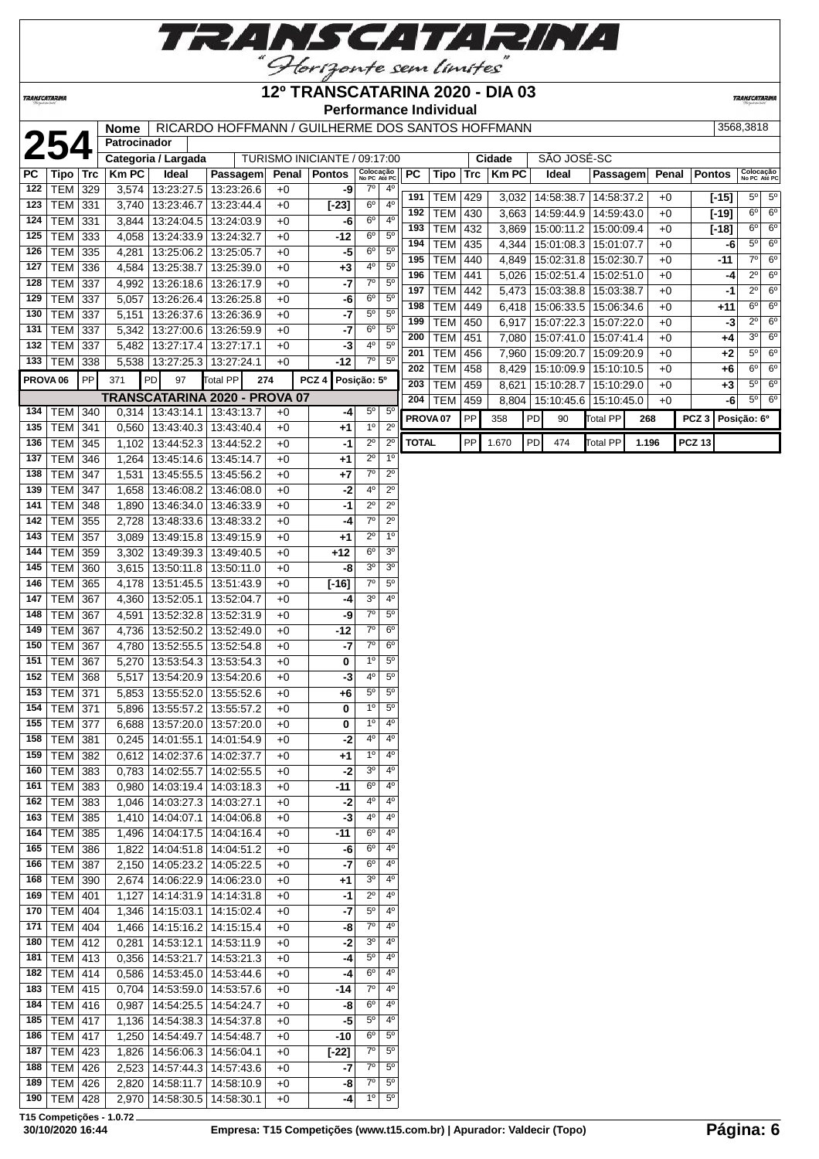

## **12º TRANSCATARINA 2020 - DIA 03**

**TRANSCATARIN** 

**Performance Individual**

|                     |                               |            | Nome           |                                 | RICARDO HOFFMANN / GUILHERME DOS SANTOS HOFFMANN |              |                                               |                               |                            |                     |                          |            |                        |    |                          |                          |       |              |                  | 3568,3818                                              |
|---------------------|-------------------------------|------------|----------------|---------------------------------|--------------------------------------------------|--------------|-----------------------------------------------|-------------------------------|----------------------------|---------------------|--------------------------|------------|------------------------|----|--------------------------|--------------------------|-------|--------------|------------------|--------------------------------------------------------|
|                     | 254                           |            | Patrocinador   |                                 |                                                  |              |                                               |                               |                            |                     |                          |            |                        |    |                          |                          |       |              |                  |                                                        |
| РC                  | Tipo   Trc                    |            | <b>Km PC</b>   | Categoria / Largada<br>Ideal    | Passagem                                         | Penal        | TURISMO INICIANTE / 09:17:00<br><b>Pontos</b> | Colocação<br>No PC Até PC     |                            | PC                  | Tipo                     | Trc        | Cidade<br><b>Km PC</b> |    | SÃO JOSÉ-SC<br>Ideal     | Passagem                 |       | Penal        | <b>Pontos</b>    | Colocação<br>No PC Até PC                              |
| 122                 | <b>TEM 329</b>                |            | 3,574          |                                 | 13:23:27.5 13:23:26.6                            | $+0$         | -9                                            | $7^\circ$                     | $4^{\circ}$                |                     |                          |            |                        |    |                          |                          |       |              |                  |                                                        |
| 123                 | <b>TEM 331</b>                |            | 3,740          | 13:23:46.7                      | 13:23:44.4                                       | $+0$         | $[-23]$                                       | $6^{\circ}$                   | 4 <sup>0</sup>             | 191                 | <b>TEM 429</b>           |            | 3,032                  |    | 14:58:38.7               | 14:58:37.2               |       | $+0$         | $[-15]$          | $5^{\circ}$<br>$5^{\circ}$                             |
| 124                 | TEM                           | 331        | 3,844          | 13:24:04.5                      | 13:24:03.9                                       | $+0$         | -6                                            | $6^{\circ}$                   | $4^{\circ}$                | 192                 | <b>TEM</b>               | 430        | 3,663                  |    | 14:59:44.9               | 14:59:43.0               |       | $+0$         | $[-19]$          | $6^{\circ}$<br>$6^{\circ}$                             |
| 125                 | TEM                           | 333        | 4,058          | 13:24:33.9                      | 13:24:32.7                                       | $+0$         | $-12$                                         | $6^{\circ}$                   | $5^{\circ}$                | 193                 | <b>TEM</b>               | 432        | 3,869                  |    | 15:00:11.2               | 15:00:09.4               |       | $+0$         | $[-18]$          | $6^{\circ}$<br>6 <sup>o</sup>                          |
| 126                 | TEM                           | 335        | 4,281          | 13:25:06.2                      | 13:25:05.7                                       | $+0$         | -5                                            | $6^{\circ}$                   | $5^{\circ}$                | 194                 | <b>TEM</b>               | 435        | 4,344                  |    | 15:01:08.3               | 15:01:07.7               |       | $+0$         | -6               | $5^{\circ}$<br>$6^{\circ}$<br>$7^\circ$<br>$6^{\circ}$ |
| 127                 | TEM                           | 336        | 4,584          | 13:25:38.7                      | 13:25:39.0                                       | $+0$         | +3                                            | $4^{\circ}$                   | $5^{\circ}$                | 195<br>196          | <b>TEM</b><br><b>TEM</b> | 440<br>441 | 4,849                  |    | 15:02:31.8<br>15:02:51.4 | 15:02:30.7<br>15:02:51.0 |       | $+0$<br>$+0$ | -11              | $2^{\circ}$<br>6 <sup>o</sup>                          |
| 128                 | TEM                           | 337        | 4,992          | 13:26:18.6                      | 13:26:17.9                                       | $+0$         | $-7$                                          | $7^\circ$                     | $5^{\circ}$                | 197                 | <b>TEM</b>               | 442        | 5,026<br>5,473         |    | 15:03:38.8               | 15:03:38.7               |       | $+0$         | -4<br>-1         | $2^{\circ}$<br>$6^{\circ}$                             |
| 129                 | TEM                           | 337        | 5,057          | 13:26:26.4                      | 13:26:25.8                                       | $+0$         | -6                                            | $6^{\circ}$                   | $5^{\circ}$                | 198                 | <b>TEM</b>               | 449        | 6,418                  |    | 15:06:33.5               | 15:06:34.6               |       | $+0$         | +11              | $6^{\circ}$<br>6 <sup>o</sup>                          |
| 130                 | TEM                           | 337        | 5,151          |                                 | 13:26:37.6 13:26:36.9                            | $+0$         | $-7$                                          | $5^{\circ}$                   | $5^{\circ}$                | 199                 | <b>TEM</b>               | 450        | 6,917                  |    | 15:07:22.3               | 15:07:22.0               |       | $+0$         | $-3$             | $2^{\circ}$<br>6 <sup>o</sup>                          |
| 131                 | TEM                           | 337        | 5,342          |                                 | 13:27:00.6   13:26:59.9                          | $+0$         | -7                                            | $6^{\circ}$                   | $5^{\circ}$                | 200                 | <b>TEM</b>               | 451        | 7,080                  |    | 15:07:41.0               | 15:07:41.4               |       | $+0$         | +4               | $3^{\circ}$<br>6 <sup>o</sup>                          |
| 132                 | $TEM$ 337                     |            | 5,482          | 13:27:17.4                      | 13:27:17.1                                       | $+0$         | -3                                            | $4^{\circ}$                   | $5^{\circ}$                | 201                 | <b>TEM</b>               | 456        | 7,960                  |    | 15:09:20.7               | 15:09:20.9               |       | $+0$         | $+2$             | $5^{\circ}$<br>$6^{\circ}$                             |
| 133                 | TEM   338                     |            |                | 5,538   13:27:25.3   13:27:24.1 |                                                  | $+0$         | -12                                           | $7^\circ$                     | $5^{\circ}$                | 202                 | <b>TEM</b>               | 458        | 8,429                  |    | 15:10:09.9               | 15:10:10.5               |       | $+0$         | +6               | $6^{\circ}$<br>$6^{\circ}$                             |
| PROVA <sub>06</sub> |                               | PP         | 371            | PD<br>97                        | Total PP                                         | 274          | PCZ <sub>4</sub>                              | Posição: 5º                   |                            | 203                 | <b>TEM</b>               | 459        | 8,621                  |    | 15:10:28.7               | 15:10:29.0               |       | $+0$         | $+3$             | $5^{\circ}$<br>$6^{\circ}$                             |
|                     |                               |            |                |                                 | TRANSCATARINA 2020 - PROVA 07                    |              |                                               |                               |                            | 204                 | <b>TEM</b>               | 459        | 8,804                  |    | 15:10:45.6               | 15:10:45.0               |       | $+0$         | -6               | $5^{\circ}$<br>$6^{\circ}$                             |
| 134                 | TEM 340                       |            | 0,314          |                                 | 13:43:14.1   13:43:13.7                          | $+0$         | -4                                            | $5^{\circ}$<br>$1^{\circ}$    | $5^{\circ}$<br>$2^{\circ}$ | PROVA <sub>07</sub> |                          | PP         | 358                    | PD | 90                       | <b>Total PP</b>          | 268   |              | PCZ <sub>3</sub> | Posição: 6º                                            |
| 135<br>136          | TEM<br>TEM                    | 341        | 0,560          | 13:43:40.3                      | 13:43:40.4<br>13:44:52.3 13:44:52.2              | $+0$         | +1                                            | $2^{\circ}$                   | $2^{\circ}$                | <b>TOTAL</b>        |                          | PP         | 1.670                  | PD | 474                      | Total PP                 | 1.196 |              | <b>PCZ 13</b>    |                                                        |
| 137                 | <b>TEM</b>                    | 345<br>346 | 1,102<br>1,264 |                                 | 13:45:14.6 13:45:14.7                            | $+0$<br>$+0$ | -1<br>+1                                      | $2^{\circ}$                   | 1 <sup>0</sup>             |                     |                          |            |                        |    |                          |                          |       |              |                  |                                                        |
| 138                 | <b>TEM</b>                    | 347        | 1,531          | 13:45:55.5                      | 13:45:56.2                                       | $+0$         | +7                                            | $7^{\circ}$                   | $2^{\circ}$                |                     |                          |            |                        |    |                          |                          |       |              |                  |                                                        |
| 139                 | TEM                           | 347        | 1,658          | 13:46:08.2                      | 13:46:08.0                                       | $+0$         | -2                                            | 4°                            | $2^{\circ}$                |                     |                          |            |                        |    |                          |                          |       |              |                  |                                                        |
| 141                 | TEM                           | 348        | 1,890          | 13:46:34.0                      | 13:46:33.9                                       | $+0$         | -1                                            | $\overline{2^0}$              | $2^{\circ}$                |                     |                          |            |                        |    |                          |                          |       |              |                  |                                                        |
| 142                 | TEM 355                       |            | 2,728          |                                 | 13:48:33.6   13:48:33.2                          | $+0$         | -4                                            | 7 <sup>o</sup>                | $2^{\circ}$                |                     |                          |            |                        |    |                          |                          |       |              |                  |                                                        |
| 143                 | <b>TEM 357</b>                |            | 3,089          |                                 | 13:49:15.8   13:49:15.9                          | $+0$         | +1                                            | $2^{\circ}$                   | $1^{\circ}$                |                     |                          |            |                        |    |                          |                          |       |              |                  |                                                        |
| 144                 | TEM                           | 359        | 3,302          | 13:49:39.3                      | 13:49:40.5                                       | $+0$         | $+12$                                         | $6^{\circ}$                   | 3 <sup>o</sup>             |                     |                          |            |                        |    |                          |                          |       |              |                  |                                                        |
| 145                 | TEM                           | 360        | 3,615          | 13:50:11.8                      | 13:50:11.0                                       | $+0$         | -8                                            | 3 <sup>o</sup>                | 3 <sup>o</sup>             |                     |                          |            |                        |    |                          |                          |       |              |                  |                                                        |
| 146                 | TEM                           | 365        | 4,178          |                                 | 13:51:45.5   13:51:43.9                          | $+0$         | $[-16]$                                       | $7^{\circ}$                   | $5^{\rm o}$                |                     |                          |            |                        |    |                          |                          |       |              |                  |                                                        |
| 147                 | <b>TEM</b>                    | 367        | 4,360          | 13:52:05.1                      | 13:52:04.7                                       | $+0$         | -4                                            | 3 <sup>o</sup>                | $4^{\circ}$                |                     |                          |            |                        |    |                          |                          |       |              |                  |                                                        |
| 148                 | <b>TEM</b>                    | 367        | 4,591          | 13:52:32.8                      | 13:52:31.9                                       | $+0$         | -9                                            | $7^\circ$                     | $5^{\circ}$                |                     |                          |            |                        |    |                          |                          |       |              |                  |                                                        |
| 149                 | TEM                           | 367        | 4,736          | 13:52:50.2                      | 13:52:49.0                                       | $+0$         | -12                                           | $7^\circ$                     | $6^{\circ}$                |                     |                          |            |                        |    |                          |                          |       |              |                  |                                                        |
| 150                 | TEM                           | 367        | 4,780          | 13:52:55.5                      | 13:52:54.8                                       | $+0$         | -7                                            | $7^\circ$                     | $6^{\circ}$                |                     |                          |            |                        |    |                          |                          |       |              |                  |                                                        |
| 151                 | TEM                           | 367        | 5,270          | 13:53:54.3                      | 13:53:54.3                                       | $+0$         | 0                                             | 1 <sup>0</sup><br>$4^{\circ}$ | $5^{\circ}$<br>$5^{\circ}$ |                     |                          |            |                        |    |                          |                          |       |              |                  |                                                        |
| 152<br>153          | <b>TEM 368</b>                |            | 5,517          | 13:54:20.9                      | 13:54:20.6                                       | $+0$         | -3                                            | $5^{\circ}$                   | $5^{\circ}$                |                     |                          |            |                        |    |                          |                          |       |              |                  |                                                        |
| 154                 | <b>TEM 371</b><br>TEM         | 371        | 5,853<br>5,896 | 13:55:57.2                      | 13:55:52.0   13:55:52.6<br>13:55:57.2            | $+0$<br>$+0$ | +6<br>0                                       | $1^{\circ}$                   | $5^{\circ}$                |                     |                          |            |                        |    |                          |                          |       |              |                  |                                                        |
| 155                 | <b>TEM 377</b>                |            | 6.688          |                                 | 13:57:20.0   13:57:20.0                          | $+0$         | 0                                             | 1 <sup>0</sup>                | 4 <sup>0</sup>             |                     |                          |            |                        |    |                          |                          |       |              |                  |                                                        |
|                     | 158   TEM   381               |            |                | 0,245   14:01:55.1   14:01:54.9 |                                                  | $+0$         | -2                                            | $4^{\circ}$                   | $4^{\circ}$                |                     |                          |            |                        |    |                          |                          |       |              |                  |                                                        |
| 159                 | <b>TEM 382</b>                |            |                | 0,612 14:02:37.6                | 14:02:37.7                                       | $+0$         | +1                                            | 1 <sup>0</sup>                | $4^{\circ}$                |                     |                          |            |                        |    |                          |                          |       |              |                  |                                                        |
| 160                 | $ \text{TEM} $                | 383        | 0,783          | 14:02:55.7                      | 14:02:55.5                                       | $+0$         | -2                                            | 3 <sup>o</sup>                | $4^{\circ}$                |                     |                          |            |                        |    |                          |                          |       |              |                  |                                                        |
| 161                 | TEM 383                       |            | 0,980          |                                 | 14:03:19.4   14:03:18.3                          | $+0$         | $-11$                                         | $6^{\circ}$                   | $4^{\circ}$                |                     |                          |            |                        |    |                          |                          |       |              |                  |                                                        |
| 162                 | TEM 383                       |            | 1,046          |                                 | 14:03:27.3 14:03:27.1                            | $+0$         | $-2$                                          | 4°                            | $4^{\circ}$                |                     |                          |            |                        |    |                          |                          |       |              |                  |                                                        |
| 163                 | <b>TEM 385</b>                |            | 1,410          |                                 | 14:04:07.1   14:04:06.8                          | $+0$         | -3                                            | $4^{\circ}$                   | $4^{\circ}$                |                     |                          |            |                        |    |                          |                          |       |              |                  |                                                        |
| 164                 | TEM                           | 385        | 1,496          | 14:04:17.5                      | 14:04:16.4                                       | $+0$         | $-11$                                         | $6^{\circ}$                   | $4^{\circ}$                |                     |                          |            |                        |    |                          |                          |       |              |                  |                                                        |
| 165                 | <b>TEM 386</b>                |            | 1,822          |                                 | 14:04:51.8   14:04:51.2                          | $+0$         | -6                                            | $6^{\rm o}$                   | $4^{\circ}$                |                     |                          |            |                        |    |                          |                          |       |              |                  |                                                        |
| 166                 | TEM                           | 387        | 2,150          | 14:05:23.2                      | 14:05:22.5                                       | $+0$         | $-7$                                          | $6^{\circ}$                   | $4^{\circ}$                |                     |                          |            |                        |    |                          |                          |       |              |                  |                                                        |
| 168                 | TEM                           | 390        | 2,674          | 14:06:22.9                      | 14:06:23.0                                       | $+0$         | +1                                            | 3 <sup>o</sup>                | 4°                         |                     |                          |            |                        |    |                          |                          |       |              |                  |                                                        |
| 169                 | $ \text{TEM} $                | 401        | 1,127          |                                 | 14:14:31.9 14:14:31.8                            | $+0$         | -1                                            | $2^{\circ}$<br>$5^{\circ}$    | $4^{\circ}$<br>$4^{\circ}$ |                     |                          |            |                        |    |                          |                          |       |              |                  |                                                        |
| 170<br>171          | $ TEM $ 404<br><b>TEM 404</b> |            | 1,346<br>1,466 | 14:15:03.1<br>14:15:16.2        | 14:15:02.4                                       | $+0$         | -7                                            | $7^\circ$                     | $4^{\circ}$                |                     |                          |            |                        |    |                          |                          |       |              |                  |                                                        |
| 180                 | $TEM$ 412                     |            | 0,281          |                                 | 14:15:15.4<br>14:53:12.1 14:53:11.9              | $+0$<br>$+0$ | -8<br>-2                                      | 3 <sup>o</sup>                | $4^{\circ}$                |                     |                          |            |                        |    |                          |                          |       |              |                  |                                                        |
| 181                 | <b>TEM 413</b>                |            |                |                                 | 0,356   14:53:21.7   14:53:21.3                  | $+0$         | -4                                            | $5^{\circ}$                   | $4^{\circ}$                |                     |                          |            |                        |    |                          |                          |       |              |                  |                                                        |
| 182                 | <b>TEM 414</b>                |            | 0,586          |                                 | 14:53:45.0   14:53:44.6                          | $+0$         | -4                                            | $6^{\circ}$                   | $4^{\circ}$                |                     |                          |            |                        |    |                          |                          |       |              |                  |                                                        |
| 183                 | $TEM$ 415                     |            | 0,704          |                                 | 14:53:59.0   14:53:57.6                          | $+0$         | $-14$                                         | $7^\circ$                     | $4^{\circ}$                |                     |                          |            |                        |    |                          |                          |       |              |                  |                                                        |
| 184                 | $TEM$ 416                     |            | 0,987          | 14:54:25.5                      | 14:54:24.7                                       | $+0$         | -8                                            | $6^{\circ}$                   | $4^{\circ}$                |                     |                          |            |                        |    |                          |                          |       |              |                  |                                                        |
| 185                 | <b>TEM 417</b>                |            | 1,136          |                                 | 14:54:38.3   14:54:37.8                          | $+0$         | -5                                            | $5^{\circ}$                   | $4^{\circ}$                |                     |                          |            |                        |    |                          |                          |       |              |                  |                                                        |
| 186                 | <b>TEM 417</b>                |            | 1,250          | 14:54:49.7                      | 14:54:48.7                                       | $+0$         | -10                                           | $6^{\circ}$                   | $5^{\circ}$                |                     |                          |            |                        |    |                          |                          |       |              |                  |                                                        |
| 187                 | <b>TEM 423</b>                |            | 1,826          | 14:56:06.3                      | 14:56:04.1                                       | $+0$         | $[-22]$                                       | $7^{\circ}$                   | $5^{\circ}$                |                     |                          |            |                        |    |                          |                          |       |              |                  |                                                        |
| 188                 | $TEM$ 426                     |            | 2,523          | 14:57:44.3                      | 14:57:43.6                                       | $+0$         | -7                                            | $7^\circ$                     | $5^{\circ}$                |                     |                          |            |                        |    |                          |                          |       |              |                  |                                                        |
| 189                 | TEM 426                       |            | 2,820          | 14:58:11.7                      | 14:58:10.9                                       | $+0$         | -8                                            | $7^\circ$                     | $5^{\circ}$                |                     |                          |            |                        |    |                          |                          |       |              |                  |                                                        |
| 190                 | $TEM$ 428                     |            |                | 2,970   14:58:30.5              | 14:58:30.1                                       | $+0$         | -4                                            | 1 <sup>0</sup>                | $5^{\circ}$                |                     |                          |            |                        |    |                          |                          |       |              |                  |                                                        |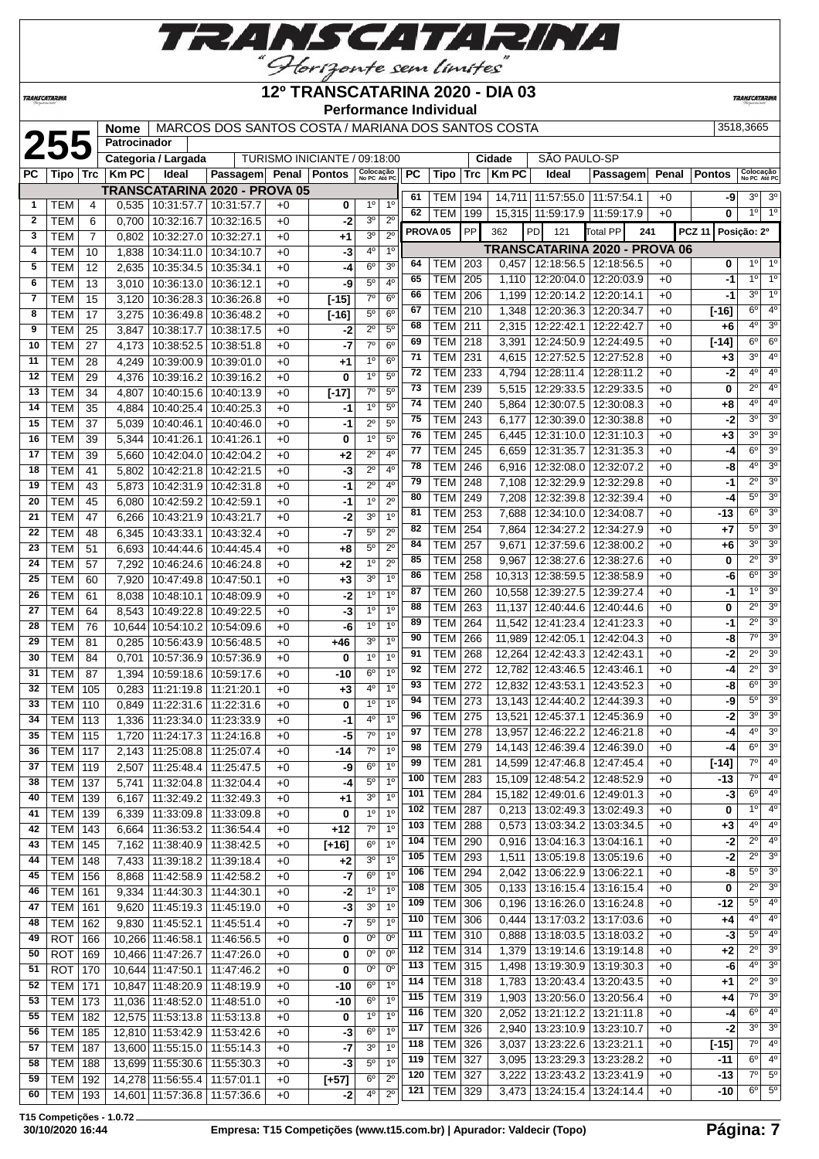

### **TRANSCATARINA**

### **12º TRANSCATARINA 2020 - DIA 03 Performance Individual**

**TRANSCATARI** 

# **Patrocinador**

|              |                                  |                | Nome         |                                 | MARCOS DOS SANTOS COSTA / MARIANA DOS SANTOS COSTA               |              |                              |                           |                |           |                     |     |              |                                   |                                      |       |               | 3518,3665                 |                |
|--------------|----------------------------------|----------------|--------------|---------------------------------|------------------------------------------------------------------|--------------|------------------------------|---------------------------|----------------|-----------|---------------------|-----|--------------|-----------------------------------|--------------------------------------|-------|---------------|---------------------------|----------------|
|              | 255                              |                | Patrocinador |                                 |                                                                  |              |                              |                           |                |           |                     |     |              |                                   |                                      |       |               |                           |                |
|              |                                  |                |              | Categoria / Largada             |                                                                  |              | TURISMO INICIANTE / 09:18:00 |                           |                |           |                     |     | Cidade       | SÃO PAULO-SP                      |                                      |       |               |                           |                |
| PC           | Tipo   Trc                       |                | <b>KmPC</b>  | Ideal                           | Passagem Penal Pontos                                            |              |                              | Colocação<br>No PC Até PC |                | <b>PC</b> | Tipo                | Trc | <b>Km PC</b> | Ideal                             | Passagem                             | Penal | <b>Pontos</b> | Colocação<br>No PC Até PO |                |
|              |                                  |                |              |                                 | TRANSCATARINA 2020 - PROVA 05                                    |              |                              |                           |                | 61        | TEM                 | 194 |              | 14,711 11:57:55.0                 | 11:57:54.1                           | $+0$  | -9            | $3^{\circ}$               | 3 <sup>o</sup> |
| $\mathbf 1$  | <b>TEM</b>                       | 4              | 0,535        | 10:31:57.7                      | 10:31:57.7                                                       | $+0$         | 0                            | 1 <sup>0</sup>            | 1 <sup>o</sup> | 62        | <b>TEM</b>          | 199 |              | 15,315 11:59:17.9                 | 11:59:17.9                           | $+0$  | 0             | $1^{\circ}$               | 1 <sup>c</sup> |
| $\mathbf{2}$ | <b>TEM</b>                       | 6              | 0,700        | 10:32:16.7                      | 10:32:16.5                                                       | $+0$         | -2                           | 3 <sup>o</sup>            | $2^{\circ}$    |           |                     | PP  |              |                                   |                                      |       |               |                           |                |
| 3            | <b>TEM</b>                       | $\overline{7}$ | 0,802        |                                 | 10:32:27.0   10:32:27.1                                          | $+0$         | $+1$                         | 3 <sup>0</sup>            | $2^{\circ}$    |           | PROVA <sub>05</sub> |     | 362          | PD<br>121                         | Total PP<br>241                      |       | <b>PCZ 11</b> | Posição: 2º               |                |
| 4            | <b>TEM</b>                       | 10             | 1,838        | 10:34:11.0                      | 10:34:10.7                                                       | $+0$         | -3                           | 4°                        | 1 <sup>0</sup> |           |                     |     |              |                                   | <b>TRANSCATARINA 2020 - PROVA 06</b> |       |               |                           |                |
| 5            | <b>TEM</b>                       | 12             | 2,635        | 10:35:34.5                      | 10:35:34.1                                                       | $+0$         | -4                           | 6 <sup>o</sup>            | 3 <sup>o</sup> | 64        | TEM                 | 203 |              | $0,457$   12:18:56.5   12:18:56.5 |                                      | $+0$  | 0             | $1^{\circ}$               | 1 <sup>c</sup> |
| 6            | <b>TEM</b>                       | 13             | 3,010        | 10:36:13.0                      | 10:36:12.1                                                       | $+0$         | -9                           | $5^{\circ}$               | 4 <sup>0</sup> | 65        | <b>TEM</b>          | 205 |              | 1,110   12:20:04.0                | 12:20:03.9                           | $+0$  | -1            | 1 <sup>0</sup>            | 1 <sup>c</sup> |
| 7            | <b>TEM</b>                       | 15             | 3,120        | 10:36:28.3                      | 10:36:26.8                                                       | $+0$         | $[-15]$                      | $7^\circ$                 | $6^{\circ}$    | 66        | <b>TEM</b>          | 206 | 1,199        | 12:20:14.2                        | 12:20:14.1                           | $+0$  | -1            | 3 <sup>0</sup>            | 1 <sup>c</sup> |
| 8            | <b>TEM</b>                       | 17             | 3,275        | 10:36:49.8                      | 10:36:48.2                                                       | $+0$         | $[-16]$                      | $5^{\circ}$               | 6 <sup>0</sup> | 67        | <b>TEM</b>          | 210 | 1,348        |                                   | 12:20:36.3 12:20:34.7                | $+0$  | $[-16]$       | $6^{\circ}$               | $4^\circ$      |
| 9            | <b>TEM</b>                       | 25             | 3,847        | 10:38:17.7                      | 10:38:17.5                                                       | $+0$         | -2                           | $2^{\circ}$               | $5^{\circ}$    | 68        | TEM                 | 211 |              | 2,315   12:22:42.1   12:22:42.7   |                                      | $+0$  | +6            | 4 <sup>0</sup>            | 3 <sup>o</sup> |
| 10           | <b>TEM</b>                       | 27             | 4,173        | 10:38:52.5                      | 10:38:51.8                                                       | $+0$         | -7                           | $7^\circ$                 | 6 <sup>0</sup> | 69        | <b>TEM</b>          | 218 | 3,391        |                                   | 12:24:50.9   12:24:49.5              | $+0$  | $[-14]$       | $6^{\circ}$               | 6 <sup>o</sup> |
| 11           | <b>TEM</b>                       | 28             | 4,249        | 10:39:00.9                      | 10:39:01.0                                                       | $+0$         | $+1$                         | 1 <sup>0</sup>            | 6 <sup>0</sup> | 71        | <b>TEM</b>          | 231 | 4,615        | 12:27:52.5                        | 12:27:52.8                           | $+0$  | $+3$          | 3 <sup>o</sup>            | 4 <sup>0</sup> |
| 12           | <b>TEM</b>                       | 29             | 4,376        | 10:39:16.2                      | 10:39:16.2                                                       | $+0$         | 0                            | 1 <sup>0</sup>            | $5^{\circ}$    | 72        | TEM                 | 233 | 4,794        | 12:28:11.4                        | 12:28:11.2                           | $+0$  | $-2$          | 4 <sup>0</sup>            | $4^\circ$      |
| 13           | <b>TEM</b>                       | 34             | 4,807        |                                 | 10:40:15.6   10:40:13.9                                          | $+0$         | $[-17]$                      | $7^\circ$                 | 5 <sup>0</sup> | 73        | TEM                 | 239 | 5,515        |                                   | 12:29:33.5   12:29:33.5              | $+0$  | 0             | $2^{\circ}$               | 4 <sup>°</sup> |
| 14           | <b>TEM</b>                       | 35             | 4,884        | 10:40:25.4                      | 10:40:25.3                                                       | $+0$         | -1                           | 1 <sup>0</sup>            | $5^{\circ}$    | 74        | <b>TEM</b>          | 240 | 5,864        | 12:30:07.5                        | 12:30:08.3                           | $+0$  | +8            | $4^{\circ}$               | $4^\circ$      |
| 15           | <b>TEM</b>                       | 37             | 5,039        | 10:40:46.1                      | 10:40:46.0                                                       | $+0$         | -1                           | $2^{\circ}$               | $5^{\circ}$    | 75        | <b>TEM</b>          | 243 | 6,177        | 12:30:39.0                        | 12:30:38.8                           | $+0$  | -2            | 3 <sup>o</sup>            | 3 <sup>o</sup> |
| 16           | <b>TEM</b>                       | 39             | 5,344        | 10:41:26.1                      | 10:41:26.1                                                       | $+0$         | 0                            | 1 <sup>0</sup>            | $5^{\circ}$    | 76        | <b>TEM</b>          | 245 | 6,445        | 12:31:10.0                        | 12:31:10.3                           | $+0$  | $+3$          | 3 <sup>o</sup>            | 3 <sup>o</sup> |
| 17           | <b>TEM</b>                       | 39             | 5,660        | 10:42:04.0                      | 10:42:04.2                                                       | $+0$         | $+2$                         | $2^{\circ}$               | $4^{\circ}$    | 77        | <b>TEM</b>          | 245 | 6,659        | 12:31:35.7                        | 12:31:35.3                           | $+0$  | -4            | $6^{\circ}$               | 3 <sup>o</sup> |
| 18           | <b>TEM</b>                       | 41             | 5,802        | 10:42:21.8                      | 10:42:21.5                                                       | $+0$         | -3                           | $2^{\circ}$               | $4^{\circ}$    | 78        | TEM                 | 246 |              | 6,916   12:32:08.0   12:32:07.2   |                                      | $+0$  | -8            | 4 <sup>0</sup>            | 3 <sup>o</sup> |
| 19           | <b>TEM</b>                       | 43             | 5,873        | 10:42:31.9                      | 10:42:31.8                                                       | $+0$         | -1                           | $2^{\circ}$               | 4 <sup>0</sup> | 79        | <b>TEM</b>          | 248 | 7,108        | 12:32:29.9                        | 12:32:29.8                           | $+0$  | -1            | $2^{\circ}$               | 3 <sup>o</sup> |
| 20           | <b>TEM</b>                       | 45             | 6,080        | 10:42:59.2                      | 10:42:59.1                                                       | $+0$         | -1                           | 1 <sup>0</sup>            | $2^{\circ}$    | 80        | <b>TEM</b>          | 249 | 7,208        | 12:32:39.8                        | 12:32:39.4                           | $+0$  | -4            | 5 <sup>o</sup>            | 3 <sup>o</sup> |
| 21           | <b>TEM</b>                       | 47             | 6,266        |                                 | 10:43:21.9 10:43:21.7                                            | $+0$         | $-2$                         | 3 <sup>o</sup>            | 1 <sup>0</sup> | 81        | TEM                 | 253 | 7,688        | 12:34:10.0                        | 12:34:08.7                           | $+0$  | $-13$         | 6 <sup>o</sup>            | 3 <sup>o</sup> |
| 22           | <b>TEM</b>                       | 48             | 6,345        | 10:43:33.1                      | 10:43:32.4                                                       | $+0$         | $-7$                         | $5^{\circ}$               | $2^{\circ}$    | 82        | TEM                 | 254 | 7,864        | 12:34:27.2                        | 12:34:27.9                           | $+0$  | $+7$          | 5 <sup>0</sup>            | 3 <sup>o</sup> |
| 23           | <b>TEM</b>                       | 51             | 6,693        | 10:44:44.6                      | 10:44:45.4                                                       | $+0$         | $+8$                         | $5^{\circ}$               | $2^{\circ}$    | 84        | <b>TEM</b>          | 257 | 9,671        |                                   | 12:37:59.6   12:38:00.2              | $+0$  | +6            | 3 <sup>0</sup>            | 3 <sup>o</sup> |
| 24           | <b>TEM</b>                       | 57             | 7,292        | 10:46:24.6                      | 10:46:24.8                                                       | $+0$         | $+2$                         | 1 <sup>0</sup>            | $2^{\circ}$    | 85        | <b>TEM</b>          | 258 | 9,967        | 12:38:27.6                        | 12:38:27.6                           | $+0$  | 0             | $\overline{2^0}$          | 3 <sup>o</sup> |
| 25           | <b>TEM</b>                       | 60             | 7,920        | 10:47:49.8                      | 10:47:50.1                                                       | $+0$         | $+3$                         | 3 <sup>o</sup>            | 1 <sup>0</sup> | 86        | <b>TEM</b>          | 258 |              | 10,313 12:38:59.5 12:38:58.9      |                                      | $+0$  | -6            | $6^{\circ}$               | 3 <sup>o</sup> |
| 26           | <b>TEM</b>                       | 61             | 8,038        | 10:48:10.1                      | 10:48:09.9                                                       | $+0$         | -2                           | 1 <sup>0</sup>            | 1 <sup>0</sup> | 87        | <b>TEM</b>          | 260 |              | 10,558 12:39:27.5 12:39:27.4      |                                      | $+0$  | -1            | 1 <sup>0</sup>            | 3 <sup>o</sup> |
| 27           | <b>TEM</b>                       | 64             | 8,543        | 10:49:22.8                      | 10:49:22.5                                                       | $+0$         | -3                           | 1 <sup>0</sup>            | 1 <sup>0</sup> | 88        | <b>TEM</b>          | 263 |              | 11,137 12:40:44.6 12:40:44.6      |                                      | $+0$  | 0             | $2^{\circ}$               | 3 <sup>o</sup> |
| 28           | <b>TEM</b>                       | 76             | 10,644       | 10:54:10.2                      | 10:54:09.6                                                       | $+0$         | -6                           | $1^{\circ}$               | 1 <sup>0</sup> | 89        | <b>TEM</b>          | 264 |              | 11,542 12:41:23.4 12:41:23.3      |                                      | $+0$  | -1            | $2^{\circ}$               | 3 <sup>o</sup> |
| 29           | <b>TEM</b>                       | 81             | 0,285        | 10:56:43.9                      | 10:56:48.5                                                       | $+0$         | $+46$                        | 3 <sup>o</sup>            | 1 <sup>0</sup> | 90        | <b>TEM</b>          | 266 |              | 11,989 12:42:05.1                 | 12:42:04.3                           | $+0$  | -8            | $7^\circ$                 | 3 <sup>o</sup> |
| 30           | <b>TEM</b>                       | 84             | 0,701        | 10:57:36.9 10:57:36.9           |                                                                  | $+0$         | 0                            | $1^{\circ}$               | 10             | 91        | <b>TEM</b>          | 268 |              | 12,264 12:42:43.3                 | 12:42:43.1                           | $+0$  | $-2$          | $2^{\circ}$               | 3 <sup>o</sup> |
| 31           | <b>TEM</b>                       | 87             | 1,394        | 10:59:18.6                      | 10:59:17.6                                                       | $+0$         | $-10$                        | 6 <sup>o</sup>            | 1 <sup>0</sup> | 92        | <b>TEM</b>          | 272 |              | 12,782 12:43:46.5                 | 12:43:46.1                           | $+0$  | -4            | $2^{\circ}$               | 3 <sup>o</sup> |
| 32           | <b>TEM</b>                       | 105            | 0,283        | 11:21:19.8                      | 11:21:20.1                                                       | $+0$         | $+3$                         | 4°                        | 1 <sup>0</sup> | 93        | <b>TEM</b>          | 272 |              | 12,832 12:43:53.1                 | 12:43:52.3                           | $+0$  | -8            | $6^{\circ}$               | 3 <sup>o</sup> |
| 33           | <b>TEM</b>                       | 110            | 0,849        | 11:22:31.6                      | 11:22:31.6                                                       | $+0$         | 0                            | 1 <sup>0</sup>            | 1 <sup>0</sup> | 94        | <b>TEM</b>          | 273 |              | 13,143 12:44:40.2 12:44:39.3      |                                      | $+0$  | -9            | $5^{\circ}$               | 3 <sup>o</sup> |
| 34           | <b>TEM</b>                       | 113            | 1,336        | 11:23:34.0                      | 11:23:33.9                                                       | $+0$         | $-1$                         | 40                        | 1 <sup>0</sup> | 96        | TEM                 | 275 |              | 13,521 12:45:37.1                 | 12:45:36.9                           | $+0$  | $-2$          | 3 <sup>o</sup>            | 3 <sup>o</sup> |
| 35           | $TEM$ 115                        |                |              |                                 | 1,720 11:24:17.3 11:24:16.8                                      | $+0$         | $-5$                         | $7^\circ$                 | 1 <sup>0</sup> | 97        | <b>TEM 278</b>      |     |              | 13,957 12:46:22.2 12:46:21.8      |                                      | $+0$  | $-4$          | $4^{\circ}$               | 3 <sup>o</sup> |
|              | $\overline{36}$   TEM   117      |                |              | 2,143   11:25:08.8   11:25:07.4 |                                                                  | $+0$         | $-14$                        | $7^\circ$                 | 1 <sup>0</sup> | 98        | <b>TEM 279</b>      |     |              | 14,143 12:46:39.4 12:46:39.0      |                                      | $+0$  | $-4$          | $6^{\circ}$               | 3 <sup>o</sup> |
| 37           | <b>TEM 119</b>                   |                |              | 2,507   11:25:48.4   11:25:47.5 |                                                                  | $+0$         | -9                           | $6^{\circ}$               | 1 <sup>0</sup> | 99        | <b>TEM 281</b>      |     |              |                                   | 14,599 12:47:46.8 12:47:45.4         | $+0$  | $[-14]$       | $7^\circ$                 | $4^\circ$      |
| 38           | <b>TEM 137</b>                   |                |              |                                 |                                                                  |              |                              | $5^{\circ}$               | $1^{\circ}$    | 100       | <b>TEM 283</b>      |     |              |                                   | 15,109 12:48:54.2 12:48:52.9         | $+0$  | -13           | $7^\circ$                 | $4^\circ$      |
| 40           | TEM   139                        |                |              | 5,741   11:32:04.8   11:32:04.4 |                                                                  | $+0$<br>$+0$ | -4                           | 3 <sup>0</sup>            | 1 <sup>0</sup> | 101       | <b>TEM 284</b>      |     |              |                                   | 15,182 12:49:01.6 12:49:01.3         | $+0$  | -3            | 6 <sup>o</sup>            | $4^\circ$      |
|              |                                  |                |              |                                 | 6,167   11:32:49.2   11:32:49.3                                  |              | +1                           | $1^{\circ}$               | 1 <sup>0</sup> | 102       | <b>TEM 287</b>      |     |              |                                   | $0,213$   13:02:49.3   13:02:49.3    | $+0$  | 0             | 1 <sup>0</sup>            | $4^\circ$      |
|              | 41   TEM   139<br>42   TEM   143 |                |              |                                 | $6,339$   11:33:09.8   11:33:09.8<br>6,664 11:36:53.2 11:36:54.4 | $+0$<br>$+0$ | 0<br>$+12$                   | $7^{\circ}$               | 1 <sup>0</sup> | 103       | <b>TEM 288</b>      |     |              | 0,573   13:03:34.2   13:03:34.5   |                                      | $+0$  | $+3$          | $4^{\circ}$               | 4 <sup>0</sup> |
|              |                                  |                |              |                                 |                                                                  |              |                              | $6^{\circ}$               | $1^{\circ}$    | 104       | <b>TEM 290</b>      |     |              | $0,916$   13:04:16.3   13:04:16.1 |                                      | $+0$  | $-2$          | $2^{\circ}$               | 4 <sup>0</sup> |
|              | 43   TEM   145                   |                |              |                                 | 7,162   11:38:40.9   11:38:42.5                                  | $+0$         | $[+16]$                      |                           |                | 105       | TEM 293             |     |              | 1,511   13:05:19.8   13:05:19.6   |                                      | $+0$  | $-2$          | $2^{\circ}$               | 3 <sup>o</sup> |
|              | 44   TEM   148                   |                |              |                                 | 7,433 11:39:18.2 11:39:18.4                                      | $+0$         | $+2$                         | $3^{\circ}$               | 1 <sup>o</sup> |           |                     |     |              |                                   |                                      |       |               |                           |                |

 TEM 156 8,868 11:42:58.9 11:42:58.2 +0 **-7** 6º 1º TEM 161 9,334 11:44:30.3 11:44:30.1 +0 **-2** 1º 1º TEM 161 9,620 11:45:19.3 11:45:19.0 +0 **-3** 3º 1º TEM 162 9,830 11:45:52.1 11:45:51.4 +0 **-7** 5º 1º ROT 166 10,266 11:46:58.1 11:46:56.5 +0 **0** 0º 0º ROT 169 10,466 11:47:26.7 11:47:26.0 +0 **0** 0º 0º ROT 170 10,644 11:47:50.1 11:47:46.2 +0 **0** 0º 0º TEM 171 10,847 11:48:20.9 11:48:19.9 +0 **-10** 6º 1º TEM 173 11,036 11:48:52.0 11:48:51.0 +0 **-10** 6º 1º TEM 182 12,575 11:53:13.8 11:53:13.8 +0 **0** 1º 1º TEM 185 12,810 11:53:42.9 11:53:42.6 +0 **-3** 6º 1º TEM 187 13,600 11:55:15.0 11:55:14.3 +0 **-7** 3º 1º TEM 188 13,699 11:55:30.6 11:55:30.3 +0 **-3** 5º 1º TEM 192 14,278 11:56:55.4 11:57:01.1 +0 [+57] 6 TEM 193 14,601 11:57:36.8 11:57:36.6 +0 **-2** 4º 2º

 TEM 294 2,042 13:06:22.9 13:06:22.1 +0 **-8** 5º 3º TEM 305 0,133 13:16:15.4 13:16:15.4 +0 **0** 2º 3º TEM 306 0,196 13:16:26.0 13:16:24.8 +0 **-12** 5º 4º TEM 306 0,444 13:17:03.2 13:17:03.6 +0 **+4** 4º 4º TEM 310 0,888 13:18:03.5 13:18:03.2 +0 **-3** 5º 4º TEM 314 1,379 13:19:14.6 13:19:14.8 +0 **+2** 2º 3º TEM 315 1,498 13:19:30.9 13:19:30.3 +0 **-6** 4º 3º TEM 318 1,783 13:20:43.4 13:20:43.5 +0 **+1** 2º 3º TEM 319 1,903 13:20:56.0 13:20:56.4 +0 **+4** 7º 3º TEM 320 2,052 13:21:12.2 13:21:11.8 +0 **-4** 6º 4º TEM 326 2,940 13:23:10.9 13:23:10.7 +0 **-2** 3º 3º TEM 326 3,037 13:23:22.6 13:23:21.1 +0 **[-15]** 7º 4º TEM 327 3,095 13:23:29.3 13:23:28.2 +0 **-11** 6º 4º TEM 327 3,222 13:23:43.2 13:23:41.9 +0 **-13** 7º 5º TEM 329 3,473 13:24:15.4 13:24:14.4 +0 **-10** 6º 5º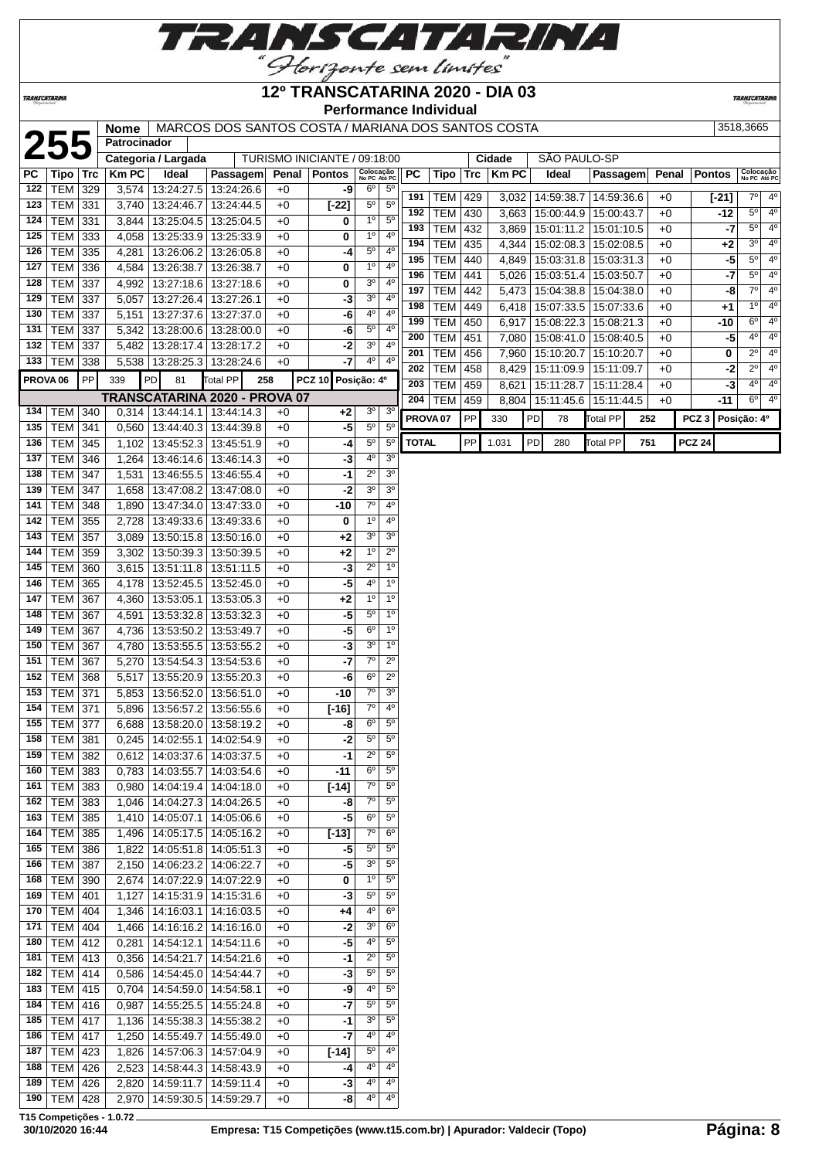

## **12º TRANSCATARINA 2020 - DIA 03**

**TRANSCATARIN** 

**Performance Individual**

|     |                     |     | Nome         |                                 | MARCOS DOS SANTOS COSTA / MARIANA DOS SANTOS COSTA |       |                              |                                          |              |                     |     |              |    |                                 |                 |     |       |                  | 3518,3665                        |
|-----|---------------------|-----|--------------|---------------------------------|----------------------------------------------------|-------|------------------------------|------------------------------------------|--------------|---------------------|-----|--------------|----|---------------------------------|-----------------|-----|-------|------------------|----------------------------------|
|     | 255                 |     | Patrocinador |                                 |                                                    |       |                              |                                          |              |                     |     |              |    |                                 |                 |     |       |                  |                                  |
|     |                     |     |              | Categoria / Largada             |                                                    |       | TURISMO INICIANTE / 09:18:00 |                                          |              |                     |     | Cidade       |    | SÃO PAULO-SP                    |                 |     |       |                  |                                  |
| PC  | Tipo   Trc          |     | <b>Km PC</b> | Ideal                           | Passagem                                           | Penal | <b>Pontos</b>                | Colocação<br>No PC Até PC                | <b>PC</b>    | Tipo                | Trc | <b>Km PC</b> |    | Ideal                           | Passagem        |     | Penal | <b>Pontos</b>    | Colocação<br>No PC Até PC        |
| 122 | <b>TEM 329</b>      |     |              | 3,574 13:24:27.5                | 13:24:26.6                                         | $+0$  | -9                           | $6^{\circ}$<br>$5^{\circ}$               |              |                     |     |              |    |                                 |                 |     |       |                  | $7°$ 4°                          |
| 123 | <b>TEM 331</b>      |     |              | 3,740   13:24:46.7              | 13:24:44.5                                         | $+0$  | $[-22]$                      | $5^{\circ}$<br>5 <sup>o</sup>            | 191          | <b>TEM</b>          | 429 | 3.032        |    | 14:59:38.7   14:59:36.6         |                 |     | $+0$  | $[-21]$          | $4^{\circ}$                      |
| 124 | TEM                 | 331 |              | 3,844 13:25:04.5                | 13:25:04.5                                         | $+0$  | 0                            | $1^{\circ}$<br>$5^{\circ}$               | 192          | <b>TEM</b>          | 430 |              |    | 3,663   15:00:44.9   15:00:43.7 |                 |     | $+0$  | $-12$            | $5^{\circ}$                      |
| 125 | <b>TEM</b>          | 333 |              | 4,058 13:25:33.9                | 13:25:33.9                                         | $+0$  | 0                            | 1 <sup>0</sup><br>$4^{\circ}$            | 193          | <b>TEM</b>          | 432 | 3,869        |    | 15:01:11.2   15:01:10.5         |                 |     | $+0$  | $-7$             | $5^{\circ}$<br>$4^{\circ}$       |
| 126 | <b>TEM</b>          | 335 | 4,281        | 13:26:06.2                      | 13:26:05.8                                         | $+0$  | -4                           | $5^{\circ}$<br>$4^{\circ}$               | 194          | <b>TEM</b>          | 435 | 4,344        |    | 15:02:08.3   15:02:08.5         |                 |     | $+0$  | $+2$             | 4 <sup>0</sup><br>$3^{\circ}$    |
| 127 | TEM                 | 336 | 4,584        | 13:26:38.7                      | 13:26:38.7                                         | $+0$  | 0                            | 1 <sup>o</sup><br>4 <sup>0</sup>         | 195          | <b>TEM</b>          | 440 | 4,849        |    | 15:03:31.8 15:03:31.3           |                 |     | $+0$  | $-5$             | $5^\circ$<br>$\overline{4^0}$    |
| 128 | <b>TEM</b>          | 337 |              | 4,992   13:27:18.6   13:27:18.6 |                                                    | $+0$  | 0                            | 3 <sup>o</sup><br>4 <sup>0</sup>         | 196          | <b>TEM</b>          | 441 | 5,026        |    | 15:03:51.4   15:03:50.7         |                 |     | $+0$  | $-7$             | $5^{\circ}$<br>4 <sup>0</sup>    |
| 129 | <b>TEM</b>          | 337 | 5,057        | 13:27:26.4                      | 13:27:26.1                                         | $+0$  | -3                           | 3 <sup>0</sup><br>$4^{\circ}$            | 197          | <b>TEM</b>          | 442 | 5,473        |    | 15:04:38.8   15:04:38.0         |                 |     | $+0$  | -8               | $7^\circ$<br>4 <sup>0</sup>      |
| 130 | <b>TEM</b>          | 337 | 5,151        | 13:27:37.6                      | 13:27:37.0                                         | $+0$  | -6                           | 4°<br>4 <sup>0</sup>                     | 198          | <b>TEM</b>          | 449 | 6,418        |    | 15:07:33.5   15:07:33.6         |                 |     | $+0$  | +1               | 1 <sup>0</sup><br>4 <sup>0</sup> |
| 131 | <b>TEM 337</b>      |     |              | 5,342 13:28:00.6                | 13:28:00.0                                         | $+0$  | -6                           | $5^{\circ}$<br>4 <sup>0</sup>            | 199          | <b>TEM</b>          | 450 | 6,917        |    | 15:08:22.3                      | 15:08:21.3      |     | $+0$  | $-10$            | $6^{\circ}$<br>4 <sup>0</sup>    |
| 132 | <b>TEM 337</b>      |     |              | 5,482   13:28:17.4              | 13:28:17.2                                         | $+0$  | $-2$                         | 3 <sup>o</sup><br>$4^{\circ}$            | 200          | <b>TEM</b>          | 451 | 7,080        |    | 15:08:41.0   15:08:40.5         |                 |     | $+0$  | -5               | $4^{\circ}$<br>4 <sup>0</sup>    |
| 133 | TEM 338             |     |              | 5,538   13:28:25.3              | 13:28:24.6                                         | $+0$  | -7                           | $4^{\circ}$<br>$4^{\circ}$               | 201          | <b>TEM</b>          | 456 | 7,960        |    | 15:10:20.7                      | 15:10:20.7      |     | $+0$  | 0                | 4 <sup>0</sup><br>$2^{\circ}$    |
|     |                     |     |              |                                 |                                                    |       |                              |                                          | 202          | <b>TEM</b>          | 458 | 8,429        |    | 15:11:09.9                      | 15:11:09.7      |     | $+0$  | -2               | $2^{\circ}$<br>4 <sup>0</sup>    |
|     | PROVA <sub>06</sub> | PP  | 339          | PD<br>81                        | Total PP<br>258                                    |       | PCZ 10 Posicão: 4º           |                                          | 203          | <b>TEM</b>          | 459 | 8,621        |    | 15:11:28.7                      | 15:11:28.4      |     | $+0$  | $-3$             | 4 <sup>0</sup><br>$4^{\circ}$    |
|     |                     |     |              |                                 | TRANSCATARINA 2020 - PROVA 07                      |       |                              |                                          | 204          | <b>TEM</b>          | 459 | 8,804        |    | 15:11:45.6                      | 15:11:44.5      |     | $+0$  | $-11$            | $4^{\circ}$<br>$6^{\circ}$       |
| 134 | TEM                 | 340 |              | $0,314$   13:44:14.1            | 13:44:14.3                                         | $+0$  | $+2$                         | 3 <sup>o</sup><br>3 <sup>o</sup>         |              | PROVA <sub>07</sub> | PP  | 330          | PD | 78                              | <b>Total PP</b> | 252 |       | PCZ <sub>3</sub> | Posição: 4º                      |
| 135 | <b>TEM 341</b>      |     |              | 0,560   13:44:40.3              | 13:44:39.8                                         | $+0$  | $-5$                         | $5^{\circ}$<br>$5^{\circ}$               |              |                     |     |              |    |                                 |                 |     |       |                  |                                  |
| 136 | <b>TEM 345</b>      |     |              | 1,102   13:45:52.3   13:45:51.9 |                                                    | $+0$  | -4                           | $5^{\circ}$<br>$\overline{5^0}$          | <b>TOTAL</b> |                     | PP  | 1.031        | PD | 280                             | Total PP        | 751 |       | <b>PCZ 24</b>    |                                  |
| 137 | <b>TEM</b>          | 346 |              | 1,264 13:46:14.6                | 13:46:14.3                                         | $+0$  | -3                           | $4^{\circ}$<br>3 <sup>o</sup>            |              |                     |     |              |    |                                 |                 |     |       |                  |                                  |
| 138 | TEM                 | 347 | 1,531        | 13:46:55.5   13:46:55.4         |                                                    | $+0$  | $-1$                         | $2^{\circ}$<br>3 <sup>o</sup>            |              |                     |     |              |    |                                 |                 |     |       |                  |                                  |
| 139 | <b>TEM</b>          | 347 | 1,658        | 13:47:08.2                      | 13:47:08.0                                         | $+0$  | -2                           | $\overline{3^0}$<br>3 <sup>o</sup>       |              |                     |     |              |    |                                 |                 |     |       |                  |                                  |
| 141 | <b>TEM</b>          | 348 | 1,890        | 13:47:34.0                      | 13:47:33.0                                         | $+0$  | -10                          | $7^\circ$<br>$4^{\circ}$                 |              |                     |     |              |    |                                 |                 |     |       |                  |                                  |
| 142 | <b>TEM</b>          | 355 | 2,728        | 13:49:33.6                      | 13:49:33.6                                         | $+0$  | 0                            | 1 <sup>0</sup><br>$4^{\circ}$            |              |                     |     |              |    |                                 |                 |     |       |                  |                                  |
| 143 | <b>TEM</b>          | 357 | 3,089        | 13:50:15.8                      | 13:50:16.0                                         | $+0$  | $+2$                         | 3 <sup>0</sup><br>3 <sup>o</sup>         |              |                     |     |              |    |                                 |                 |     |       |                  |                                  |
| 144 | TEM                 | 359 | 3,302        | 13:50:39.3                      | 13:50:39.5                                         | $+0$  | $+2$                         | 1 <sup>0</sup><br>$2^{\circ}$            |              |                     |     |              |    |                                 |                 |     |       |                  |                                  |
| 145 | TEM                 | 360 |              | 3,615   13:51:11.8              | 13:51:11.5                                         | $+0$  | -3                           | $2^{\circ}$<br>1 <sup>0</sup>            |              |                     |     |              |    |                                 |                 |     |       |                  |                                  |
| 146 | TEM                 | 365 |              | 4,178 13:52:45.5                | 13:52:45.0                                         | $+0$  | -5                           | 40<br>$1^{\circ}$                        |              |                     |     |              |    |                                 |                 |     |       |                  |                                  |
| 147 | <b>TEM</b>          | 367 |              | 4,360 13:53:05.1                | 13:53:05.3                                         | $+0$  | $+2$                         | 1 <sup>0</sup><br>1 <sup>0</sup>         |              |                     |     |              |    |                                 |                 |     |       |                  |                                  |
| 148 | <b>TEM</b>          | 367 | 4,591        | 13:53:32.8                      | 13:53:32.3                                         | $+0$  | $-5$                         | $5^\circ$<br>1 <sup>0</sup>              |              |                     |     |              |    |                                 |                 |     |       |                  |                                  |
| 149 | <b>TEM</b>          | 367 |              | 4,736 13:53:50.2                | 13:53:49.7                                         | $+0$  | $-5$                         | $6^{\circ}$<br>1 <sup>0</sup>            |              |                     |     |              |    |                                 |                 |     |       |                  |                                  |
| 150 | <b>TEM</b>          | 367 |              | 4,780   13:53:55.5   13:53:55.2 |                                                    | $+0$  | -3                           | 3 <sup>o</sup><br>1 <sup>0</sup>         |              |                     |     |              |    |                                 |                 |     |       |                  |                                  |
| 151 | <b>TEM</b>          | 367 |              | 5,270 13:54:54.3                | 13:54:53.6                                         | $+0$  | -7                           | $7^{\circ}$<br>$2^{\circ}$               |              |                     |     |              |    |                                 |                 |     |       |                  |                                  |
| 152 | <b>TEM</b>          | 368 |              | 5,517 13:55:20.9                | 13:55:20.3                                         | $+0$  | -6                           | $6^{\circ}$<br>$2^{\circ}$               |              |                     |     |              |    |                                 |                 |     |       |                  |                                  |
| 153 | <b>TEM 371</b>      |     |              | 5,853 13:56:52.0                | 13:56:51.0                                         | $+0$  | -10                          | $\overline{7^{\circ}}$<br>3 <sup>o</sup> |              |                     |     |              |    |                                 |                 |     |       |                  |                                  |
| 154 | <b>TEM 371</b>      |     |              | 5,896 13:56:57.2                | 13:56:55.6                                         | $+0$  | $[-16]$                      | $7^\circ$<br>$4^{\circ}$                 |              |                     |     |              |    |                                 |                 |     |       |                  |                                  |
| 155 | <b>TEM 377</b>      |     |              | 6,688   13:58:20.0   13:58:19.2 |                                                    | $+0$  | -8                           | $6^{\circ}$<br>$5^{\circ}$               |              |                     |     |              |    |                                 |                 |     |       |                  |                                  |
|     | 158 TEM 381         |     |              |                                 | $0,245$ 14:02:55.1 14:02:54.9                      | $+0$  | $-2$                         | $5^{\circ}$<br>$5^{\circ}$               |              |                     |     |              |    |                                 |                 |     |       |                  |                                  |
| 159 | TEM                 | 382 |              | 0,612   14:03:37.6   14:03:37.5 |                                                    | $+0$  | $-1$                         | $5^{\circ}$<br>$2^{\circ}$               |              |                     |     |              |    |                                 |                 |     |       |                  |                                  |
| 160 | TEM                 | 383 |              | 0,783   14:03:55.7              | 14:03:54.6                                         | +0    | -11                          | $6^{\rm o}$<br>$5^{\circ}$               |              |                     |     |              |    |                                 |                 |     |       |                  |                                  |
| 161 | TEM                 | 383 |              | 0,980 14:04:19.4                | 14:04:18.0                                         | $+0$  | $[-14]$                      | $7^{\circ}$<br>$5^{\circ}$               |              |                     |     |              |    |                                 |                 |     |       |                  |                                  |
| 162 | <b>TEM</b>          | 383 | 1,046        | 14:04:27.3                      | 14:04:26.5                                         | $+0$  | -8                           | $7^{\circ}$<br>$5^{\circ}$               |              |                     |     |              |    |                                 |                 |     |       |                  |                                  |
| 163 | <b>TEM</b>          | 385 |              | 1,410 14:05:07.1                | 14:05:06.6                                         | +0    | -5                           | $6^{\circ}$<br>$5^{\circ}$               |              |                     |     |              |    |                                 |                 |     |       |                  |                                  |
| 164 | <b>TEM 385</b>      |     |              | 1,496 14:05:17.5                | 14:05:16.2                                         | $+0$  | $[-13]$                      | $7^\circ$<br>6 <sup>o</sup>              |              |                     |     |              |    |                                 |                 |     |       |                  |                                  |
|     | 165   TEM   386     |     |              | 1,822   14:05:51.8              | 14:05:51.3                                         | $+0$  | -5                           | $5^{\circ}$<br>$5^{\circ}$               |              |                     |     |              |    |                                 |                 |     |       |                  |                                  |
| 166 | <b>TEM 387</b>      |     |              | 2,150   14:06:23.2   14:06:22.7 |                                                    | $+0$  | -5                           | 3 <sup>o</sup><br>$5^{\circ}$            |              |                     |     |              |    |                                 |                 |     |       |                  |                                  |
| 168 | <b>TEM 390</b>      |     |              | 2,674 14:07:22.9                | 14:07:22.9                                         | $+0$  | 0                            | $1^{\circ}$<br>5 <sup>0</sup>            |              |                     |     |              |    |                                 |                 |     |       |                  |                                  |
| 169 | TEM 401             |     | 1,127        | 14:15:31.9 14:15:31.6           |                                                    | $+0$  | -3                           | $5^{\rm o}$<br>$5^{\circ}$               |              |                     |     |              |    |                                 |                 |     |       |                  |                                  |
| 170 | <b>TEM 404</b>      |     | 1,346        | 14:16:03.1                      | 14:16:03.5                                         | $+0$  | +4                           | 4°<br>6 <sup>o</sup>                     |              |                     |     |              |    |                                 |                 |     |       |                  |                                  |
| 171 | <b>TEM 404</b>      |     | 1,466        | 14:16:16.2                      | 14:16:16.0                                         | $+0$  | -2                           | 3 <sup>o</sup><br>6 <sup>o</sup>         |              |                     |     |              |    |                                 |                 |     |       |                  |                                  |
| 180 | <b>TEM 412</b>      |     | 0,281        | 14:54:12.1                      | 14:54:11.6                                         | $+0$  | -5                           | 4 <sup>0</sup><br>$5^{\circ}$            |              |                     |     |              |    |                                 |                 |     |       |                  |                                  |
| 181 | TEM 413             |     | 0,356        | 14:54:21.7                      | 14:54:21.6                                         | $+0$  | -1                           | $2^{\circ}$<br>$5^{\circ}$               |              |                     |     |              |    |                                 |                 |     |       |                  |                                  |
| 182 | <b>TEM 414</b>      |     | 0,586        | 14:54:45.0                      | 14:54:44.7                                         | $+0$  | -3                           | 5 <sup>o</sup><br>$5^{\circ}$            |              |                     |     |              |    |                                 |                 |     |       |                  |                                  |
| 183 | TEM 415             |     |              | $0,704$   14:54:59.0            | 14:54:58.1                                         | $+0$  | -9                           | $4^{\circ}$<br>$5^{\circ}$               |              |                     |     |              |    |                                 |                 |     |       |                  |                                  |
| 184 | $TEM$ 416           |     | 0,987        | 14:55:25.5                      | 14:55:24.8                                         | $+0$  | -7                           | $5^{\circ}$<br>$5^{\circ}$               |              |                     |     |              |    |                                 |                 |     |       |                  |                                  |
| 185 | <b>TEM 417</b>      |     | 1,136        | 14:55:38.3                      | 14:55:38.2                                         | $+0$  | -1                           | 3 <sup>o</sup><br>$5^{\circ}$            |              |                     |     |              |    |                                 |                 |     |       |                  |                                  |
| 186 | $TEM$ 417           |     | 1,250        | 14:55:49.7                      | 14:55:49.0                                         | $+0$  | -7                           | $4^{\rm o}$<br>$4^{\circ}$               |              |                     |     |              |    |                                 |                 |     |       |                  |                                  |
| 187 | <b>TEM 423</b>      |     | 1,826        | 14:57:06.3                      | 14:57:04.9                                         | $+0$  | $[-14]$                      | $5^{\rm o}$<br>$4^{\circ}$               |              |                     |     |              |    |                                 |                 |     |       |                  |                                  |
| 188 | $TEM$ 426           |     |              | 2,523 14:58:44.3                | 14:58:43.9                                         | $+0$  | -4                           | 4º<br>$4^{\circ}$                        |              |                     |     |              |    |                                 |                 |     |       |                  |                                  |
| 189 | TEM                 | 426 |              | 2,820   14:59:11.7              | 14:59:11.4                                         | +0    | -3                           | 4º<br>4°                                 |              |                     |     |              |    |                                 |                 |     |       |                  |                                  |
| 190 | TEM 428             |     |              | 2,970 14:59:30.5 14:59:29.7     |                                                    | $+0$  | -8                           | $4^{\rm o}$<br>$4^{\circ}$               |              |                     |     |              |    |                                 |                 |     |       |                  |                                  |
|     |                     |     |              |                                 |                                                    |       |                              |                                          |              |                     |     |              |    |                                 |                 |     |       |                  |                                  |

**T15 Competições - 1.0.72**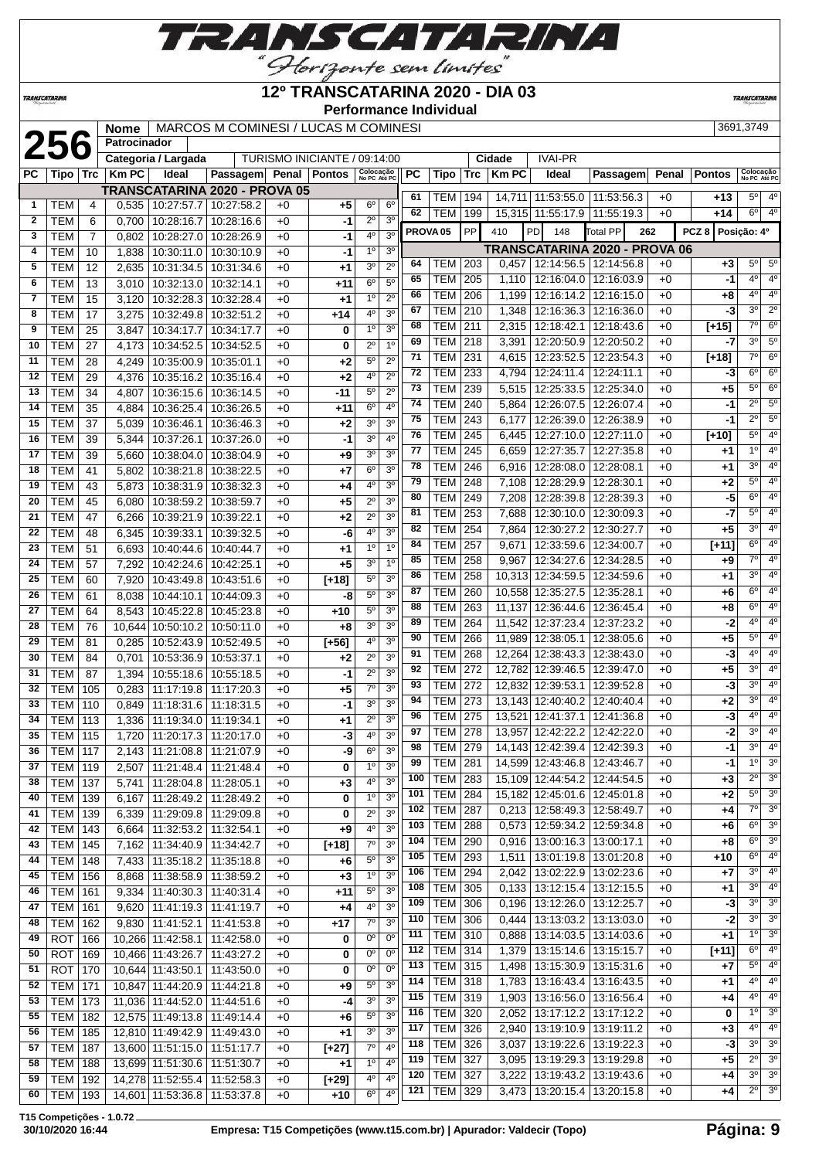

| <i><b>TRANSCATARINA</b></i> |                |                |              |                                      |                                      |      | 12º TRANSCATARINA 2020 - DIA 03 | <b>Performance Individual</b>    |           |                          |            |              |                   |                                                                 |       |                  | <b>TRANSCATARINA</b>      |                                    |
|-----------------------------|----------------|----------------|--------------|--------------------------------------|--------------------------------------|------|---------------------------------|----------------------------------|-----------|--------------------------|------------|--------------|-------------------|-----------------------------------------------------------------|-------|------------------|---------------------------|------------------------------------|
|                             |                |                | Nome         |                                      | MARCOS M COMINESI / LUCAS M COMINESI |      |                                 |                                  |           |                          |            |              |                   |                                                                 |       |                  | 3691,3749                 |                                    |
|                             | 256            |                | Patrocinador |                                      |                                      |      |                                 |                                  |           |                          |            |              |                   |                                                                 |       |                  |                           |                                    |
|                             |                |                |              | Categoria / Largada                  |                                      |      | TURISMO INICIANTE / 09:14:00    |                                  |           |                          |            | Cidade       | <b>IVAI-PR</b>    |                                                                 |       |                  |                           |                                    |
| PС                          | Tipo   Trc     |                | <b>Km PC</b> | Ideal                                | Passagem Penal Pontos                |      |                                 | Colocação<br>No PC Até PC        | <b>PC</b> | Tipo                     | <b>Trc</b> | <b>Km PC</b> | Ideal             | Passagem                                                        | Penal | <b>Pontos</b>    | Colocação<br>No PC Até PC |                                    |
|                             |                |                |              | <b>TRANSCATARINA 2020 - PROVA 05</b> |                                      |      |                                 |                                  | 61        | <b>TEM</b>               | 194        |              | 14,711 11:53:55.0 | 11:53:56.3                                                      | $+0$  | $+13$            | $5^{\circ}$               | 4 <sup>0</sup>                     |
| 1                           | TEM            | 4              | 0,535        | 10:27:57.7                           | 10:27:58.2                           | $+0$ | +5                              | $6^{\circ}$<br>$6^{\circ}$       | 62        | <b>TEM</b>               | 199        |              | 15,315 11:55:17.9 | 11:55:19.3                                                      | $+0$  | $+14$            | $6^{\circ}$               | 4 <sup>0</sup>                     |
| $\overline{2}$              | <b>TEM</b>     | 6              | 0,700        | 10:28:16.7                           | 10:28:16.6                           | $+0$ | $-1$                            | $2^{\circ}$<br>3 <sup>0</sup>    |           | PROVA <sub>05</sub>      | PP         | 410          | PD<br>148         | 262<br>Total PP                                                 |       | PCZ <sub>8</sub> | Posição: 4º               |                                    |
| 3                           | <b>TEM</b>     | $\overline{7}$ | 0,802        | 10:28:27.0                           | 10:28:26.9                           | $+0$ | -1                              | 40<br>3 <sup>0</sup>             |           |                          |            |              |                   |                                                                 |       |                  |                           |                                    |
| 4                           | <b>TEM</b>     | 10             | 1,838        | 10:30:11.0                           | 10:30:10.9                           | $+0$ | -1                              | 1 <sup>0</sup><br>3 <sup>o</sup> | 64        | <b>TEM</b>               | 203        | 0,457        |                   | <b>TRANSCATARINA 2020 - PROVA 06</b><br>12:14:56.5   12:14:56.8 | $+0$  | $+3$             | $5^{\circ}$               | $5^{\circ}$                        |
| 5                           | <b>TEM</b>     | 12             | 2,635        | 10:31:34.5                           | 10:31:34.6                           | $+0$ | +1                              | 3 <sup>0</sup><br>$2^{\circ}$    | 65        | <b>TEM   205</b>         |            | 1,110        | 12:16:04.0        | 12:16:03.9                                                      |       | -1               | 4 <sup>0</sup>            | 4 <sup>0</sup>                     |
| 6                           | <b>TEM</b>     | 13             | 3,010        | 10:32:13.0                           | 10:32:14.1                           | $+0$ | $+11$                           | 6 <sup>o</sup><br>5 <sup>0</sup> | 66        | <b>TEM</b>               |            |              |                   | 12:16:14.2 12:16:15.0                                           | $+0$  |                  | $4^{\circ}$               | 4 <sup>0</sup>                     |
| 7                           | <b>TEM</b>     | 15             | 3,120        | 10:32:28.3                           | 10:32:28.4                           | $+0$ | $+1$                            | 1 <sup>0</sup><br>$2^{\circ}$    | 67        |                          | 206        | 1,199        |                   |                                                                 | $+0$  | +8               | 3 <sup>0</sup>            | $\overline{2^0}$                   |
| 8                           | <b>TEM</b>     | 17             | 3,275        | 10:32:49.8                           | 10:32:51.2                           | $+0$ | +14                             | 4°<br>3 <sup>0</sup>             | 68        | <b>TEM</b><br><b>TEM</b> | 210<br>211 | 1,348        | 12:18:42.1        | 12:16:36.3   12:16:36.0                                         | $+0$  | -3               | $7^\circ$                 | 6 <sup>o</sup>                     |
| 9                           | <b>TEM</b>     | 25             | 3,847        | 10:34:17.7                           | 10:34:17.7                           | $+0$ | 0                               | 1 <sup>0</sup><br>3 <sup>0</sup> | 69        | <b>TEM 218</b>           |            | 2,315        |                   | 12:18:43.6                                                      | $+0$  | $[+15]$          | 3 <sup>0</sup>            | $5^{\circ}$                        |
| 10                          | <b>TEM</b>     | 27             | 4,173        | 10:34:52.5                           | 10:34:52.5                           | $+0$ | 0                               | $2^{\circ}$<br>1 <sup>0</sup>    | 71        |                          |            | 3,391        |                   | 12:20:50.9   12:20:50.2                                         | $+0$  | -7               | $7^\circ$                 | 6 <sup>o</sup>                     |
| 11                          | <b>TEM</b>     | 28             | 4,249        | 10:35:00.9                           | 10:35:01.1                           | $+0$ | $+2$                            | $5^{\circ}$<br>$2^{\circ}$       |           | <b>TEM 231</b>           |            | 4,615        | 12:23:52.5        | 12:23:54.3                                                      | $+0$  | $[+18]$          | 6 <sup>o</sup>            | 6 <sup>o</sup>                     |
| 12                          | <b>TEM</b>     | 29             | 4,376        | 10:35:16.2                           | 10:35:16.4                           | $+0$ | $+2$                            | 4°<br>$2^{\circ}$                | 72        | <b>TEM 233</b>           |            | 4,794        | 12:24:11.4        | 12:24:11.1                                                      | $+0$  | -3               |                           |                                    |
| 13                          | <b>TEM</b>     | 34             | 4,807        | 10:36:15.6                           | 10:36:14.5                           | $+0$ | -11                             | 5 <sup>o</sup><br>$2^{\circ}$    | 73        | <b>TEM</b>               | 239        | 5,515        | 12:25:33.5        | 12:25:34.0                                                      | $+0$  | $+5$             | $5^{\circ}$               | 6 <sup>o</sup>                     |
| 14                          | <b>TEM</b>     | 35             | 4,884        | 10:36:25.4                           | 10:36:26.5                           | $+0$ | +11                             | $6^{\circ}$<br>4 <sup>0</sup>    | 74        | <b>TEM</b>               | 240        | 5,864        | 12:26:07.5        | 12:26:07.4                                                      | $+0$  | -1               | $2^{\circ}$               | 5 <sup>o</sup><br>$\overline{5^0}$ |
| 15                          | <b>TEM</b>     | 37             | 5,039        | 10:36:46.1                           | 10:36:46.3                           | $+0$ | $+2$                            | 3 <sup>o</sup><br>3 <sup>0</sup> | 75        | <b>TEM 243</b>           |            | 6,177        | 12:26:39.0        | 12:26:38.9                                                      | $+0$  | $-1$             | $2^{\circ}$               | 4 <sup>0</sup>                     |
| 16                          | <b>TEM</b>     | 39             | 5,344        | 10:37:26.1                           | 10:37:26.0                           | $+0$ | $-1$                            | 30<br>4 <sup>0</sup>             | 76        | <b>TEM</b>               | 245        | 6,445        | 12:27:10.0        | 12:27:11.0                                                      | $+0$  | $[+10]$          | $5^{\circ}$               |                                    |
| 17                          | <b>TEM</b>     | 39             | 5,660        | 10:38:04.0                           | 10:38:04.9                           | $+0$ | +9                              | 3 <sup>o</sup><br>3 <sup>o</sup> | 77        | <b>TEM</b>               | 245        | 6,659        | 12:27:35.7        | 12:27:35.8                                                      | $+0$  | $+1$             | $1^{\circ}$               | 4 <sup>0</sup>                     |
| 18                          | <b>TEM</b>     | 41             | 5,802        | 10:38:21.8                           | 10:38:22.5                           | $+0$ | +7                              | $6^{\circ}$<br>3 <sup>0</sup>    | 78        | <b>TEM</b>               | 246        | 6,916        | 12:28:08.0        | 12:28:08.1                                                      | $+0$  | +1               | 3 <sup>0</sup>            | 4 <sup>0</sup>                     |
| 19                          | <b>TEM</b>     | 43             | 5,873        | 10:38:31.9                           | 10:38:32.3                           | $+0$ | $+4$                            | 40<br>3 <sup>0</sup>             | 79        | <b>TEM</b>               | 248        | 7,108        | 12:28:29.9        | 12:28:30.1                                                      | $+0$  | $+2$             | 5 <sup>0</sup>            | $\overline{4^0}$                   |
| 20                          | <b>TEM</b>     | 45             | 6,080        | 10:38:59.2                           | 10:38:59.7                           | $+0$ | $+5$                            | $2^{\circ}$<br>3 <sup>0</sup>    | 80        | <b>TEM 249</b>           |            | 7,208        | 12:28:39.8        | 12:28:39.3                                                      | $+0$  | -5               | $6^{\circ}$               | 4 <sup>0</sup>                     |
| 21                          | <b>TEM</b>     | 47             | 6,266        | 10:39:21.9                           | 10:39:22.1                           | $+0$ | +2                              | $2^{\circ}$<br>3 <sup>0</sup>    | 81        | <b>TEM 253</b>           |            | 7,688        | 12:30:10.0        | 12:30:09.3                                                      | $+0$  | $-7$             | $5^{\circ}$               | 4 <sup>0</sup>                     |
| 22                          | <b>TEM</b>     | 48             | 6,345        | 10:39:33.1                           | 10:39:32.5                           | $+0$ | -6                              | 4°<br>3 <sup>0</sup>             | 82        | <b>TEM</b>               | 254        | 7,864        | 12:30:27.2        | 12:30:27.7                                                      | $+0$  | $+5$             | 30                        | 4 <sup>0</sup>                     |
| 23                          | <b>TEM</b>     | 51             | 6,693        | 10:40:44.6                           | 10:40:44.7                           | $+0$ | +1                              | 1 <sup>0</sup><br>1 <sup>0</sup> | 84        | <b>TEM</b>               | 257        | 9,671        | 12:33:59.6        | 12:34:00.7                                                      | $+0$  | $[+11]$          | $6^{\circ}$               | 4 <sup>0</sup>                     |
| 24                          | <b>TEM</b>     | 57             | 7,292        | 10:42:24.6                           | 10:42:25.1                           | $+0$ | $+5$                            | 3 <sup>0</sup><br>1 <sup>0</sup> | 85        | <b>TEM</b>               | 258        | 9.967        | 12:34:27.6        | 12:34:28.5                                                      | $+0$  | $+9$             | $7^\circ$                 | 4 <sup>0</sup>                     |
| 25                          | <b>TEM</b>     | 60             | 7,920        | 10:43:49.8                           | 10:43:51.6                           | $+0$ | $[+18]$                         | $5^{\circ}$<br>3 <sup>o</sup>    | 86        | <b>TEM</b>               | 258        |              | 10,313 12:34:59.5 | 12:34:59.6                                                      | $+0$  | $+1$             | $3^{\circ}$               | 4 <sup>0</sup>                     |
| 26                          | <b>TEM</b>     | 61             | 8,038        | 10:44:10.1                           | 10:44:09.3                           | $+0$ | -8                              | $5^{\circ}$<br>3 <sup>0</sup>    | 87        | <b>TEM</b>               | 260        |              | 10,558 12:35:27.5 | 12:35:28.1                                                      | $+0$  | +6               | $6^{\circ}$               | 4 <sup>0</sup>                     |
| 27                          | <b>TEM</b>     | 64             | 8,543        | 10:45:22.8                           | 10:45:23.8                           | $+0$ | $+10$                           | 5 <sup>0</sup><br>30             | 88        | <b>TEM</b>               | 263        | 11,137       | 12:36:44.6        | 12:36:45.4                                                      | $+0$  | +8               | $6^{\circ}$               | 4 <sup>0</sup>                     |
| 28                          | <b>TEM</b>     | 76             | 10,644       | 10:50:10.2                           | 10:50:11.0                           | $+0$ | +8                              | 30<br>3 <sup>0</sup>             | 89        | <b>TEM</b>               | 264        |              | 11.542 12:37:23.4 | 12:37:23.2                                                      | $+0$  | -2               | 4 <sup>0</sup>            | $\overline{4^0}$                   |
| 29                          | TEM            | 81             | 0,285        | 10:52:43.9                           | 10:52:49.5                           | $+0$ | $[+56]$                         | 3 <sup>0</sup><br>4°             | 90        | <b>TEM</b>               | 266        |              | 11,989 12:38:05.1 | 12:38:05.6                                                      | $+0$  | $+5$             | $5^{\circ}$               | 4 <sup>0</sup>                     |
| 30                          | <b>TEM</b>     | 84             | 0,701        | 10:53:36.9                           | 10:53:37.1                           | $+0$ | +2                              | $2^{\circ}$<br>3 <sup>o</sup>    | 91        | <b>TEM</b>               | 268        |              | 12,264 12:38:43.3 | 12:38:43.0                                                      | $+0$  | -3               | 4°                        | 4 <sup>0</sup>                     |
| 31                          | <b>TEM</b>     | 87             | 1,394        | 10:55:18.6                           | 10:55:18.5                           | $+0$ | -1                              | $2^{\circ}$<br>3 <sup>0</sup>    | 92        | <b>TEM</b>               | 272        |              | 12.782 12:39:46.5 | 12:39:47.0                                                      | $+0$  | $+5$             | 30                        | 4 <sup>0</sup>                     |
| 32                          | <b>TEM 105</b> |                | 0,283        | 11:17:19.8 11:17:20.3                |                                      | $+0$ | +5                              | $7^\circ$<br>3 <sup>o</sup>      | 93        | <b>TEM 272</b>           |            |              | 12,832 12:39:53.1 | 12:39:52.8                                                      | $+0$  | -3               | 3 <sup>0</sup>            | 4 <sup>0</sup>                     |
| 33                          | <b>TEM</b> 110 |                |              | 0,849 11:18:31.6 11:18:31.5          |                                      | $+0$ | $-1$                            | 3 <sup>0</sup><br>3 <sup>o</sup> | 94        | TEM 273                  |            |              |                   | 13,143 12:40:40.2 12:40:40.4                                    | $+0$  | $+2$             | $3^{\circ}$               | $4^\circ$                          |
| 34                          | <b>TEM 113</b> |                | 1,336        | 11:19:34.0   11:19:34.1              |                                      | $+0$ | $+1$                            | $2^{\circ}$<br>3 <sup>o</sup>    | 96        | TEM 275                  |            |              |                   | 13,521 12:41:37.1 12:41:36.8                                    | $+0$  | $-3$             | $4^{\circ}$               | 4 <sup>0</sup>                     |
| 35                          | <b>TEM 115</b> |                |              | 1,720   11:20:17.3   11:20:17.0      |                                      | $+0$ | -3                              | 4 <sup>0</sup><br>3 <sup>o</sup> | 97        | <b>TEM 278</b>           |            |              |                   | 13,957   12:42:22.2   12:42:22.0                                | $+0$  | $-2$             | $3^{\circ}$               | 4 <sup>0</sup>                     |
| 36                          | $TEM$ 117      |                |              | 2,143   11:21:08.8   11:21:07.9      |                                      | $+0$ | -9                              | 6 <sup>o</sup><br>3 <sup>o</sup> | 98        | <b>TEM 279</b>           |            |              |                   | 14, 143 12: 42: 39. 4 12: 42: 39. 3                             | $+0$  | $-1$             | $3^{\circ}$               | 4 <sup>0</sup>                     |
| 37                          | <b>TEM 119</b> |                |              | 2,507   11:21:48.4                   | 11:21:48.4                           | $+0$ | 0                               | 1 <sup>0</sup><br>3 <sup>o</sup> | 99        | <b>TEM 281</b>           |            |              |                   | 14,599 12:43:46.8 12:43:46.7                                    | $+0$  | $-1$             | $1^{\circ}$               | $\overline{3^0}$                   |
| 38                          | <b>TEM 137</b> |                | 5,741        | 11:28:04.8                           | 11:28:05.1                           | $+0$ | +3                              | 4°<br>3 <sup>o</sup>             | 100       | <b>TEM 283</b>           |            |              |                   | 15,109 12:44:54.2 12:44:54.5                                    | $+0$  | $+3$             | $2^{\circ}$               | 3 <sup>o</sup>                     |
| 40                          | TEM   139      |                | 6,167        | 11:28:49.2 11:28:49.2                |                                      | $+0$ | 0                               | $1^{\circ}$<br>3 <sup>o</sup>    |           | 101   TEM   284          |            |              |                   | 15,182 12:45:01.6 12:45:01.8                                    | $+0$  | $+2$             | $5^{\circ}$               | 3 <sup>o</sup>                     |
| 41                          | TEM   139      |                | 6,339        | 11:29:09.8   11:29:09.8              |                                      | $+0$ | 0                               | $2^{\circ}$<br>3 <sup>o</sup>    |           | 102 TEM 287              |            |              |                   | $0,213$   12:58:49.3   12:58:49.7                               | $+0$  | $+4$             | $7^\circ$                 | 3 <sup>o</sup>                     |
| 42                          | <b>TEM 143</b> |                |              | 6,664 11:32:53.2 11:32:54.1          |                                      | $+0$ | +9                              | 4 <sup>0</sup><br>3 <sup>o</sup> | 103       | <b>TEM 288</b>           |            |              |                   | $0,573$   12:59:34.2   12:59:34.8                               | $+0$  | +6               | $6^{\circ}$               | 3 <sup>o</sup>                     |
| 43                          | <b>TEM 145</b> |                |              | 7,162   11:34:40.9   11:34:42.7      |                                      | $+0$ | $[+18]$                         | $7^\circ$<br>3 <sup>o</sup>      | 104       | <b>TEM 290</b>           |            |              |                   | $0,916$   13:00:16.3   13:00:17.1                               | $+0$  | $+8$             | $6^{\circ}$               | 3 <sup>o</sup>                     |
|                             | 44   TEM   148 |                |              | 7,433   11:35:18.2   11:35:18.8      |                                      | $+0$ | $+6$                            | $5^{\circ}$<br>3 <sup>o</sup>    |           | 105   TEM   293          |            |              |                   | 1,511   13:01:19.8   13:01:20.8                                 | $+0$  | $+10$            | $6^{\circ}$               | 4 <sup>0</sup>                     |

 TEM 156 8,868 11:38:58.9 11:38:59.2 +0 **+3** 1º 3º TEM 161 9,334 11:40:30.3 11:40:31.4 +0 **+11** 5º 3º TEM 161 9,620 11:41:19.3 11:41:19.7 +0 **+4** 4º 3º TEM 162 9,830 11:41:52.1 11:41:53.8 +0 **+17** 7º 3º ROT 166 10,266 11:42:58.1 11:42:58.0 +0 **0** 0º 0º ROT 169 10,466 11:43:26.7 11:43:27.2 +0 **0** 0º 0º ROT 170 10,644 11:43:50.1 11:43:50.0 +0 **0** 0º 0º TEM 171 10,847 11:44:20.9 11:44:21.8 +0 **+9** 5º 3º TEM 173 11,036 11:44:52.0 11:44:51.6 +0 **-4** 3º 3º TEM 182 12,575 11:49:13.8 11:49:14.4 +0 **+6** 5º 3º TEM 185 12,810 11:49:42.9 11:49:43.0 +0 **+1** 3º 3º TEM 187 13,600 11:51:15.0 11:51:17.7 +0 **[+27]** 7º 4º TEM 188 13,699 11:51:30.6 11:51:30.7 +0 **+1** 1º 4º TEM 192 14,278 11:52:55.4 11:52:58.3 +0 **[+29]** 4º 4º TEM 193 14,601 11:53:36.8 11:53:37.8 +0 **+10** 6º 4º

 TEM 294 2,042 13:02:22.9 13:02:23.6 +0 **+7** 3º 4º TEM 305 0,133 13:12:15.4 13:12:15.5 +0 **+1** 3º 4º TEM 306 0,196 13:12:26.0 13:12:25.7 +0 **-3** 3º 3º TEM 306 0,444 13:13:03.2 13:13:03.0 +0 **-2** 3º 3º TEM 310 0,888 13:14:03.5 13:14:03.6 +0 **+1** 1º 3º TEM 314 1,379 13:15:14.6 13:15:15.7 +0 **[+11]** 6º 4º TEM 315 1,498 13:15:30.9 13:15:31.6 +0 **+7** 5º 4º TEM 318 1,783 13:16:43.4 13:16:43.5 +0 **+1** 4º 4º TEM 319 1,903 13:16:56.0 13:16:56.4 +0 +4 4<sup>o</sup> 4<sup>o</sup> TEM 320 2,052 13:17:12.2 13:17:12.2 +0 **0** 1º 3º TEM 326 2,940 13:19:10.9 13:19:11.2 +0 **+3** 4º 4º TEM 326 3,037 13:19:22.6 13:19:22.3 +0 **-3** 3º 3º TEM 327 3,095 13:19:29.3 13:19:29.8 +0 **+5** 2º 3º TEM 327 3,222 13:19:43.2 13:19:43.6 +0 **+4** 3º 3º TEM 329 3,473 13:20:15.4 13:20:15.8 +0 **+4** 2º 3º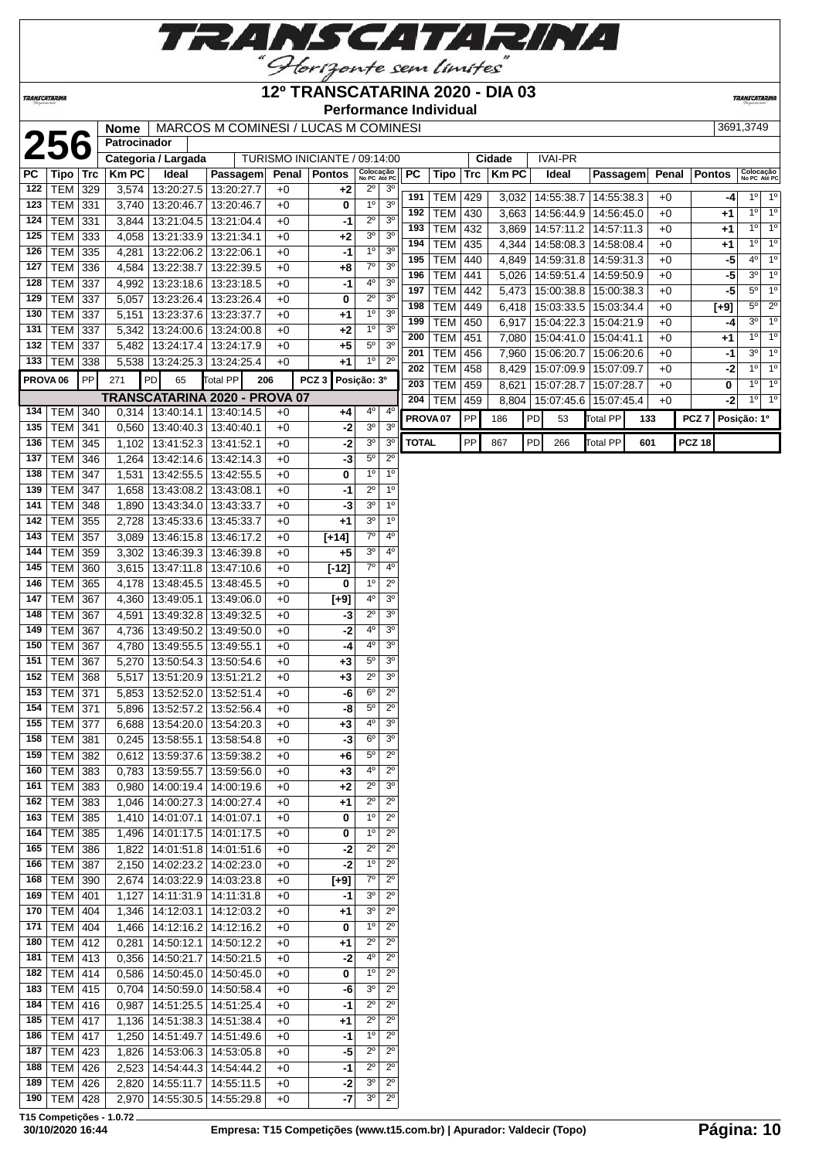

**Performance Individual** 

**TRANSCATARIN** 

|                     |                |     | <b>Nome</b>  |                                   | MARCOS M COMINESI / LUCAS M COMINESI |       |                              |                        |                           |              |                     |     |        |    |                                 |            |     |       |                  | 3691,3749                 |                            |
|---------------------|----------------|-----|--------------|-----------------------------------|--------------------------------------|-------|------------------------------|------------------------|---------------------------|--------------|---------------------|-----|--------|----|---------------------------------|------------|-----|-------|------------------|---------------------------|----------------------------|
|                     | 256            |     | Patrocinador |                                   |                                      |       |                              |                        |                           |              |                     |     |        |    |                                 |            |     |       |                  |                           |                            |
|                     |                |     |              | Categoria / Largada               |                                      |       | TURISMO INICIANTE / 09:14:00 |                        |                           |              |                     |     | Cidade |    | IVAI-PR                         |            |     |       |                  |                           |                            |
| РC                  | Tipo           | Trc | <b>Km PC</b> | Ideal                             | Passagem                             | Penal | <b>Pontos</b>                |                        | Colocação<br>No PC Até PC | PC           | Tipo                | Trc | KmPC   |    | Ideal                           | Passagem   |     | Penal | <b>Pontos</b>    | Colocação<br>No PC Até PO |                            |
| 122                 | <b>TEM 329</b> |     | 3,574        | 13:20:27.5                        | 13:20:27.7                           | $+0$  | $+2$                         | $2^{\circ}$            | 3 <sup>o</sup>            |              |                     |     |        |    |                                 |            |     |       |                  |                           |                            |
| 123                 | <b>TEM 331</b> |     | 3,740        | 13:20:46.7                        | 13:20:46.7                           | $+0$  | 0                            | $1^{\circ}$            | 3 <sup>0</sup>            | 191          | <b>TEM 429</b>      |     | 3,032  |    | 14:55:38.7                      | 14:55:38.3 |     | $+0$  | -4               |                           | $1^{\circ}$ 1 <sup>°</sup> |
| 124                 | <b>TEM</b>     | 331 | 3,844        | 13:21:04.5                        | 13:21:04.4                           | $+0$  | -1                           | $2^{\circ}$            | 3 <sup>0</sup>            | 192          | <b>TEM</b>          | 430 |        |    | 3,663   14:56:44.9              | 14:56:45.0 |     | $+0$  | $+1$             | $1^{\circ}$               | 1 <sup>0</sup>             |
| 125                 | <b>TEM</b>     | 333 | 4,058        |                                   | 13:21:33.9   13:21:34.1              | $+0$  | +2                           | 3 <sup>o</sup>         | 3 <sup>o</sup>            | 193          | <b>TEM</b>          | 432 |        |    | 3,869   14:57:11.2   14:57:11.3 |            |     | $+0$  | $+1$             | $1^{\circ}$               | 1 <sup>0</sup>             |
| 126                 | <b>TEM</b>     | 335 | 4,281        | 13:22:06.2   13:22:06.1           |                                      | $+0$  | -1                           | $1^{\circ}$            | 3 <sup>0</sup>            | 194          | <b>TEM</b>          | 435 | 4,344  |    | 14:58:08.3                      | 14:58:08.4 |     | $+0$  | $+1$             | $1^{\circ}$               | 1 <sup>0</sup>             |
| 127                 | <b>TEM</b>     | 336 |              | 13:22:38.7                        |                                      | $+0$  | $+8$                         | $7^\circ$              | 3 <sup>o</sup>            | 195          | <b>TEM</b>          | 440 | 4,849  |    | 14:59:31.8                      | 14:59:31.3 |     | $+0$  | -5               | $4^{\circ}$               | 1 <sup>c</sup>             |
|                     |                |     | 4,584        |                                   | 13:22:39.5                           |       |                              |                        |                           | 196          | <b>TEM</b>          | 441 | 5,026  |    | 14:59:51.4                      | 14:59:50.9 |     | $+0$  | -5               | 3 <sup>o</sup>            | 1 <sup>c</sup>             |
| 128                 | <b>TEM</b>     | 337 | 4,992        |                                   | 13:23:18.6   13:23:18.5              | $+0$  | -1                           | 40                     | 3 <sup>0</sup>            | 197          | <b>TEM</b>          | 442 | 5,473  |    | 15:00:38.8   15:00:38.3         |            |     | $+0$  | -5               | $5^{\circ}$               | 1 <sup>c</sup>             |
| 129                 | <b>TEM</b>     | 337 | 5,057        | 13:23:26.4                        | 13:23:26.4                           | $+0$  | 0                            | $2^{\circ}$            | 3 <sup>o</sup>            | 198          | <b>TEM</b>          | 449 | 6,418  |    | 15:03:33.5                      | 15:03:34.4 |     | $+0$  | $[+9]$           | $5^{\circ}$               | 2 <sup>o</sup>             |
| 130                 | <b>TEM</b>     | 337 | 5,151        |                                   | 13:23:37.6   13:23:37.7              | $+0$  | +1                           | 1 <sup>0</sup>         | 3 <sup>0</sup>            | 199          | <b>TEM</b>          | 450 | 6,917  |    | 15:04:22.3                      | 15:04:21.9 |     | $+0$  | -4               | $3^{\circ}$               | 1 <sup>0</sup>             |
| 131                 | <b>TEM</b>     | 337 | 5,342        |                                   | 13:24:00.6   13:24:00.8              | $+0$  | $+2$                         | 1 <sup>0</sup>         | 3 <sup>0</sup>            | 200          | <b>TEM</b>          | 451 | 7,080  |    | 15:04:41.0                      | 15:04:41.1 |     | $+0$  | $+1$             | 1 <sup>°</sup>            | 1 <sup>c</sup>             |
| 132                 | TEM   337      |     | 5,482        |                                   | 13:24:17.4 13:24:17.9                | $+0$  | $+5$                         | $5^{\circ}$            | 3 <sup>o</sup>            | 201          | <b>TEM</b>          | 456 | 7,960  |    | 15:06:20.7                      | 15:06:20.6 |     | $+0$  | -1               | $3^{\circ}$               | 1 <sup>0</sup>             |
| 133                 | <b>TEM</b>     | 338 | 5,538        |                                   | 13:24:25.3 13:24:25.4                | $+0$  | $+1$                         | 1 <sup>0</sup>         | $2^{\circ}$               | 202          | <b>TEM</b>          | 458 | 8,429  |    | 15:07:09.9   15:07:09.7         |            |     | $+0$  | -2               | $1^{\circ}$               | 1 <sup>0</sup>             |
| PROVA <sub>06</sub> |                | PP  | 271          | PD<br>65                          | Total PP<br>206                      |       | PCZ <sub>3</sub>             | Posição: 3º            |                           |              |                     |     |        |    |                                 |            |     |       |                  |                           |                            |
|                     |                |     |              |                                   | TRANSCATARINA 2020 - PROVA 07        |       |                              |                        |                           | 203          | <b>TEM</b>          | 459 | 8,621  |    | 15:07:28.7                      | 15:07:28.7 |     | $+0$  | 0                | $1^{\circ}$               | 1 <sup>0</sup>             |
| 134                 | TEM            | 340 |              |                                   | $0,314$   13:40:14.1   13:40:14.5    | $+0$  | +4                           | 4°                     | $4^{\circ}$               | 204          | <b>TEM</b>          | 459 | 8,804  |    | 15:07:45.6   15:07:45.4         |            |     | $+0$  | $-2$             |                           | $10$ $10$                  |
| 135                 |                |     |              |                                   |                                      |       |                              | $3^{\circ}$            | 3 <sup>o</sup>            |              | PROVA <sub>07</sub> | PP  | 186    | PD | 53                              | Total PP   | 133 |       | PCZ <sub>7</sub> | Posição: 1º               |                            |
|                     | $TEM$ 341      |     | 0,560        | 13:40:40.3                        | 13:40:40.1                           | $+0$  | $-2$                         |                        |                           | <b>TOTAL</b> |                     | PP  |        |    |                                 |            |     |       |                  |                           |                            |
| 136                 | <b>TEM</b>     | 345 | 1,102        | 13:41:52.3                        | 13:41:52.1                           | $+0$  | -2                           | 3 <sup>o</sup>         | 3 <sup>o</sup>            |              |                     |     | 867    | PD | 266                             | Total PP   | 601 |       | <b>PCZ 18</b>    |                           |                            |
| 137                 | <b>TEM</b>     | 346 | 1,264        |                                   | 13:42:14.6   13:42:14.3              | $+0$  | -3                           | $5^{\circ}$            | $2^{\circ}$               |              |                     |     |        |    |                                 |            |     |       |                  |                           |                            |
| 138                 | <b>TEM</b>     | 347 | 1,531        |                                   | 13:42:55.5   13:42:55.5              | $+0$  | 0                            | $1^{\circ}$            | 1 <sup>0</sup>            |              |                     |     |        |    |                                 |            |     |       |                  |                           |                            |
| 139                 | <b>TEM</b>     | 347 | 1,658        | 13:43:08.2                        | 13:43:08.1                           | $+0$  | -1                           | $2^{\circ}$            | 1 <sup>0</sup>            |              |                     |     |        |    |                                 |            |     |       |                  |                           |                            |
| 141                 | <b>TEM</b>     | 348 | 1,890        |                                   | 13:43:34.0   13:43:33.7              | $+0$  | -3                           | 3 <sup>o</sup>         | $1^{\circ}$               |              |                     |     |        |    |                                 |            |     |       |                  |                           |                            |
| 142                 | <b>TEM</b>     | 355 | 2,728        | 13:45:33.6                        | 13:45:33.7                           | $+0$  | +1                           | 3 <sup>o</sup>         | 1 <sup>0</sup>            |              |                     |     |        |    |                                 |            |     |       |                  |                           |                            |
| 143                 | <b>TEM</b>     | 357 | 3,089        | 13:46:15.8                        | 13:46:17.2                           | $+0$  | $[+14]$                      | $7^{\circ}$            | $4^{\circ}$               |              |                     |     |        |    |                                 |            |     |       |                  |                           |                            |
| 144                 | TEM            | 359 | 3,302        | 13:46:39.3                        | 13:46:39.8                           | $+0$  | +5                           | 3 <sup>o</sup>         | 4 <sup>0</sup>            |              |                     |     |        |    |                                 |            |     |       |                  |                           |                            |
| 145                 | <b>TEM</b>     | 360 | 3,615        | 13:47:11.8                        | 13:47:10.6                           | $+0$  | $[-12]$                      | 70                     | $4^{\circ}$               |              |                     |     |        |    |                                 |            |     |       |                  |                           |                            |
| 146                 | <b>TEM</b>     | 365 | 4,178        |                                   | 13:48:45.5   13:48:45.5              | $+0$  | 0                            | $1^{\circ}$            | $2^{\circ}$               |              |                     |     |        |    |                                 |            |     |       |                  |                           |                            |
| 147                 | <b>TEM</b>     | 367 | 4,360        | 13:49:05.1                        | 13:49:06.0                           | $+0$  | $[+9]$                       | 40                     | 3 <sup>o</sup>            |              |                     |     |        |    |                                 |            |     |       |                  |                           |                            |
| 148                 | <b>TEM</b>     | 367 | 4,591        | 13:49:32.8                        | 13:49:32.5                           | $+0$  | -3                           | $\overline{2^{\circ}}$ | 3 <sup>o</sup>            |              |                     |     |        |    |                                 |            |     |       |                  |                           |                            |
| 149                 | TEM            | 367 |              |                                   |                                      | $+0$  | -2                           | 4°                     | 3 <sup>o</sup>            |              |                     |     |        |    |                                 |            |     |       |                  |                           |                            |
|                     |                |     | 4,736        |                                   | 13:49:50.2   13:49:50.0              |       |                              | 4°                     | 3 <sup>0</sup>            |              |                     |     |        |    |                                 |            |     |       |                  |                           |                            |
| 150                 | <b>TEM</b>     | 367 | 4,780        |                                   | 13:49:55.5   13:49:55.1              | $+0$  | -4                           |                        |                           |              |                     |     |        |    |                                 |            |     |       |                  |                           |                            |
| 151                 | <b>TEM</b>     | 367 | 5,270        | 13:50:54.3                        | 13:50:54.6                           | $+0$  | $+3$                         | $5^{\circ}$            | 3 <sup>0</sup>            |              |                     |     |        |    |                                 |            |     |       |                  |                           |                            |
| 152                 | <b>TEM</b>     | 368 | 5,517        |                                   | 13:51:20.9   13:51:21.2              | $+0$  | $+3$                         | $2^{\circ}$            | 3 <sup>0</sup>            |              |                     |     |        |    |                                 |            |     |       |                  |                           |                            |
| 153                 | <b>TEM 371</b> |     | 5,853        | 13:52:52.0                        | 13:52:51.4                           | $+0$  | -6                           | $6^{\circ}$            | $2^{\circ}$               |              |                     |     |        |    |                                 |            |     |       |                  |                           |                            |
| 154                 | <b>TEM 371</b> |     | 5,896        | 13:52:57.2                        | 13:52:56.4                           | $+0$  | -8                           | $5^{\circ}$            | $2^{\circ}$               |              |                     |     |        |    |                                 |            |     |       |                  |                           |                            |
| 155                 | <b>TEM 377</b> |     |              |                                   | 6,688   13:54:20.0   13:54:20.3      | $+0$  | $+3$                         | 40                     | 3 <sup>0</sup>            |              |                     |     |        |    |                                 |            |     |       |                  |                           |                            |
|                     | 158 TEM 381    |     |              |                                   | 0,245 13:58:55.1 13:58:54.8          | $+0$  | $-3$                         | 6 <sup>0</sup>         | 3 <sup>o</sup>            |              |                     |     |        |    |                                 |            |     |       |                  |                           |                            |
| 159                 | <b>TEM 382</b> |     | 0,612        |                                   | 13:59:37.6   13:59:38.2              | $+0$  | +6                           | $5^{\circ}$            | $2^{\circ}$               |              |                     |     |        |    |                                 |            |     |       |                  |                           |                            |
| 160                 | TEM            | 383 | 0,783        | 13:59:55.7                        | 13:59:56.0                           | $+0$  | $+3$                         | 4º                     | $2^{\circ}$               |              |                     |     |        |    |                                 |            |     |       |                  |                           |                            |
| 161                 | TEM            | 383 | 0,980        |                                   | 14:00:19.4   14:00:19.6              | $+0$  | $+2$                         | $2^{\circ}$            | 3 <sup>o</sup>            |              |                     |     |        |    |                                 |            |     |       |                  |                           |                            |
| 162                 | <b>TEM</b>     | 383 | 1,046        |                                   | 14:00:27.3 14:00:27.4                | $+0$  | +1                           | $2^{\circ}$            | $2^{\circ}$               |              |                     |     |        |    |                                 |            |     |       |                  |                           |                            |
| 163                 | <b>TEM</b>     | 385 | 1,410        | 14:01:07.1   14:01:07.1           |                                      | +0    | 0                            | 1 <sup>0</sup>         | $\overline{2^0}$          |              |                     |     |        |    |                                 |            |     |       |                  |                           |                            |
| 164                 | TEM 385        |     |              |                                   | 1,496   14:01:17.5   14:01:17.5      | $+0$  | 0                            | $\overline{1^{\circ}}$ | $\overline{2^0}$          |              |                     |     |        |    |                                 |            |     |       |                  |                           |                            |
| 165                 | TEM 386        |     |              |                                   | 1,822   14:01:51.8   14:01:51.6      | $+0$  | $-2$                         | $2^{\circ}$            | $2^{\circ}$               |              |                     |     |        |    |                                 |            |     |       |                  |                           |                            |
| 166                 | <b>TEM 387</b> |     |              |                                   |                                      |       | $-2$                         | 1 <sup>0</sup>         | $2^{\circ}$               |              |                     |     |        |    |                                 |            |     |       |                  |                           |                            |
|                     |                |     |              | 2,150   14:02:23.2   14:02:23.0   |                                      | $+0$  |                              | $7^\circ$              | $2^{\circ}$               |              |                     |     |        |    |                                 |            |     |       |                  |                           |                            |
| 168                 | <b>TEM</b>     | 390 |              |                                   | 2,674   14:03:22.9   14:03:23.8      | $+0$  | $[+9]$                       |                        |                           |              |                     |     |        |    |                                 |            |     |       |                  |                           |                            |
| 169                 | TEM            | 401 | 1,127        |                                   | 14:11:31.9   14:11:31.8              | $+0$  | -1                           | 3 <sup>o</sup>         | $2^{\circ}$               |              |                     |     |        |    |                                 |            |     |       |                  |                           |                            |
| 170                 | TEM            | 404 | 1,346        | 14:12:03.1                        | 14:12:03.2                           | $+0$  | $+1$                         | 3 <sup>0</sup>         | $2^{\circ}$               |              |                     |     |        |    |                                 |            |     |       |                  |                           |                            |
| 171                 | <b>TEM 404</b> |     | 1,466        |                                   | 14:12:16.2   14:12:16.2              | $+0$  | 0                            | $1^{\circ}$            | $2^{\circ}$               |              |                     |     |        |    |                                 |            |     |       |                  |                           |                            |
| 180                 | <b>TEM 412</b> |     | 0,281        | 14:50:12.1                        | 14:50:12.2                           | $+0$  | +1                           | $2^{\circ}$            | $2^{\circ}$               |              |                     |     |        |    |                                 |            |     |       |                  |                           |                            |
| 181                 | TEM 413        |     |              | $0,356$   14:50:21.7              | 14:50:21.5                           | $+0$  | -2                           | $4^{\rm o}$            | $2^{\circ}$               |              |                     |     |        |    |                                 |            |     |       |                  |                           |                            |
| 182                 | <b>TEM 414</b> |     |              | $0,586$   14:50:45.0   14:50:45.0 |                                      | $+0$  | 0                            | 1 <sup>0</sup>         | $2^{\circ}$               |              |                     |     |        |    |                                 |            |     |       |                  |                           |                            |
| 183                 | <b>TEM 415</b> |     |              | $0,704$   14:50:59.0              | 14:50:58.4                           | $+0$  | -6                           | $3o$                   | $2^{\circ}$               |              |                     |     |        |    |                                 |            |     |       |                  |                           |                            |
| 184                 | <b>TEM 416</b> |     | 0,987        | 14:51:25.5                        | 14:51:25.4                           | $+0$  | -1                           | $2^{\circ}$            | $2^{\circ}$               |              |                     |     |        |    |                                 |            |     |       |                  |                           |                            |
| 185                 | <b>TEM 417</b> |     | 1,136        |                                   | 14:51:38.3 14:51:38.4                | $+0$  | +1                           | $2^{\circ}$            | $2^{\circ}$               |              |                     |     |        |    |                                 |            |     |       |                  |                           |                            |
| 186                 | <b>TEM 417</b> |     |              |                                   |                                      |       |                              | 1 <sup>0</sup>         | $2^{\circ}$               |              |                     |     |        |    |                                 |            |     |       |                  |                           |                            |
|                     |                |     | 1,250        | 14:51:49.7                        | 14:51:49.6                           | $+0$  | -1                           |                        |                           |              |                     |     |        |    |                                 |            |     |       |                  |                           |                            |
| 187                 | TEM 423        |     | 1,826        |                                   | 14:53:06.3 14:53:05.8                | $+0$  | -5                           | $2^{\circ}$            | $2^{\circ}$               |              |                     |     |        |    |                                 |            |     |       |                  |                           |                            |
| 188                 | <b>TEM</b>     | 426 | 2,523        |                                   | 14:54:44.3   14:54:44.2              | $+0$  | -1                           | $2^{\circ}$            | $2^{\circ}$               |              |                     |     |        |    |                                 |            |     |       |                  |                           |                            |
| 189                 | TEM            | 426 | 2,820        | 14:55:11.7                        | 14:55:11.5                           | +0    | -2                           | 3 <sup>o</sup>         | $2^{\circ}$               |              |                     |     |        |    |                                 |            |     |       |                  |                           |                            |
| 190                 | TEM            | 428 |              | 2,970   14:55:30.5   14:55:29.8   |                                      | $+0$  | -7                           | 3 <sup>o</sup>         | $2^{\circ}$               |              |                     |     |        |    |                                 |            |     |       |                  |                           |                            |

**T15 Competições - 1.0.72**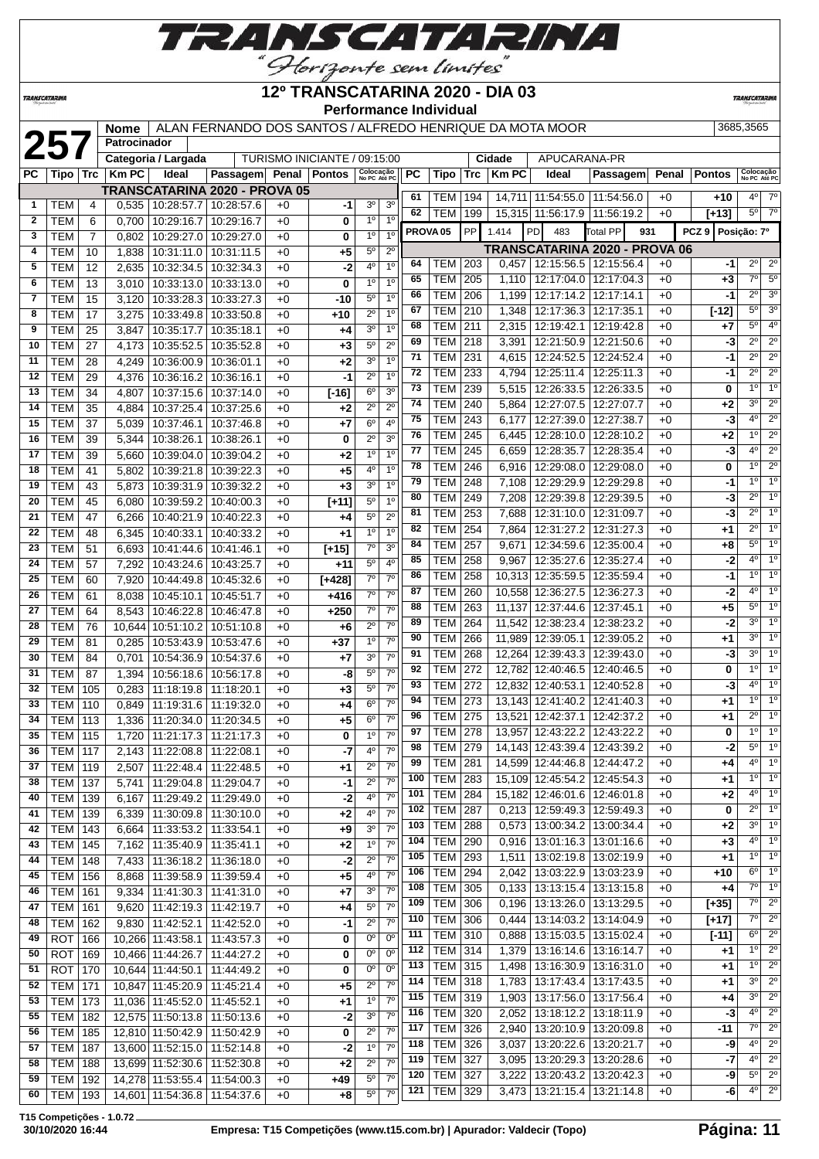

**TRANSCATARINA** 

### **12º TRANSCATARINA 2020 - DIA 03 Performance Individual**

**TRANSCATARINA** 

|          |                             |             | <b>Nome</b>    |                                                              | ALAN FERNANDO DOS SANTOS / ALFREDO HENRIQUE DA MOTA MOOR |              | Periormance individual       |                           |                  |                     |                |     |              |                   |                                      |       |                  | 3685,3565                 |                            |
|----------|-----------------------------|-------------|----------------|--------------------------------------------------------------|----------------------------------------------------------|--------------|------------------------------|---------------------------|------------------|---------------------|----------------|-----|--------------|-------------------|--------------------------------------|-------|------------------|---------------------------|----------------------------|
|          | 257                         |             | Patrocinador   |                                                              |                                                          |              |                              |                           |                  |                     |                |     |              |                   |                                      |       |                  |                           |                            |
|          |                             |             |                | Categoria / Largada                                          |                                                          |              | TURISMO INICIANTE / 09:15:00 |                           |                  |                     |                |     | Cidade       | APUCARANA-PR      |                                      |       |                  |                           |                            |
| PC       | Tipo                        | Trc         | <b>Km PC</b>   | Ideal                                                        | Passagem Penal                                           |              | <b>Pontos</b>                | Colocação<br>No PC Até PC |                  | PC                  | Tipo           | Trc | <b>Km PC</b> | Ideal             | Passagem                             | Penal | <b>Pontos</b>    | Colocação<br>No PC Até PC |                            |
| 1        |                             |             |                |                                                              | <b>TRANSCATARINA 2020 - PROVA 05</b>                     |              |                              | 3 <sup>o</sup>            | 3 <sup>o</sup>   | 61                  | TEM            | 194 | 14,711       | 11:54:55.0        | 11:54:56.0                           | $+0$  | +10              | $4^{\circ}$               | $7^\circ$                  |
|          | TEM                         | 4           | 0,535          | 10:28:57.7                                                   | 10:28:57.6                                               | $+0$         | -1                           | 1 <sup>0</sup>            | 1 <sup>0</sup>   | 62                  | TEM            | 199 |              | 15,315 11:56:17.9 | 11:56:19.2                           | $+0$  | [+13]            | $5^{\circ}$               | $7^\circ$                  |
| 2        | <b>TEM</b>                  | 6           | 0,700          | 10:29:16.7                                                   | 10:29:16.7                                               | $+0$         | 0                            | $1^{\circ}$               | 1 <sup>0</sup>   | PROVA <sub>05</sub> |                | PP  | 1.414        | PD<br>483         | <b>Total PP</b><br>931               |       | PCZ <sub>9</sub> | Posição: 7º               |                            |
| 3        | TEM                         | 7           | 0,802          | 10:29:27.0                                                   | 10:29:27.0                                               | $+0$         | 0                            | $5^{\circ}$               | $2^{\circ}$      |                     |                |     |              |                   | <b>TRANSCATARINA 2020 - PROVA 06</b> |       |                  |                           |                            |
| 4        | <b>TEM</b>                  | 10          | 1,838          | 10:31:11.0                                                   | 10:31:11.5                                               | $+0$         | $+5$                         | 4°                        | 1 <sup>0</sup>   | 64                  | TEM            | 203 | 0,457        |                   | 12:15:56.5   12:15:56.4              | $+0$  | -1               | $2^{\circ}$               | $2^{\circ}$                |
| 5        | TEM                         | 12          | 2,635          | 10:32:34.5                                                   | 10:32:34.3                                               | $+0$         | -2                           | 1 <sup>0</sup>            | 1 <sup>0</sup>   | 65                  | TEM            | 205 | 1,110        | 12:17:04.0        | 12:17:04.3                           | $+0$  | +3               | 7°                        | 5 <sup>o</sup>             |
| 6        | <b>TEM</b>                  | 13          | 3,010          | 10:33:13.0   10:33:13.0                                      |                                                          | $+0$         | 0                            | $5^{\circ}$               | 1 <sup>0</sup>   | 66                  | <b>TEM</b>     | 206 | 1,199        | 12:17:14.2        | 12:17:14.1                           | $+0$  | -1               | $2^{\circ}$               | $3^{\circ}$                |
| 7        | TEM<br><b>TEM</b>           | 15          | 3,120          | 10:33:28.3                                                   | 10:33:27.3                                               | $+0$         | -10                          | $2^{\circ}$               | 1 <sup>0</sup>   | 67                  | <b>TEM</b>     | 210 | 1,348        | 12:17:36.3        | 12:17:35.1                           | $+0$  | [-12]            | $5^{\circ}$               | 3 <sup>0</sup>             |
| 8<br>9   | <b>TEM</b>                  | 17<br>25    | 3,275          | 10:33:49.8   10:33:50.8                                      |                                                          | $+0$         | +10                          | 30                        | 1 <sup>0</sup>   | 68                  | TEM            | 211 | 2,315        | 12:19:42.1        | 12:19:42.8                           | $+0$  | +7               | $5^{\circ}$               | $4^{\circ}$                |
|          |                             |             | 3,847          | 10:35:17.7                                                   | 10:35:18.1                                               | $+0$         | $+4$                         | $5^{\circ}$               | $2^{\circ}$      | 69                  | <b>TEM</b>     | 218 | 3,391        |                   | 12:21:50.9   12:21:50.6              | $+0$  | -3               | $2^{\circ}$               | $2^{\circ}$                |
| 10<br>11 | <b>TEM</b><br><b>TEM</b>    | 27          | 4,173          | 10:35:52.5                                                   | 10:35:52.8                                               | $+0$         | $+3$                         | 30                        | 1 <sup>0</sup>   | 71                  | TEM            | 231 | 4,615        |                   | 12:24:52.5   12:24:52.4              | $+0$  | -1               | $2^{\circ}$               | $\overline{2^{\circ}}$     |
| 12       |                             | 28<br>29    | 4,249          | 10:36:00.9                                                   | 10:36:01.1                                               | $+0$         | $+2$<br>-1                   | $2^{\circ}$               | 1 <sup>0</sup>   | 72                  | TEM            | 233 | 4,794        | 12:25:11.4        | 12:25:11.3                           | $+0$  | $-1$             | $2^{\circ}$               | $2^{\circ}$                |
| 13       | TEM<br><b>TEM</b>           | 34          | 4,376          | 10:36:16.2                                                   | 10:36:16.1<br>10:37:15.6   10:37:14.0                    | $+0$<br>$+0$ | $[-16]$                      | $6^{\circ}$               | 3 <sup>o</sup>   | 73                  | <b>TEM</b>     | 239 | 5,515        | 12:26:33.5        | 12:26:33.5                           | $+0$  | 0                | 1 <sup>0</sup>            | 1 <sup>0</sup>             |
| 14       | <b>TEM</b>                  |             | 4,807          |                                                              |                                                          |              |                              | $2^{\circ}$               | $\overline{2^0}$ | 74                  | TEM            | 240 | 5,864        | 12:27:07.5        | 12:27:07.7                           | $+0$  | +2               | 30                        | $2^{\circ}$                |
|          | <b>TEM</b>                  | 35          | 4,884          | 10:37:25.4                                                   | 10:37:25.6                                               | $+0$         | $+2$<br>$+7$                 | $6^{\circ}$               | 4 <sup>0</sup>   | 75                  | <b>TEM</b>     | 243 | 6,177        | 12:27:39.0        | 12:27:38.7                           | $+0$  | -3               | 4 <sup>0</sup>            | $2^{\circ}$                |
| 15<br>16 | <b>TEM</b>                  | 37<br>39    | 5,039          | 10:37:46.1                                                   | 10:37:46.8                                               | $+0$<br>$+0$ | 0                            | $2^{\circ}$               | 3 <sup>o</sup>   | 76                  | <b>TEM</b>     | 245 | 6,445        | 12:28:10.0        | 12:28:10.2                           | $+0$  | +2               | $1^{\circ}$               | $2^{\circ}$                |
| 17       | <b>TEM</b>                  | 39          | 5,344          | 10:38:26.1                                                   | 10:38:26.1                                               | $+0$         | $+2$                         | 1 <sup>0</sup>            | 1 <sup>0</sup>   | 77                  | <b>TEM</b>     | 245 | 6,659        | 12:28:35.7        | 12:28:35.4                           | $+0$  | -3               | $4^{\circ}$               | $2^{\circ}$                |
| 18       |                             |             | 5,660          | 10:39:04.0   10:39:04.2                                      |                                                          |              |                              | 4º                        | 1 <sup>0</sup>   | 78                  | TEM            | 246 | 6,916        | 12:29:08.0        | 12:29:08.0                           | $+0$  | 0                | $1^{\circ}$               | $2^{\circ}$                |
| 19       | <b>TEM</b><br><b>TEM</b>    | 41          | 5,802          | 10:39:21.8                                                   | 10:39:22.3                                               | $+0$         | $+5$                         | 3 <sup>o</sup>            | 1 <sup>0</sup>   | 79                  | <b>TEM</b>     | 248 | 7,108        | 12:29:29.9        | 12:29:29.8                           | $+0$  | -1               | 10                        | 1 <sup>°</sup>             |
| 20       |                             | 43<br>45    | 5,873          | 10:39:31.9                                                   | 10:39:32.2                                               | $+0$         | $+3$                         | $5^{\circ}$               | 1 <sup>0</sup>   | 80                  | TEM            | 249 | 7,208        |                   | 12:29:39.8   12:29:39.5              | $+0$  | -3               | $2^{\circ}$               | 1 <sup>°</sup>             |
| 21       | TEM<br><b>TEM</b>           | 47          | 6,080          | 10:39:59.2<br>10:40:21.9                                     | 10:40:00.3                                               | $+0$<br>$+0$ | $[+11]$                      | $5^{\circ}$               | $2^{\circ}$      | 81                  | <b>TEM</b>     | 253 | 7,688        |                   | 12:31:10.0   12:31:09.7              | $+0$  | $-3$             | $2^{\circ}$               | $1^{\circ}$                |
| 22       | <b>TEM</b>                  | 48          | 6,266          | 10:40:33.1                                                   | 10:40:22.3<br>10:40:33.2                                 | $+0$         | +4                           | $1^{\circ}$               | 1 <sup>0</sup>   | 82                  | <b>TEM</b>     | 254 | 7,864        | 12:31:27.2        | 12:31:27.3                           | $+0$  | +1               | $2^{\circ}$               | 1 <sup>0</sup>             |
| 23       | <b>TEM</b>                  | 51          | 6,345<br>6,693 | 10:41:44.6                                                   | 10:41:46.1                                               | +0           | +1<br>$[+15]$                | $7^\circ$                 | 3 <sup>o</sup>   | 84                  | <b>TEM</b>     | 257 | 9,671        | 12:34:59.6        | 12:35:00.4                           | $+0$  | +8               | $5^{\circ}$               | $1^{\circ}$                |
| 24       | <b>TEM</b>                  | 57          |                | 10:43:24.6                                                   | 10:43:25.7                                               | $+0$         | $+11$                        | $5^{\circ}$               | 4 <sup>0</sup>   | 85                  | <b>TEM</b>     | 258 | 9,967        | 12:35:27.6        | 12:35:27.4                           | $+0$  | -2               | 4 <sup>0</sup>            | 1 <sup>0</sup>             |
| 25       | <b>TEM</b>                  | 60          | 7,292<br>7,920 | 10:44:49.8                                                   | 10:45:32.6                                               | $+0$         | $[+428]$                     | $7^\circ$                 | $7^\circ$        | 86                  | <b>TEM</b>     | 258 | 10,313       | 12:35:59.5        | 12:35:59.4                           | $+0$  | -1               | $1^{\circ}$               | $1^{\circ}$                |
| 26       | TEM                         | 61          |                | 10:45:10.1                                                   | 10:45:51.7                                               | $+0$         | +416                         | $7^\circ$                 | $7^\circ$        | 87                  | TEM            | 260 | 10,558       | 12:36:27.5        | 12:36:27.3                           | $+0$  | -2               | $4^{\circ}$               | 1 <sup>°</sup>             |
| 27       | <b>TEM</b>                  | 64          | 8,038<br>8,543 | 10:46:22.8                                                   | 10:46:47.8                                               | $+0$         | $+250$                       | $7^\circ$                 | $7^{\circ}$      | 88                  | TEM            | 263 | 11,137       | 12:37:44.6        | 12:37:45.1                           | $+0$  | +5               | $5^{\circ}$               | $1^{\circ}$                |
| 28       | <b>TEM</b>                  | 76          |                | 10,644 10:51:10.2                                            | 10:51:10.8                                               | $+0$         | $+6$                         | $2^{\circ}$               | $7^{\circ}$      | 89                  | <b>TEM</b>     | 264 | 11,542       | 12:38:23.4        | 12:38:23.2                           | $+0$  | $-2$             | $3^{\circ}$               | 1 <sup>°</sup>             |
| 29       | тем                         | 81          | 0,285          | 10:53:43.9                                                   | 10:53:47.6                                               | $+0$         | $+37$                        | 1 <sup>0</sup>            | $7^\circ$        | 90                  | TEM            | 266 | 11,989       | 12:39:05.1        | 12:39:05.2                           | $+0$  | +1               | 3 <sup>o</sup>            | $1^{\circ}$                |
| 30       | <b>TEM</b>                  | 84          | 0,701          | 10:54:36.9                                                   | 10:54:37.6                                               | $+0$         |                              | $3^{\circ}$               | $7^\circ$        | 91                  | TEM            | 268 | 12,264       |                   | 12:39:43.3   12:39:43.0              | $+0$  | -3               | 3º                        | $1^{\circ}$                |
| 31       | <b>TEM</b>                  | 87          |                | 10:56:18.6                                                   | 10:56:17.8                                               | $+0$         | $+7$<br>-8                   | $5^{\circ}$               | 7 <sup>0</sup>   | 92                  | TEM            | 272 | 12,782       | 12:40:46.5        | 12:40:46.5                           | $+0$  | 0                | 10                        | 1 <sup>°</sup>             |
| 32       | <b>TEM</b>                  | 105         | 1,394<br>0,283 | 11:18:19.8                                                   | 11:18:20.1                                               | +0           | $+3$                         | $5^{\circ}$               | $7^{\circ}$      | 93                  | <b>TEM</b>     | 272 | 12,832       | 12:40:53.1        | 12:40:52.8                           | $+0$  | $-3$             | $4^{\circ}$               | $1^{\circ}$                |
| 33       | TEM                         | 110         | 0,849          | 11:19:31.6                                                   | 11:19:32.0                                               | $+0$         | $+4$                         | 6 <sup>o</sup>            | $7^\circ$        | 94                  | TEM            | 273 | 13,143       | 12:41:40.2        | 12:41:40.3                           | $+0$  | +1               | 10                        | 1 <sup>°</sup>             |
| 34       | TEM                         | 113         | 1,336          | 11:20:34.0 11:20:34.5                                        |                                                          | $+0$         | $+5$                         | $6^{\circ}$               | $7^\circ$        | 96                  | TEM            | 275 | 13,521       | 12:42:37.1        | 12:42:37.2                           | $+0$  | +1               | $2^{\circ}$               | 1 <sup>0</sup>             |
| 35       | <b>TEM 115</b>              |             |                | 1,720   11:21:17.3   11:21:17.3                              |                                                          | $+0$         | 0                            | $1^{\circ}$               | $7^\circ$        | 97                  | <b>TEM 278</b> |     |              |                   | 13,957 12:43:22.2 12:43:22.2         | $+0$  | 0                |                           | $1^{\circ}$   1 $^{\circ}$ |
| 36       | <b>TEM</b>                  | 117         |                | 11:22:08.8   11:22:08.1                                      |                                                          |              | $-7$                         | 4 <sup>0</sup>            | $7^{\circ}$      | 98                  | <b>TEM 279</b> |     |              |                   | 14,143 12:43:39.4   12:43:39.2       | $+0$  | $-2$             | $5^{\circ}$               | 1 <sup>°</sup>             |
|          |                             |             | 2,143          | 11:22:48.4 11:22:48.5                                        |                                                          | $+0$         |                              | $2^{\circ}$               | 7 <sup>o</sup>   | 99                  | <b>TEM 281</b> |     |              |                   | 14,599 12:44:46.8 12:44:47.2         | $+0$  | +4               | $4^{\circ}$               | 1 <sup>°</sup>             |
| 37<br>38 | <b>TEM 119</b>              |             | 2,507          |                                                              |                                                          | $+0$         | $+1$                         | $2^{\circ}$               | $7^\circ$        | 100                 | <b>TEM</b>     | 283 |              |                   | 15,109 12:45:54.2 12:45:54.3         | $+0$  | +1               | $1^{\circ}$               | 1 <sup>°</sup>             |
| 40       | <b>TEM</b><br><b>TEM</b>    | 137<br> 139 | 5,741          | 11:29:04.8   11:29:04.7<br>11:29:49.2   11:29:49.0           |                                                          | $+0$<br>$+0$ | -1<br>$-2$                   | 4°                        | $7^{\circ}$      | 101                 | <b>TEM 284</b> |     |              |                   | 15,182 12:46:01.6 12:46:01.8         | $+0$  | $+2$             | $4^{\circ}$               | $1^{\circ}$                |
| 41       | <b>TEM</b>                  | 139         | 6,167          | 11:30:09.8                                                   |                                                          | $+0$         |                              | 4º                        | $7^{\circ}$      | 102                 | <b>TEM</b>     | 287 |              |                   | $0,213$   12:59:49.3   12:59:49.3    | +0    | 0                | $2^{\circ}$               | 1 <sup>°</sup>             |
| 42       | <b>TEM</b>                  | 143         | 6,339<br>6,664 | 11:33:53.2 11:33:54.1                                        | 11:30:10.0                                               | +0           | +2<br>$+9$                   | 3 <sup>o</sup>            | 7 <sup>0</sup>   | 103                 | <b>TEM</b>     | 288 | 0,573        |                   | 13:00:34.2   13:00:34.4              | +0    | +2               | $3^{\circ}$               | $1^{\circ}$                |
| 43       | <b>TEM</b>                  | 145         |                | 11:35:40.9 11:35:41.1                                        |                                                          | +0           | $+2$                         | 1 <sup>0</sup>            | $\overline{7^0}$ | 104                 | <b>TEM</b>     | 290 | 0,916        |                   | 13:01:16.3   13:01:16.6              | +0    | $+3$             | $4^{\circ}$               | 1 <sup>0</sup>             |
| 44       | <b>TEM 148</b>              |             | 7,162<br>7,433 | 11:36:18.2 11:36:18.0                                        |                                                          | $+0$         | $-2$                         | $2^{\circ}$               | $7^{\circ}$      | 105                 | <b>TEM</b>     | 293 | 1,511        |                   | 13:02:19.8   13:02:19.9              | +0    | +1               | $1^{\circ}$               | 1 <sup>o</sup>             |
| 45       | <b>TEM</b>                  | 156         | 8,868          | 11:39:58.9   11:39:59.4                                      |                                                          | $+0$         | $+5$                         | 40                        | $7^{\circ}$      | 106                 | TEM            | 294 |              |                   | 2,042   13:03:22.9   13:03:23.9      | $+0$  | +10              | $6^{\circ}$               | $1^{\circ}$                |
| 46       | <b>TEM</b>                  | 161         |                | $9,334$   11:41:30.3   11:41:31.0                            |                                                          | $+0$         | $+7$                         | $3^{\circ}$               | $7^{\circ}$      | 108                 | <b>TEM</b>     | 305 | 0,133        |                   | 13:13:15.4   13:13:15.8              | +0    | +4               |                           | $7°$ 1°                    |
| 47       | TEM   161                   |             |                | 9,620   11:42:19.3   11:42:19.7                              |                                                          |              | $+4$                         | $5^{\circ}$               | $7^\circ$        | 109                 | TEM            | 306 | 0,196        |                   | 13:13:26.0   13:13:29.5              | $+0$  | $[+35]$          | $7^\circ$                 | $2^{\circ}$                |
|          | <b>TEM</b>                  |             |                | 11:42:52.1                                                   | 11:42:52.0                                               | $+0$         | $-1$                         | $2^{\circ}$               | $7^{\circ}$      | 110                 | <b>TEM</b>     | 306 | 0,444        |                   | 13:14:03.2   13:14:04.9              | +0    | $[+17]$          | $7^\circ$                 | $2^{\circ}$                |
| 48<br>49 | <b>ROT</b>                  | 162<br> 166 | 9,830          | 10,266 11:43:58.1 11:43:57.3                                 |                                                          | $+0$         |                              | 0°                        | $0^{\circ}$      | 111                 | TEM 310        |     | 0,888        |                   | 13:15:03.5   13:15:02.4              | $+0$  | $[-11]$          | $6^{\circ}$               | $2^{\circ}$                |
|          | <b>ROT</b>                  | 169         |                | 10,466 11:44:26.7 11:44:27.2                                 |                                                          | $+0$         | 0                            | 0°                        | $0^{\circ}$      | 112                 | <b>TEM 314</b> |     | 1,379        |                   | 13:16:14.6   13:16:14.7              | $+0$  | +1               | $1^{\circ}$               | $2^{\circ}$                |
| 50       | <b>ROT</b>                  | 170         |                | 10,644 11:44:50.1 11:44:49.2                                 |                                                          | $+0$         | 0<br>0                       | 0 <sup>o</sup>            | $0^{\circ}$      | 113                 | <b>TEM 315</b> |     | 1,498        |                   | 13:16:30.9   13:16:31.0              | +0    | $+1$             | 10                        | $2^{\circ}$                |
| 51<br>52 |                             |             |                |                                                              |                                                          | +0           |                              | $2^{\circ}$               | $7^\circ$        | 114                 | <b>TEM</b>     | 318 | 1,783        |                   | 13:17:43.4 13:17:43.5                | $+0$  | +1               | $3^{\circ}$               | $2^{\circ}$                |
|          | <b>TEM</b>                  | 171         |                | 10,847 11:45:20.9 11:45:21.4                                 |                                                          | $+0$         | $+5$                         | $\frac{1}{\circ}$         | $7^{\circ}$      | 115                 | <b>TEM</b>     | 319 | 1,903        |                   | 13:17:56.0   13:17:56.4              | $+0$  | +4               | $3^{\circ}$               | $2^{\circ}$                |
| 53<br>55 | TEM   173<br>TEM   182      |             |                | 11,036 11:45:52.0 11:45:52.1<br>12,575 11:50:13.8 11:50:13.6 |                                                          | $+0$<br>$+0$ | $+1$<br>-2                   | 3 <sup>o</sup>            | $7^{\circ}$      | 116                 | <b>TEM</b>     | 320 | 2,052        |                   | 13:18:12.2   13:18:11.9              | $+0$  | -3               | $4^{\circ}$               | $2^{\circ}$                |
|          |                             |             |                |                                                              |                                                          |              |                              | $2^{\circ}$               | $7^\circ$        | 117                 | <b>TEM</b>     | 326 | 2,940        |                   | 13:20:10.9   13:20:09.8              | $+0$  | -11              | $7^\circ$                 | $2^{\circ}$                |
| 56       | <b>TEM</b>                  | 185         |                | 12,810 11:50:42.9 11:50:42.9                                 |                                                          | $+0$         | 0                            | 1 <sup>0</sup>            | $7^\circ$        | 118                 | <b>TEM</b>     | 326 | 3,037        |                   | 13:20:22.6   13:20:21.7              | $+0$  | -9               | $4^{\circ}$               | $2^{\circ}$                |
| 57       | <b>TEM</b>                  | 187         |                | 13,600 11:52:15.0 11:52:14.8                                 |                                                          | $+0$         | $-2$                         | $2^{\circ}$               | $7^{\circ}$      | 119                 | <b>TEM 327</b> |     | 3,095        |                   | 13:20:29.3   13:20:28.6              | $+0$  | -7               | $4^{\circ}$               | $2^{\circ}$                |
| 58<br>59 | <b>TEM 188</b><br>TEM   192 |             |                | 13,699 11:52:30.6 11:52:30.8<br>14,278 11:53:55.4 11:54:00.3 |                                                          | $+0$<br>$+0$ | $+2$<br>$+49$                | $5^{\circ}$               | $7^{\circ}$      | 120                 | <b>TEM 327</b> |     | 3,222        |                   | 13:20:43.2 13:20:42.3                | $+0$  | -9               | $5^{\circ}$               | $2^{\circ}$                |
|          |                             |             |                |                                                              |                                                          |              |                              |                           |                  |                     |                |     |              |                   |                                      |       |                  |                           |                            |

**T15 Competições - 1.0.72**

TEM 193 14,601 11:54:36.8 11:54:37.6 +0 **+8** 5º 7º

TEM 329 3,473 13:21:15.4 13:21:14.8 +0 **-6** 4º 2º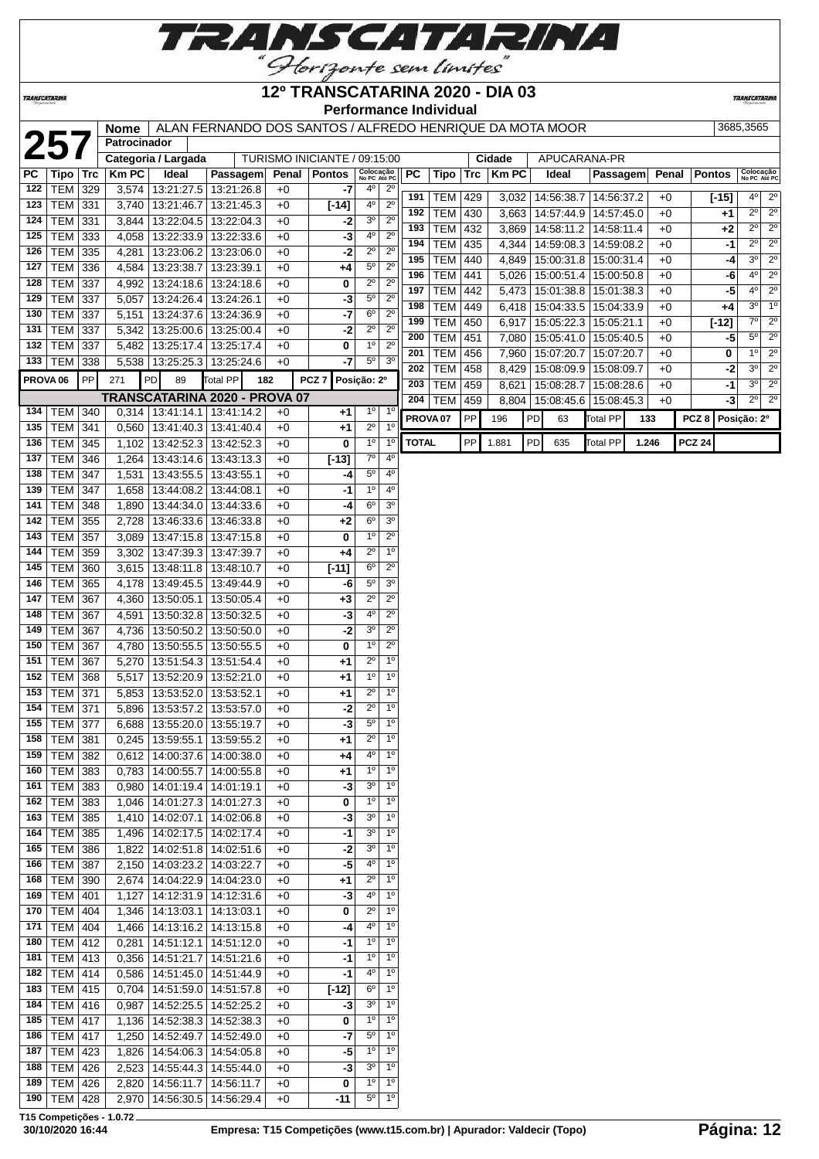

**12º TRANSCATARINA 2020 - DIA 03 Performance Individual**

**TRANSCATARIN** 

|                     |                              |     | <b>Nome</b>    | ALAN FERNANDO DOS SANTOS / ALFREDO HENRIQUE DA MOTA MOOR |                               |              |                              |                           |                  |                     |                   |            |              |    |                    |                 | 3685,3565 |       |                  |                                                           |
|---------------------|------------------------------|-----|----------------|----------------------------------------------------------|-------------------------------|--------------|------------------------------|---------------------------|------------------|---------------------|-------------------|------------|--------------|----|--------------------|-----------------|-----------|-------|------------------|-----------------------------------------------------------|
|                     | 257                          |     | Patrocinador   |                                                          |                               |              |                              |                           |                  |                     |                   |            |              |    |                    |                 |           |       |                  |                                                           |
|                     |                              |     |                | Categoria / Largada                                      |                               |              | TURISMO INICIANTE / 09:15:00 |                           |                  |                     |                   |            | Cidade       |    | APUCARANA-PR       |                 |           |       |                  |                                                           |
| PC.                 | Tipo   Trc                   |     | <b>KmPC</b>    | Ideal                                                    | Passagem                      |              | Penal   Pontos               | Colocação<br>No PC Até PC |                  | PC                  | Tipo              | Trc        | <b>Km PC</b> |    | Ideal              | Passagem        |           | Penal | <b>Pontos</b>    | Colocação<br>No PC Até PC                                 |
| 122                 | <b>TEM 329</b>               |     | 3,574          | 13:21:27.5                                               | 13:21:26.8                    | $+0$         | -7                           | $4^{\rm o}$               | $2^{\circ}$      | 191                 |                   |            |              |    |                    |                 |           |       |                  | $2^{\circ}$<br>4°                                         |
| 123                 | TEM 331                      |     | 3,740          | 13:21:46.7                                               | 13:21:45.3                    | $+0$         | $[-14]$                      | 4 <sup>0</sup>            | $2^{\circ}$      | 192                 | TEM<br><b>TEM</b> | 429        | 3,032        |    | 14:56:38.7         | 14:56:37.2      |           | +0    | $[-15]$          | $2^{\circ}$<br>$2^{\circ}$                                |
| 124                 | TEM 331                      |     | 3,844          | 13:22:04.5                                               | 13:22:04.3                    | $+0$         | -2                           | 3 <sup>0</sup>            | $2^{\circ}$      | 193                 |                   | 430        | 3,663        |    | 14:57:44.9         | 14:57:45.0      |           | +0    | +1               | $2^{\circ}$<br>$2^{\circ}$                                |
| 125                 | TEM 333                      |     | 4,058          | 13:22:33.9                                               | 13:22:33.6                    | $+0$         | -3                           | 40                        | $2^{\circ}$      | 194                 | <b>TEM</b>        | 432        |              |    | 3,869   14:58:11.2 | 14:58:11.4      |           | +0    | +2               | $2^{\circ}$<br>$\overline{2^0}$                           |
| 126                 | <b>TEM</b>                   | 335 | 4,281          | 13:23:06.2                                               | 13:23:06.0                    | $+0$         | $-2$                         | $2^{\circ}$               | $2^{\circ}$      |                     | <b>TEM</b>        | 435        |              |    | 4,344   14:59:08.3 | 14:59:08.2      |           | +0    | -1               | $3^{\circ}$                                               |
| 127                 | <b>TEM 336</b>               |     | 4,584          | 13:23:38.7                                               | 13:23:39.1                    | $+0$         | $+4$                         | $5^{\circ}$               | $2^{\circ}$      | 195                 | <b>TEM</b>        | 440        |              |    | 4,849 15:00:31.8   | 15:00:31.4      |           | +0    | -4               | $\overline{2^0}$<br>$\overline{2^{\circ}}$<br>$4^{\circ}$ |
| 128                 | <b>TEM 337</b>               |     | 4,992          | 13:24:18.6   13:24:18.6                                  |                               | $+0$         | 0                            | $2^{\circ}$               | $2^{\circ}$      | 196                 | <b>TEM</b>        | 441        |              |    | 5,026 15:00:51.4   | 15:00:50.8      |           | +0    | -6               | $\overline{2^{\circ}}$<br>4°                              |
| 129                 | <b>TEM 337</b>               |     | 5,057          | 13:24:26.4 13:24:26.1                                    |                               | $+0$         | -3                           | $5^{\circ}$               | $2^{\circ}$      | 197                 | TEM               | 442        |              |    | 5,473   15:01:38.8 | 15:01:38.3      |           | $+0$  | $-5$             | 1 <sup>o</sup><br>3 <sup>o</sup>                          |
| 130                 | <b>TEM 337</b>               |     | 5,151          | 13:24:37.6                                               | 13:24:36.9                    | $+0$         | $-7$                         | $6^{\circ}$               | $2^{\circ}$      | 198                 | <b>TEM</b>        | 449<br>450 |              |    | 6,418 15:04:33.5   | 15:04:33.9      |           | +0    | $+4$             |                                                           |
| 131                 | <b>TEM 337</b>               |     | 5,342          | 13:25:00.6                                               | 13:25:00.4                    | $+0$         | $-2$                         | $2^{\circ}$               | $2^{\circ}$      | 199                 | <b>TEM</b>        |            |              |    | 6,917   15:05:22.3 | 15:05:21.1      |           | +0    | $[-12]$          | $2^{\circ}$<br>$7^\circ$                                  |
| 132                 | <b>TEM 337</b>               |     | 5,482          | 13:25:17.4                                               | 13:25:17.4                    | $+0$         | 0                            | $1^{\circ}$               | $2^{\circ}$      | 200<br><b>TEM</b>   |                   | 451        |              |    | 7,080   15:05:41.0 | 15:05:40.5      |           | +0    | -5               | $\overline{2^{\circ}}$<br>$5^{\circ}$                     |
|                     | 133   TEM   338              |     |                | 5,538   13:25:25.3   13:25:24.6                          |                               | $+0$         | -7                           | $5^{\circ}$               | 3 <sup>o</sup>   | 201                 | <b>TEM</b>        | 456        |              |    | 7,960   15:07:20.7 | 15:07:20.7      |           | $+0$  | 0                | $1^{\circ}$<br>$\overline{2^0}$                           |
| PROVA <sub>06</sub> |                              | PP  | 271            | PD<br>89                                                 | <b>Total PP</b><br>182        |              | PCZ <sub>7</sub>             | Posição: 2º               |                  | 202<br><b>TEM</b>   |                   | 458        |              |    | 8,429   15:08:09.9 | 15:08:09.7      |           | +0    | $-2$             | $\overline{2^0}$<br>$3^{\circ}$                           |
|                     |                              |     |                |                                                          | TRANSCATARINA 2020 - PROVA 07 |              |                              |                           |                  | 203                 | <b>TEM</b>        | 459        | 8,621        |    | 15:08:28.7         | 15:08:28.6      |           | +0    | -1               | $\overline{2^{\circ}}$<br>$3^{\circ}$                     |
| 134                 | <b>TEM 340</b>               |     |                | $0,314$   13:41:14.1                                     | 13:41:14.2                    | $+0$         | +1                           | $1^{\circ}$               | $1^{\circ}$      | 204                 | <b>TEM</b>        | 459        |              |    | 8,804   15:08:45.6 | 15:08:45.3      |           | +0    | -3               | $2^{\circ}$<br>$\overline{2^{\circ}}$                     |
| 135                 | <b>TEM 341</b>               |     |                | $0,560$   13:41:40.3   13:41:40.4                        |                               | $+0$         | $+1$                         | $2^{\circ}$               | 1 <sup>0</sup>   | PROVA <sub>07</sub> |                   | PP         | 196          | PD | 63                 | <b>Total PP</b> | 133       |       | PCZ <sub>8</sub> | Posição: 2º                                               |
| 136                 | <b>TEM 345</b>               |     |                | 1,102   13:42:52.3   13:42:52.3                          |                               | $+0$         | 0                            | $1^{\circ}$               | $1^{\circ}$      | <b>TOTAL</b>        |                   | PP         | 1.881        | PD | 635                | <b>Total PP</b> | 1.246     |       | <b>PCZ 24</b>    |                                                           |
| 137                 | <b>TEM</b>                   | 346 |                | 1,264   13:43:14.6                                       | 13:43:13.3                    | $+0$         | $[-13]$                      | $7^{\circ}$               | $4^{\circ}$      |                     |                   |            |              |    |                    |                 |           |       |                  |                                                           |
| 138                 | <b>TEM 347</b>               |     | 1,531          | 13:43:55.5                                               | 13:43:55.1                    | $+0$         | -4                           | $5^{\circ}$               | $4^{\rm o}$      |                     |                   |            |              |    |                    |                 |           |       |                  |                                                           |
| 139                 | <b>TEM 347</b>               |     | 1,658          | 13:44:08.2                                               | 13:44:08.1                    | $+0$         | -1                           | 1 <sup>o</sup>            | 4 <sup>0</sup>   |                     |                   |            |              |    |                    |                 |           |       |                  |                                                           |
| 141                 | <b>TEM 348</b>               |     |                | 1,890   13:44:34.0   13:44:33.6                          |                               | $+0$         | -4                           | $6^{\circ}$               | 3 <sup>o</sup>   |                     |                   |            |              |    |                    |                 |           |       |                  |                                                           |
| 142                 | <b>TEM 355</b>               |     | 2,728          | 13:46:33.6   13:46:33.8                                  |                               | $+0$         | $+2$                         | $6^{\circ}$               | 3 <sup>o</sup>   |                     |                   |            |              |    |                    |                 |           |       |                  |                                                           |
| 143                 | <b>TEM 357</b>               |     | 3,089          | 13:47:15.8 13:47:15.8                                    |                               | $+0$         | 0                            | 1 <sup>0</sup>            | $2^{\circ}$      |                     |                   |            |              |    |                    |                 |           |       |                  |                                                           |
| 144                 |                              |     |                |                                                          |                               |              |                              | $\overline{2^{\circ}}$    | 1 <sup>o</sup>   |                     |                   |            |              |    |                    |                 |           |       |                  |                                                           |
| 145                 | TEM 359                      |     | 3,302          | 13:47:39.3                                               | 13:47:39.7                    | $+0$         | $+4$                         | $6^{\circ}$               | $\overline{2^0}$ |                     |                   |            |              |    |                    |                 |           |       |                  |                                                           |
| 146                 | <b>TEM 360</b><br><b>TEM</b> | 365 |                | 3,615   13:48:11.8  <br>4,178   13:49:45.5   13:49:44.9  | 13:48:10.7                    | $+0$<br>$+0$ | $[-11]$                      | $5^{\circ}$               | 3 <sup>o</sup>   |                     |                   |            |              |    |                    |                 |           |       |                  |                                                           |
| 147                 | <b>TEM</b>                   | 367 |                | 13:50:05.1                                               |                               | $+0$         | -6                           | $2^{\circ}$               | $2^{\circ}$      |                     |                   |            |              |    |                    |                 |           |       |                  |                                                           |
| 148                 |                              |     | 4,360          |                                                          | 13:50:05.4                    |              | $+3$                         | 4°                        | $\overline{2^0}$ |                     |                   |            |              |    |                    |                 |           |       |                  |                                                           |
| 149                 | <b>TEM</b><br><b>TEM 367</b> | 367 | 4,591          | 13:50:32.8<br>13:50:50.2                                 | 13:50:32.5                    | $+0$<br>$+0$ | -3<br>-2                     | 3 <sup>o</sup>            | $2^{\circ}$      |                     |                   |            |              |    |                    |                 |           |       |                  |                                                           |
| 150                 | <b>TEM 367</b>               |     | 4,736<br>4,780 | 13:50:55.5   13:50:55.5                                  | 13:50:50.0                    | $+0$         | 0                            | $1^{\circ}$               | $2^{\circ}$      |                     |                   |            |              |    |                    |                 |           |       |                  |                                                           |
| 151                 | <b>TEM 367</b>               |     | 5,270          | 13:51:54.3 13:51:54.4                                    |                               | $+0$         | $^{+1}$                      | $2^{\circ}$               | 1 <sup>0</sup>   |                     |                   |            |              |    |                    |                 |           |       |                  |                                                           |
| 152                 | <b>TEM 368</b>               |     | 5,517          | 13:52:20.9                                               | 13:52:21.0                    | $+0$         | $+1$                         | $1^{\circ}$               | 1 <sup>0</sup>   |                     |                   |            |              |    |                    |                 |           |       |                  |                                                           |
| 153                 | <b>TEM 371</b>               |     | 5,853          | 13:53:52.0                                               | 13:53:52.1                    | $+0$         | $+1$                         | $\overline{2^{\circ}}$    | 1 <sup>0</sup>   |                     |                   |            |              |    |                    |                 |           |       |                  |                                                           |
| 154                 | <b>TEM 371</b>               |     | 5,896          | 13:53:57.2                                               | 13:53:57.0                    | $+0$         | -2                           | $2^{\circ}$               | $1^{\circ}$      |                     |                   |            |              |    |                    |                 |           |       |                  |                                                           |
| 155                 | <b>TEM 377</b>               |     |                | 6,688   13:55:20.0   13:55:19.7                          |                               | $+0$         | -3                           | $5^{\circ}$               | 1 <sup>0</sup>   |                     |                   |            |              |    |                    |                 |           |       |                  |                                                           |
|                     | 158   TEM   381              |     |                | 0,245   13:59:55.1   13:59:55.2                          |                               | +0           | +1                           | $2^{\circ}$               | $1^{\circ}$      |                     |                   |            |              |    |                    |                 |           |       |                  |                                                           |
| 159                 | <b>TEM 382</b>               |     |                | 0,612   14:00:37.6   14:00:38.0                          |                               | $+0$         | +4                           | 4º                        | $1^{\circ}$      |                     |                   |            |              |    |                    |                 |           |       |                  |                                                           |
| 160                 | TEM 383                      |     |                | $0,783$   14:00:55.7   14:00:55.8                        |                               | $+0$         | $+1$                         | 1 <sup>0</sup>            | 1 <sup>0</sup>   |                     |                   |            |              |    |                    |                 |           |       |                  |                                                           |
| 161                 | TEM 383                      |     |                | $0,980$   14:01:19.4   14:01:19.1                        |                               | $+0$         | -3                           | $3^{\circ}$               | 1 <sup>0</sup>   |                     |                   |            |              |    |                    |                 |           |       |                  |                                                           |
| 162                 | TEM 383                      |     | 1,046          | 14:01:27.3   14:01:27.3                                  |                               | $+0$         | 0                            | $1^{\circ}$               | $1^{\circ}$      |                     |                   |            |              |    |                    |                 |           |       |                  |                                                           |
| 163                 | <b>TEM 385</b>               |     |                | 1,410   14:02:07.1                                       | 14:02:06.8                    | $+0$         | -3                           | 3 <sup>o</sup>            | $1^{\circ}$      |                     |                   |            |              |    |                    |                 |           |       |                  |                                                           |
| 164                 | TEM 385                      |     |                | 1,496   14:02:17.5   14:02:17.4                          |                               | $+0$         | -1                           | $3^{\circ}$               | $1^{\circ}$      |                     |                   |            |              |    |                    |                 |           |       |                  |                                                           |
| 165                 | TEM 386                      |     |                | 1,822   14:02:51.8   14:02:51.6                          |                               | $+0$         | -2                           | $3^{\circ}$               | 1 <sup>0</sup>   |                     |                   |            |              |    |                    |                 |           |       |                  |                                                           |
| 166                 | <b>TEM 387</b>               |     |                | 2,150   14:03:23.2   14:03:22.7                          |                               | $+0$         | -5                           | 4°                        | $1^{\circ}$      |                     |                   |            |              |    |                    |                 |           |       |                  |                                                           |
| 168                 | TEM 390                      |     |                | 2,674   14:04:22.9   14:04:23.0                          |                               | $+0$         | +1                           | $2^{\circ}$               | $1^{\circ}$      |                     |                   |            |              |    |                    |                 |           |       |                  |                                                           |
| 169                 | <b>TEM</b>                   | 401 | 1,127          | 14:12:31.9 14:12:31.6                                    |                               | $+0$         | -3                           | 4°                        | 1 <sup>0</sup>   |                     |                   |            |              |    |                    |                 |           |       |                  |                                                           |
| 170                 | TEM 404                      |     |                | 1,346   14:13:03.1   14:13:03.1                          |                               | $+0$         | 0                            | $2^{\circ}$               | 1 <sup>0</sup>   |                     |                   |            |              |    |                    |                 |           |       |                  |                                                           |
| 171                 | TEM   404                    |     |                | 1,466 14:13:16.2 14:13:15.8                              |                               | $+0$         | -4                           | $4^{\circ}$               | 1 <sup>°</sup>   |                     |                   |            |              |    |                    |                 |           |       |                  |                                                           |
|                     | 180   TEM   412              |     |                | $0,281$   14:51:12.1   14:51:12.0                        |                               | $+0$         | -1                           | 1 <sup>0</sup>            | $1^{\circ}$      |                     |                   |            |              |    |                    |                 |           |       |                  |                                                           |
|                     | 181   TEM   413              |     |                | $0,356$   14:51:21.7   14:51:21.6                        |                               | $+0$         | -1                           | 1 <sup>0</sup>            | $1^{\circ}$      |                     |                   |            |              |    |                    |                 |           |       |                  |                                                           |
| 182                 | TEM 414                      |     |                | 0,586   14:51:45.0   14:51:44.9                          |                               | $+0$         | -1                           | $4^{\circ}$               | 1 <sup>0</sup>   |                     |                   |            |              |    |                    |                 |           |       |                  |                                                           |
| 183                 | TEM 415                      |     |                | $0,704$   14:51:59.0   14:51:57.8                        |                               | $+0$         | $[-12]$                      | $6^{\circ}$               | 1 <sup>0</sup>   |                     |                   |            |              |    |                    |                 |           |       |                  |                                                           |
| 184                 | TEM 416                      |     | 0,987          | 14:52:25.5   14:52:25.2                                  |                               | $+0$         | -3                           | $3^{\circ}$               | $1^{\circ}$      |                     |                   |            |              |    |                    |                 |           |       |                  |                                                           |
| 185                 | <b>TEM 417</b>               |     |                | 1,136   14:52:38.3   14:52:38.3                          |                               | $+0$         | 0                            | $1^{\circ}$               | $1^{\circ}$      |                     |                   |            |              |    |                    |                 |           |       |                  |                                                           |
| 186                 | <b>TEM 417</b>               |     |                | 1,250   14:52:49.7                                       | 14:52:49.0                    | $+0$         | -7                           | $5^{\circ}$               | 1 <sup>0</sup>   |                     |                   |            |              |    |                    |                 |           |       |                  |                                                           |
| 187                 | <b>TEM 423</b>               |     | 1,826          | 14:54:06.3 14:54:05.8                                    |                               | $+0$         | -5                           | 1 <sup>0</sup>            | 1 <sup>0</sup>   |                     |                   |            |              |    |                    |                 |           |       |                  |                                                           |
| 188                 | TEM 426                      |     |                | 2,523   14:55:44.3   14:55:44.0                          |                               | $+0$         | -3                           | 3 <sup>o</sup>            | $1^{\circ}$      |                     |                   |            |              |    |                    |                 |           |       |                  |                                                           |
| 189                 | TEM 426                      |     |                | 2,820   14:56:11.7   14:56:11.7                          |                               | $+0$         | 0                            | $1^{\circ}$               | $1^{\circ}$      |                     |                   |            |              |    |                    |                 |           |       |                  |                                                           |
|                     | 190   TEM   428              |     |                | 2,970   14:56:30.5   14:56:29.4                          |                               | $+0$         | $-11$                        | $5^{\rm o}$               | 1 <sup>o</sup>   |                     |                   |            |              |    |                    |                 |           |       |                  |                                                           |
|                     |                              |     |                |                                                          |                               |              |                              |                           |                  |                     |                   |            |              |    |                    |                 |           |       |                  |                                                           |

**T15 Competições - 1.0.72**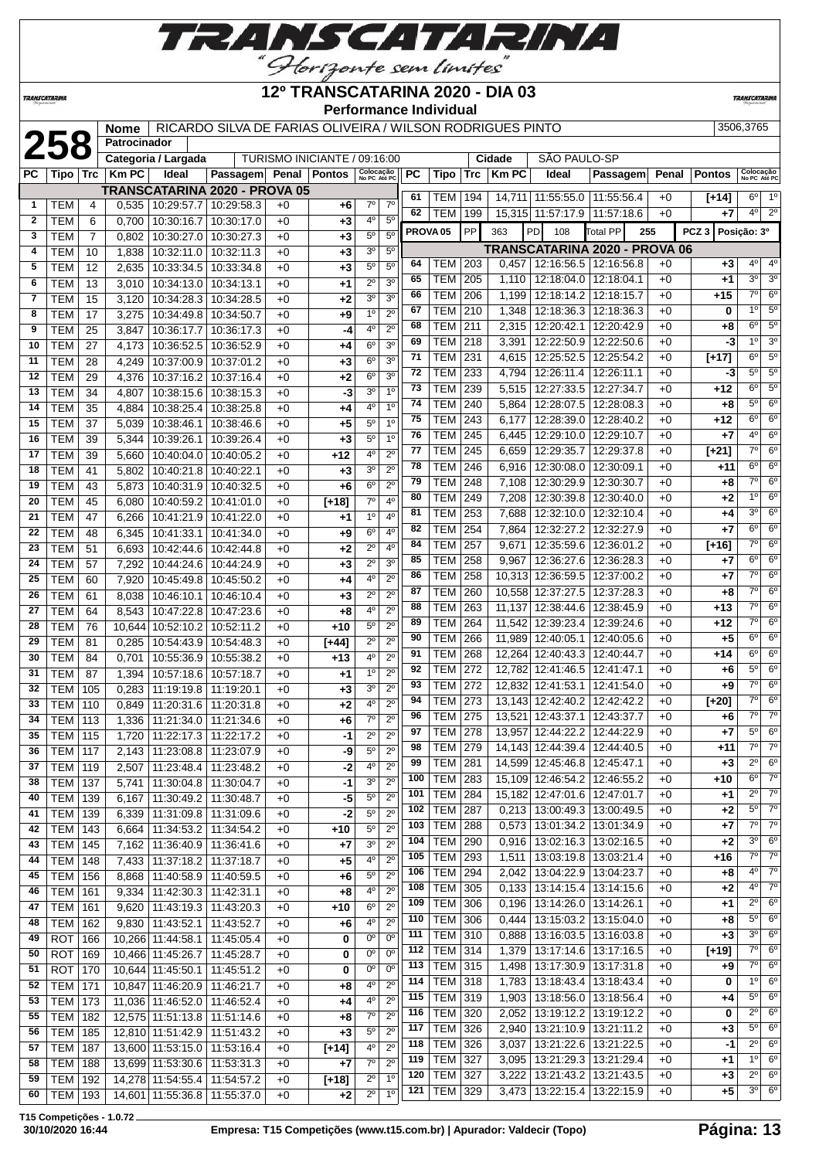

| 12º TRANSCATARINA 2020 - DIA 03<br><b>TRANSCATARINA</b><br><b>Performance Individual</b><br>RICARDO SILVA DE FARIAS OLIVEIRA / WILSON RODRIGUES PINTO<br><b>Nome</b><br>258<br>Patrocinador<br>TURISMO INICIANTE / 09:16:00<br>SÃO PAULO-SP<br>Categoria / Largada<br>Cidade<br>Colocação<br>No PC Até PC<br>РC<br><b>Km PC</b><br><b>Ideal</b><br>Penal<br>Pontos<br>PC<br><b>Km PC</b><br>Ideal<br>Tipo<br><b>Trc</b><br><b>Passagem</b><br>Tipo<br><b>Trc</b> | Penal<br>Passagem<br>11:55:56.4<br>$+0$<br>$+0$<br>11:57:18.6<br>255 | <b>Pontos</b><br>$[t+14]$<br>$+7$ | TRANSCATARINA<br>3506,3765<br>Colocação<br>No PC Até PC<br>$1^{\circ}$<br>$6^{\circ}$<br>$\overline{2^0}$<br>4 <sup>0</sup> |
|------------------------------------------------------------------------------------------------------------------------------------------------------------------------------------------------------------------------------------------------------------------------------------------------------------------------------------------------------------------------------------------------------------------------------------------------------------------|----------------------------------------------------------------------|-----------------------------------|-----------------------------------------------------------------------------------------------------------------------------|
|                                                                                                                                                                                                                                                                                                                                                                                                                                                                  |                                                                      |                                   |                                                                                                                             |
|                                                                                                                                                                                                                                                                                                                                                                                                                                                                  |                                                                      |                                   |                                                                                                                             |
|                                                                                                                                                                                                                                                                                                                                                                                                                                                                  |                                                                      |                                   |                                                                                                                             |
|                                                                                                                                                                                                                                                                                                                                                                                                                                                                  |                                                                      |                                   |                                                                                                                             |
| <b>TRANSCATARINA 2020 - PROVA 05</b><br>61                                                                                                                                                                                                                                                                                                                                                                                                                       |                                                                      |                                   |                                                                                                                             |
| 14,711 11:55:55.0<br>TEM<br>194<br>$7^\circ$<br>$7^\circ$<br>TEM<br>10:29:57.7<br>10:29:58.3<br>4<br>0,535<br>$+0$<br>1<br>+6<br>62<br>15.315 11:57:17.9                                                                                                                                                                                                                                                                                                         |                                                                      |                                   |                                                                                                                             |
| TEM<br>199<br>$5^{\circ}$<br>$4^{\circ}$<br><b>TEM</b><br>$\mathbf{2}$<br>0,700<br>10:30:16.7<br>10:30:17.0<br>6<br>$+0$<br>$+3$                                                                                                                                                                                                                                                                                                                                 |                                                                      |                                   |                                                                                                                             |
| PP<br>PD<br>PROVA <sub>05</sub><br>363<br>108<br>Total PP<br>$5^{\rm o}$<br>5 <sup>0</sup><br>3<br><b>TEM</b><br>$\overline{7}$<br>0,802<br>10:30:27.0<br>10:30:27.3<br>$+0$<br>$+3$                                                                                                                                                                                                                                                                             |                                                                      | PCZ <sub>3</sub>                  | Posição: 3º                                                                                                                 |
| <b>TRANSCATARINA 2020 - PROVA 06</b><br><b>TEM</b><br>10:32:11.3<br>3 <sup>o</sup><br>$5^{\circ}$<br>10<br>1,838<br>10:32:11.0<br>$+0$<br>$+3$<br>4                                                                                                                                                                                                                                                                                                              |                                                                      |                                   |                                                                                                                             |
| 203<br>12:16:56.5<br>64<br>TEM<br>0,457<br><b>TEM</b><br>12<br>10:33:34.5<br>$5^{\circ}$<br>$5^{\circ}$<br>5<br>2,635<br>10:33:34.8<br>$+3$<br>$+0$                                                                                                                                                                                                                                                                                                              | 12:16:56.8<br>$+0$                                                   | $+3$                              | $4^{\circ}$<br>4º                                                                                                           |
| 65<br>TEM<br>205<br>1,110<br>12:18:04.0<br>3 <sup>o</sup><br><b>TEM</b><br>13<br>10:34:13.0<br>$2^{\circ}$<br>6<br>3,010<br>10:34:13.1<br>$+0$<br>$+1$                                                                                                                                                                                                                                                                                                           | 12:18:04.1<br>$+0$                                                   | +1                                | 3 <sup>0</sup>                                                                                                              |
| 66<br>TEM<br>206<br>12:18:14.2<br>1,199<br>3 <sup>o</sup><br>3 <sup>o</sup><br>$\overline{7}$<br>15<br>TEM<br>10:34:28.3<br>10:34:28.5<br>3,120<br>$+0$<br>$+2$                                                                                                                                                                                                                                                                                                  | 12:18:15.7<br>$+0$                                                   | $+15$                             | $7^\circ$                                                                                                                   |
| 67<br><b>TEM</b><br>210<br>1,348<br>12:18:36.3   12:18:36.3<br><b>TEM</b><br>1 <sup>0</sup><br>$2^{\circ}$<br>8<br>17<br>3,275<br>10:34:49.8<br>10:34:50.7<br>$+0$<br>+9                                                                                                                                                                                                                                                                                         | $+0$                                                                 | 0                                 | $1^{\circ}$                                                                                                                 |
| 68<br>TEM<br>211<br>2,315<br>12:20:42.1<br>4 <sup>0</sup><br>$2^{\circ}$<br><b>TEM</b><br>9<br>25<br>10:36:17.7<br>10:36:17.3<br>$+0$<br>3,847<br>-4                                                                                                                                                                                                                                                                                                             | 12:20:42.9<br>$+0$                                                   | +8                                | $6^{\circ}$                                                                                                                 |
| 69<br>TEM<br>218<br>12:22:50.9<br>3,391<br>6 <sup>o</sup><br>3 <sup>0</sup><br><b>TEM</b><br>27<br>10<br>4,173<br>10:36:52.5<br>10:36:52.9<br>$+0$<br>+4                                                                                                                                                                                                                                                                                                         | 12:22:50.6<br>$+0$                                                   | -3                                | 1 <sup>0</sup>                                                                                                              |
| 71<br><b>TEM</b><br>231<br>12:25:52.5<br>4,615<br>6 <sup>o</sup><br>3 <sup>0</sup><br><b>TEM</b><br>11<br>28<br>4,249<br>10:37:00.9<br>10:37:01.2<br>$+3$<br>$+0$                                                                                                                                                                                                                                                                                                | 12:25:54.2<br>$+0$                                                   | $[+17]$                           | $6^{\circ}$                                                                                                                 |
| 72<br>TEM<br>233<br>12:26:11.4<br>4,794<br>3 <sup>0</sup><br><b>TEM</b><br>29<br>6 <sup>o</sup><br>12<br>4,376<br>10:37:16.2<br>10:37:16.4<br>$+2$<br>$+0$                                                                                                                                                                                                                                                                                                       | $+0$<br>12:26:11.1                                                   | -3                                | $5^{\circ}$                                                                                                                 |
| <b>TEM</b><br>73<br>239<br>5,515<br>12:27:33.5<br><b>TEM</b><br>3 <sup>o</sup><br>1 <sup>0</sup><br>13<br>34<br>4,807<br>10:38:15.6<br>10:38:15.3<br>$+0$<br>-3                                                                                                                                                                                                                                                                                                  | 12:27:34.7<br>$+0$                                                   | $+12$                             | $6^{\circ}$                                                                                                                 |
| 74<br>TEM<br>240<br>12:28:07.5<br>5,864<br>4°<br>1 <sup>0</sup><br>14<br><b>TEM</b><br>10:38:25.4<br>10:38:25.8<br>35<br>4,884<br>$+0$<br>+4                                                                                                                                                                                                                                                                                                                     | 12:28:08.3<br>$+0$                                                   | $+8$                              | $5^{\circ}$                                                                                                                 |
| 75<br><b>TEM</b><br>243<br>12:28:39.0<br>6,177<br>TEM<br>$5^{\circ}$<br>1 <sup>0</sup><br>15<br>37<br>5,039<br>10:38:46.1<br>10:38:46.6<br>$+0$<br>$+5$                                                                                                                                                                                                                                                                                                          | 12:28:40.2<br>$+0$                                                   | $+12$                             | $6^{\circ}$                                                                                                                 |
| 76<br>TEM<br>245<br>12:29:10.0<br>6,445<br>$5^{\rm o}$<br>1 <sup>0</sup><br><b>TEM</b><br>16<br>39<br>10:39:26.1<br>10:39:26.4<br>$+3$<br>5,344<br>$+0$                                                                                                                                                                                                                                                                                                          | 12:29:10.7<br>$+0$                                                   | $+7$                              | 4 <sup>0</sup>                                                                                                              |
| 77<br><b>TEM</b><br>245<br>12:29:35.7<br>6,659<br><b>TEM</b><br>$4^{\circ}$<br>$2^{\circ}$<br>17<br>39<br>10:40:04.0<br>10:40:05.2<br>$+0$<br>$+12$<br>5,660                                                                                                                                                                                                                                                                                                     | $+0$<br>12:29:37.8                                                   | $[+21]$                           | $7^\circ$                                                                                                                   |
| 78<br>TEM<br>246<br>12:30:08.0<br>6,916<br>3 <sup>o</sup><br>$2^{\circ}$<br><b>TEM</b><br>18<br>41<br>5,802<br>10:40:21.8<br>10:40:22.1<br>$+0$<br>$+3$                                                                                                                                                                                                                                                                                                          | 12:30:09.1<br>$+0$                                                   | +11                               | 6 <sup>o</sup>                                                                                                              |
| 79<br><b>TEM</b><br>248<br>12:30:29.9<br>7,108<br>6 <sup>o</sup><br>$2^{\circ}$<br><b>TEM</b><br>19<br>43<br>5,873<br>10:40:31.9<br>10:40:32.5<br>$+6$<br>$+0$                                                                                                                                                                                                                                                                                                   | 12:30:30.7<br>$+0$                                                   | $+8$                              | $7^\circ$                                                                                                                   |
| 80<br><b>TEM</b><br>12:30:39.8<br>249<br>7,208<br>$7^\circ$<br>4 <sup>0</sup><br><b>TEM</b><br>45<br>20<br>6,080<br>10:40:59.2<br>10:41:01.0<br>$[+18]$<br>$+0$                                                                                                                                                                                                                                                                                                  | 12:30:40.0<br>$+0$                                                   | $+2$                              | 10                                                                                                                          |
| 81<br>TEM<br>253<br>7,688<br>12:32:10.0<br>1 <sup>0</sup><br>4 <sup>0</sup><br><b>TEM</b><br>47<br>21<br>10:41:21.9<br>10:41:22.0<br>6,266<br>$+0$<br>$+1$                                                                                                                                                                                                                                                                                                       | 12:32:10.4<br>$+0$                                                   | $+4$                              | 3 <sup>0</sup>                                                                                                              |
| <b>TEM</b><br>254<br>12:32:27.2<br>82<br>7,864<br><b>TEM</b><br>48<br>10:41:33.1<br>$6^{\circ}$<br>$4^{\circ}$<br>22<br>6,345<br>10:41:34.0<br>$+0$<br>+9                                                                                                                                                                                                                                                                                                        | 12:32:27.9<br>$+0$                                                   | $+7$                              | $6^{\circ}$                                                                                                                 |
| 84<br><b>TEM</b><br>257<br>12:35:59.6<br>9,671<br><b>TEM</b><br>4°<br>51<br>$2^{\circ}$<br>23<br>6,693<br>10:42:44.6<br>10:42:44.8<br>$+0$<br>$+2$                                                                                                                                                                                                                                                                                                               | 12:36:01.2<br>$+0$                                                   | [+16]                             | $7^\circ$                                                                                                                   |
| 85<br><b>TEM</b><br>258<br>12:36:27.6<br>9,967<br>$2^{\circ}$<br>3 <sup>o</sup><br><b>TEM</b><br>24<br>57<br>7,292<br>10:44:24.6<br>10:44:24.9<br>$+0$<br>$+3$                                                                                                                                                                                                                                                                                                   | 12:36:28.3<br>$+0$                                                   | +7                                | $6^{\circ}$                                                                                                                 |
| 86<br><b>TEM</b><br>258<br>12:36:59.5<br>10,313<br>$4^{\circ}$<br>$2^{\circ}$<br><b>TEM</b><br>25<br>60<br>7,920<br>10:45:49.8<br>10:45:50.2<br>$+0$<br>+4                                                                                                                                                                                                                                                                                                       | $+0$<br>12:37:00.2                                                   | +7                                | $\overline{7^{\circ}}$                                                                                                      |
| 87<br>TEM<br>260<br>10,558<br>12:37:27.5<br>$2^{\circ}$<br>$2^{\circ}$<br><b>TEM</b><br>26<br>61<br>8,038<br>10:46:10.1<br>10:46:10.4<br>$+0$<br>$+3$                                                                                                                                                                                                                                                                                                            | 12:37:28.3<br>$+0$                                                   | $+8$                              | $7^\circ$                                                                                                                   |
| 88<br><b>TEM</b><br>263<br>11,137<br>12:38:44.6<br><b>TEM</b><br>$4^{\circ}$<br>$2^{\circ}$<br>27<br>64<br>8,543<br>10:47:22.8<br>10:47:23.6<br>$+0$<br>$+8$                                                                                                                                                                                                                                                                                                     | 12:38:45.9<br>$+0$                                                   | $+13$                             | $7^\circ$                                                                                                                   |
| 89<br>TEM<br>12:39:23.4<br>264<br>11.542<br>$5^{\circ}$<br>$2^{\circ}$<br><b>TEM</b><br>28<br>76<br>10:52:10.2<br>10:52:11.2<br>$+10$<br>10,644<br>$+0$                                                                                                                                                                                                                                                                                                          | 12:39:24.6<br>$+0$                                                   | +12                               | $\overline{7^{\circ}}$                                                                                                      |
| <b>TEM</b><br>90<br>266<br>11,989<br>12:40:05.1<br>$2^{\circ}$<br>$2^{\circ}$<br><b>TEM</b><br>29<br>81<br>0,285<br>10:54:43.9<br>10:54:48.3<br>$[+44]$<br>$+0$                                                                                                                                                                                                                                                                                                  | 12:40:05.6<br>$+0$                                                   | $+5$                              | $6^{\circ}$                                                                                                                 |
| 91<br>TEM<br>268<br>12,264<br>12:40:43.3<br>4 <sup>0</sup><br>$2^{\circ}$<br><b>TEM</b><br>84<br>30<br>0,701<br>10:55:36.9<br>10:55:38.2<br>+13<br>$+0$                                                                                                                                                                                                                                                                                                          | 12:40:44.7<br>$+0$                                                   | $+14$                             | 6 <sup>o</sup>                                                                                                              |
| 92<br>TEM<br>272<br>12,782<br>12:41:46.5<br>1 <sup>0</sup><br>$2^{\circ}$<br><b>TEM</b><br>31<br>87<br>1,394<br>10:57:18.6<br>10:57:18.7<br>$+0$<br>+1                                                                                                                                                                                                                                                                                                           | 12:41:47.1<br>$+0$                                                   | $+6$                              | $5^{\circ}$                                                                                                                 |
| 93<br><b>TEM 272</b><br>12,832 12:41:53.1 12:41:54.0<br>3 <sup>o</sup><br>$2^{\circ}$<br>TEM   105<br>$0,283$   11:19:19.8   11:19:20.1<br>$+3$<br>32<br>$+0$                                                                                                                                                                                                                                                                                                    | $+0$                                                                 | +9                                | 7° <br>$6^{\circ}$                                                                                                          |
| 94<br>TEM 273<br>13,143 12:42:40.2 12:42:42.2<br>4 <sup>0</sup><br>$2^{\circ}$<br><b>TEM 110</b><br>33<br>0,849   11:20:31.6   11:20:31.8<br>$+2$<br>$+0$                                                                                                                                                                                                                                                                                                        | $+0$                                                                 | $[+20]$                           | $7^\circ$<br>$6^{\circ}$                                                                                                    |
| <b>TEM   275</b><br>13,521 12:43:37.1 12:43:37.7<br>96<br>$7^\circ$<br>$2^{\circ}$<br>34<br><b>TEM 113</b><br>1,336   11:21:34.0   11:21:34.6<br>$+6$<br>$+0$                                                                                                                                                                                                                                                                                                    | $+0$                                                                 | $+6$                              | 7°<br>7 <sup>0</sup>                                                                                                        |
| 97<br><b>TEM 278</b><br>13,957 12:44:22.2<br>$2^{\circ}$<br>$2^{\circ}$<br>35<br><b>TEM 115</b><br>1,720   11:22:17.3   11:22:17.2<br>$+0$<br>-1                                                                                                                                                                                                                                                                                                                 | $+0$<br>  12:44:22.9                                                 | +7                                | $5^{\circ}$<br>$6^{\circ}$                                                                                                  |
| 98<br><b>TEM 279</b><br>14,143 12:44:39.4 12:44:40.5<br>$5^{\circ}$<br>$2^{\circ}$<br><b>TEM</b><br>117<br>2,143   11:23:08.8   11:23:07.9<br>36<br>$+0$<br>-9                                                                                                                                                                                                                                                                                                   | $+0$                                                                 | +11                               | $7^\circ$<br>$7^\circ$                                                                                                      |
| 99<br><b>TEM 281</b><br>14,599 12:45:46.8 12:45:47.1<br>$2^{\circ}$<br>4°<br><b>TEM 119</b><br>-2<br>37<br>2,507   11:23:48.4   11:23:48.2<br>$+0$                                                                                                                                                                                                                                                                                                               | $+0$                                                                 | $+3$                              | $2^{\circ}$<br>$6^{\circ}$                                                                                                  |
| <b>TEM 283</b><br>15,109 12:46:54.2 12:46:55.2<br>100<br>$2^{\circ}$<br>3 <sup>o</sup><br><b>TEM 137</b><br>$-1$<br>38<br>5,741   11:30:04.8   11:30:04.7<br>+0                                                                                                                                                                                                                                                                                                  | $+0$                                                                 | $+10$                             | $7^\circ$<br>6°                                                                                                             |
| <b>TEM 284</b><br>15,182 12:47:01.6<br>101<br>$5^{\circ}$<br>$2^{\circ}$<br>$-5$<br>TEM   139<br>6,167   11:30:49.2   11:30:48.7<br>40<br>$+0$                                                                                                                                                                                                                                                                                                                   | 12:47:01.7<br>$+0$                                                   | $+1$                              | $2^{\circ}$                                                                                                                 |
| <b>TEM 287</b><br>$0,213$   13:00:49.3   13:00:49.5<br>102<br>TEM   139<br>$-2$<br>$5^{\circ}$<br>$2^{\circ}$<br>6,339   11:31:09.8   11:31:09.6<br>41<br>$+0$                                                                                                                                                                                                                                                                                                   | $+0$                                                                 | $+2$                              | 5°                                                                                                                          |
| <b>TEM 288</b><br>$0,573$   13:01:34.2   13:01:34.9<br>103<br>$5^{\circ}$<br>$2^{\circ}$<br><b>TEM 143</b><br>42<br>6,664   11:34:53.2   11:34:54.2<br>$+0$<br>+10                                                                                                                                                                                                                                                                                               | $+0$                                                                 | $+7$                              | $7^\circ$<br>7°                                                                                                             |
| <b>TEM 290</b><br>$0,916$   13:02:16.3   13:02:16.5<br>104<br>3 <sup>o</sup><br>$2^{\circ}$<br>43<br>TEM<br>145<br>7,162   11:36:40.9   11:36:41.6<br>$+0$<br>+7                                                                                                                                                                                                                                                                                                 | $+0$                                                                 | $+2$                              | 30<br>$6^{\circ}$                                                                                                           |
| <b>TEM 293</b><br>105<br>13:03:19.8   13:03:21.4<br>1,511<br>$2^{\circ}$<br>$4^{\circ}$<br>44<br>TEM  <br>148<br>7,433   11:37:18.2   11:37:18.7<br>$+5$<br>$+0$                                                                                                                                                                                                                                                                                                 | $+0$                                                                 | +16                               | $7^\circ$<br>$7^\circ$                                                                                                      |
| 106<br><b>TEM 294</b><br>2,042   13:04:22.9   13:04:23.7<br>$5^{\circ}$<br>$2^{\circ}$<br>45<br>TEM  <br>156<br>8,868   11:40:58.9   11:40:59.5<br>+6<br>$+0$                                                                                                                                                                                                                                                                                                    | $+0$                                                                 | $+8$                              | $4^{\circ}$<br>$7^\circ$                                                                                                    |
| 108<br><b>TEM 305</b><br>$0,133$   13:14:15.4   13:14:15.6<br>TEM<br>161<br>4º<br>$2^{\circ}$<br>46<br>$9,334$   11:42:30.3   11:42:31.1<br>$+0$<br>+8                                                                                                                                                                                                                                                                                                           | $+0$                                                                 | $+2$                              | $4^{\circ}$<br>$7^\circ$                                                                                                    |
| 109<br><b>TEM 306</b><br>$0,196$   13:14:26.0   13:14:26.1<br>6 <sup>o</sup><br>$2^{\circ}$<br><b>TEM 161</b><br>47<br>$9,620$   11:43:19.3   11:43:20.3<br>+10<br>+0                                                                                                                                                                                                                                                                                            | $+0$                                                                 | $+1$                              | $2^{\circ}$<br>$6^{\circ}$                                                                                                  |
| 13:15:03.2   13:15:04.0<br>110<br><b>TEM 306</b><br>0,444<br>4 <sup>0</sup><br>$2^{\circ}$<br><b>TEM 162</b><br>9,830   11:43:52.1   11:43:52.7<br>48<br>$+0$<br>+6                                                                                                                                                                                                                                                                                              | $+0$                                                                 | $+8$                              | 5°<br>6 <sup>o</sup>                                                                                                        |
| TEM 310<br>$0,888$   13:16:03.5   13:16:03.8<br>111<br>$0^{\circ}$<br>$0^{\circ}$<br>$ROT$ 166<br>10,266 11:44:58.1 11:45:05.4<br>0<br>49<br>+0                                                                                                                                                                                                                                                                                                                  | $+0$                                                                 | $+3$                              | 3 <sup>o</sup><br>$6^{\circ}$                                                                                               |
| <b>TEM 314</b><br>1,379   13:17:14.6   13:17:16.5<br>112<br>0 <sup>o</sup><br>$0^{\circ}$<br>10,466 11:45:26.7 11:45:28.7<br>50<br>$ROT$ 169<br>0<br>$+0$                                                                                                                                                                                                                                                                                                        | $+0$                                                                 | $\overline{[+19]}$                | 7°  <br>6 <sup>o</sup>                                                                                                      |

**T15 Competições - 1.0.72**

 ROT 170 10,644 11:45:50.1 11:45:51.2 +0 **0** 0º 0º TEM 171 10,847 11:46:20.9 11:46:21.7 +0 **+8** 4º 2º TEM 173 11,036 11:46:52.0 11:46:52.4 +0 **+4** 4º 2º TEM 182 12,575 11:51:13.8 11:51:14.6 +0 **+8** 7º 2º TEM 185 12,810 11:51:42.9 11:51:43.2 +0 **+3** 5º 2º TEM 187 13,600 11:53:15.0 11:53:16.4 +0 **[+14]** 4º 2º TEM 188 13,699 11:53:30.6 11:53:31.3 +0 **+7** 7º 2º **TEM 192 14,278 11:54:55.4 11:54:57.2 +0 [+18]** 2<sup>°</sup><br>**TEM 193 14.601 11:55:36.8 11:55:37.0 +0 +2** 2<sup>°</sup> TEM 193 14,601 11:55:36.8 11:55:37.0 +0 **+2** 2º 1º

 TEM 315 1,498 13:17:30.9 13:17:31.8 +0 **+9** 7º 6º TEM 318 1,783 13:18:43.4 13:18:43.4 +0 **0** 1º 6º TEM 319 1,903 13:18:56.0 13:18:56.4 +0 **+4** 5º 6º TEM 320 2,052 13:19:12.2 13:19:12.2 +0 **0** 2º 6º TEM 326 2,940 13:21:10.9 13:21:11.2 +0 **+3** 5º 6º TEM 326 3,037 13:21:22.6 13:21:22.5 +0 **-1** 2º 6º TEM 327 3,095 13:21:29.3 13:21:29.4 +0 **+1** 1º 6º TEM 327 3,222 13:21:43.2 13:21:43.5 +0 **+3** 2º 6º TEM 329 3,473 13:22:15.4 13:22:15.9 +0 **+5** 3º 6º